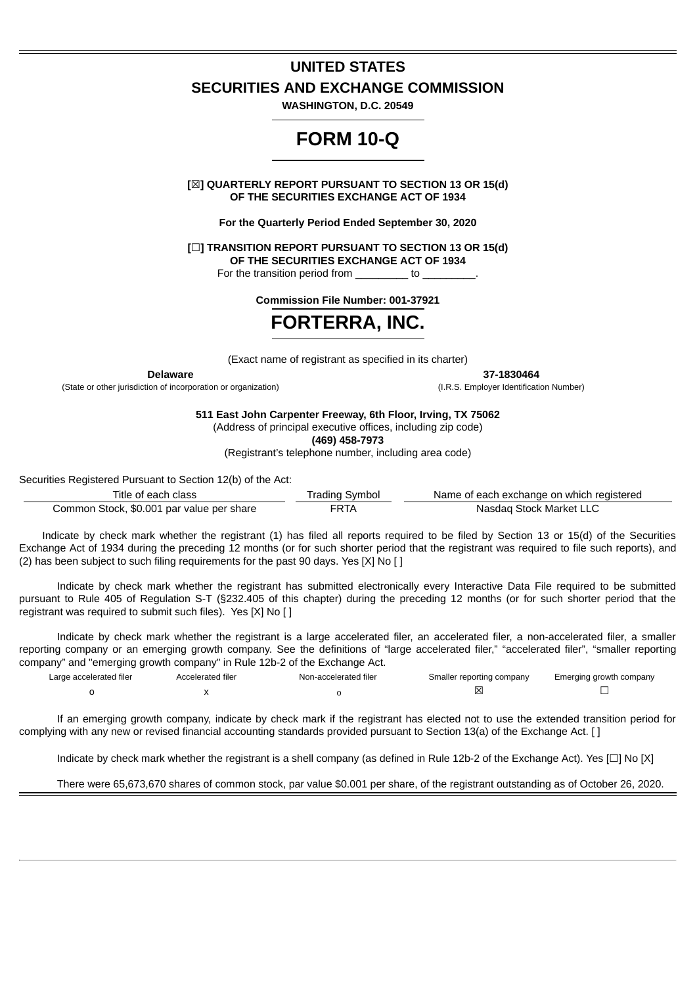## **UNITED STATES**

## **SECURITIES AND EXCHANGE COMMISSION**

**WASHINGTON, D.C. 20549**

# **FORM 10-Q**

**[**☒**] QUARTERLY REPORT PURSUANT TO SECTION 13 OR 15(d) OF THE SECURITIES EXCHANGE ACT OF 1934**

**For the Quarterly Period Ended September 30, 2020**

**[**☐**] TRANSITION REPORT PURSUANT TO SECTION 13 OR 15(d) OF THE SECURITIES EXCHANGE ACT OF 1934**

For the transition period from to

**Commission File Number: 001-37921**

# **FORTERRA, INC.**

(Exact name of registrant as specified in its charter)

(State or other jurisdiction of incorporation or organization) (I.R.S. Employer Identification Number)

**Delaware 37-1830464**

**511 East John Carpenter Freeway, 6th Floor, Irving, TX 75062**

(Address of principal executive offices, including zip code)

**(469) 458-7973**

(Registrant's telephone number, including area code)

Securities Registered Pursuant to Section 12(b) of the Act:

| Title of each class                       | Trading Symbol | Name of each exchange on which registered |
|-------------------------------------------|----------------|-------------------------------------------|
| Common Stock, \$0.001 par value per share | FRTA           | Nasdag Stock Market LLC                   |

Indicate by check mark whether the registrant (1) has filed all reports required to be filed by Section 13 or 15(d) of the Securities Exchange Act of 1934 during the preceding 12 months (or for such shorter period that the registrant was required to file such reports), and (2) has been subject to such filing requirements for the past 90 days. Yes [X] No [ ]

Indicate by check mark whether the registrant has submitted electronically every Interactive Data File required to be submitted pursuant to Rule 405 of Regulation S-T (§232.405 of this chapter) during the preceding 12 months (or for such shorter period that the registrant was required to submit such files). Yes [X] No [ ]

Indicate by check mark whether the registrant is a large accelerated filer, an accelerated filer, a non-accelerated filer, a smaller reporting company or an emerging growth company. See the definitions of "large accelerated filer," "accelerated filer", "smaller reporting company" and "emerging growth company" in Rule 12b-2 of the Exchange Act.

| Large accelerated filer | Accelerated filer | Non-accelerated filer | Smaller reporting company | Emerging growth company |
|-------------------------|-------------------|-----------------------|---------------------------|-------------------------|
|                         |                   |                       | IХ                        |                         |

If an emerging growth company, indicate by check mark if the registrant has elected not to use the extended transition period for complying with any new or revised financial accounting standards provided pursuant to Section 13(a) of the Exchange Act. [ ]

Indicate by check mark whether the registrant is a shell company (as defined in Rule 12b-2 of the Exchange Act). Yes  $\Box$  No [X]

There were 65,673,670 shares of common stock, par value \$0.001 per share, of the registrant outstanding as of October 26, 2020.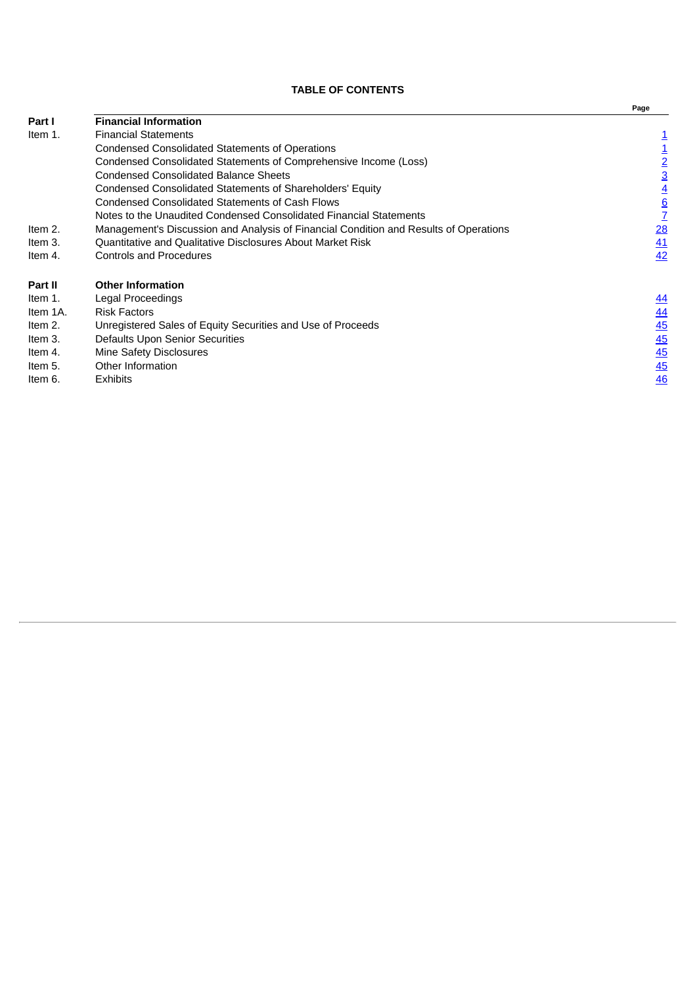## **TABLE OF CONTENTS**

<span id="page-1-0"></span>

|                |                                                                                       | Page                    |
|----------------|---------------------------------------------------------------------------------------|-------------------------|
| <b>Part I</b>  | <b>Financial Information</b>                                                          |                         |
| Item 1.        | <b>Financial Statements</b>                                                           |                         |
|                | <b>Condensed Consolidated Statements of Operations</b>                                | $\overline{\mathbf{1}}$ |
|                | Condensed Consolidated Statements of Comprehensive Income (Loss)                      | $\overline{2}$          |
|                | <b>Condensed Consolidated Balance Sheets</b>                                          | $\overline{3}$          |
|                | Condensed Consolidated Statements of Shareholders' Equity                             | $\overline{4}$          |
|                | Condensed Consolidated Statements of Cash Flows                                       |                         |
|                | Notes to the Unaudited Condensed Consolidated Financial Statements                    | $\frac{6}{7}$           |
| Item 2.        | Management's Discussion and Analysis of Financial Condition and Results of Operations | 28                      |
| Item 3.        | Quantitative and Qualitative Disclosures About Market Risk                            | 41                      |
| Item 4.        | <b>Controls and Procedures</b>                                                        | 42                      |
| <b>Part II</b> | <b>Other Information</b>                                                              |                         |
| Item 1.        | Legal Proceedings                                                                     | 44                      |
| Item 1A.       | <b>Risk Factors</b>                                                                   | 44                      |
| Item 2.        | Unregistered Sales of Equity Securities and Use of Proceeds                           | 45                      |
| Item 3.        | Defaults Upon Senior Securities                                                       | 45                      |
| Item 4.        | Mine Safety Disclosures                                                               | 45                      |
| Item 5.        | Other Information                                                                     | 45                      |
| Item 6.        | <b>Exhibits</b>                                                                       | 46                      |

**Page**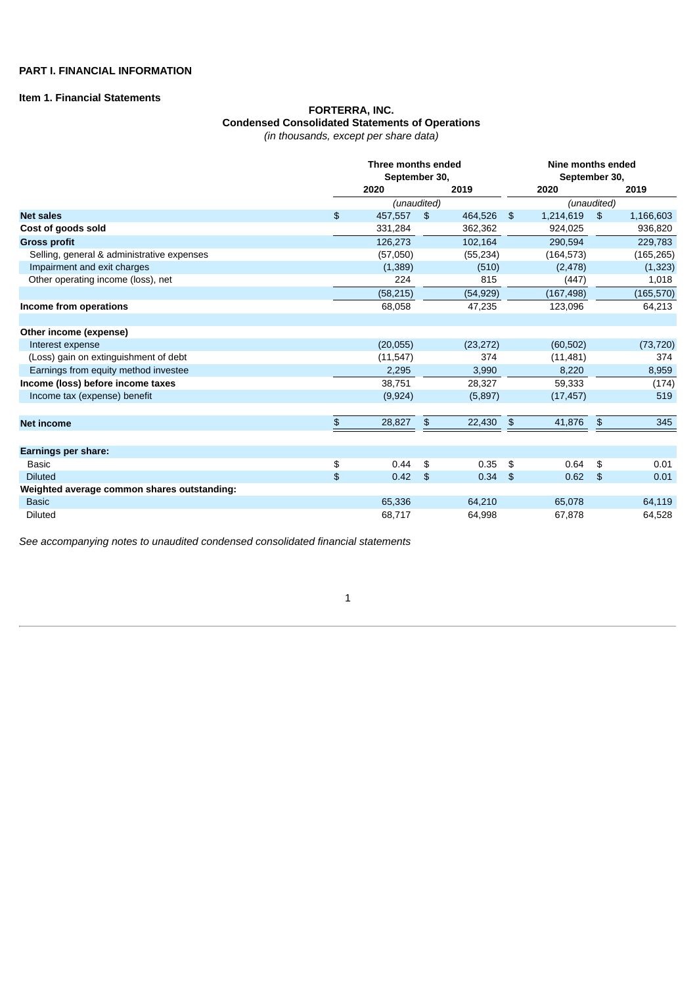# <span id="page-2-0"></span>**Item 1. Financial Statements**

## **FORTERRA, INC. Condensed Consolidated Statements of Operations** *(in thousands, except per share data)*

|                                             |               | Three months ended<br>September 30, |               |           |    |             | Nine months ended<br>September 30, |            |
|---------------------------------------------|---------------|-------------------------------------|---------------|-----------|----|-------------|------------------------------------|------------|
|                                             |               | 2020                                |               | 2019      |    | 2020        |                                    | 2019       |
|                                             |               | (unaudited)                         |               |           |    | (unaudited) |                                    |            |
| <b>Net sales</b>                            | $\frac{2}{3}$ | 457,557                             | \$            | 464,526   | \$ | 1,214,619   | \$                                 | 1,166,603  |
| Cost of goods sold                          |               | 331,284                             |               | 362,362   |    | 924,025     |                                    | 936,820    |
| <b>Gross profit</b>                         |               | 126,273                             |               | 102,164   |    | 290,594     |                                    | 229,783    |
| Selling, general & administrative expenses  |               | (57,050)                            |               | (55, 234) |    | (164, 573)  |                                    | (165, 265) |
| Impairment and exit charges                 |               | (1,389)                             |               | (510)     |    | (2, 478)    |                                    | (1, 323)   |
| Other operating income (loss), net          |               | 224                                 |               | 815       |    | (447)       |                                    | 1,018      |
|                                             |               | (58, 215)                           |               | (54, 929) |    | (167, 498)  |                                    | (165, 570) |
| Income from operations                      |               | 68,058                              |               | 47,235    |    | 123,096     |                                    | 64,213     |
|                                             |               |                                     |               |           |    |             |                                    |            |
| Other income (expense)                      |               |                                     |               |           |    |             |                                    |            |
| Interest expense                            |               | (20, 055)                           |               | (23, 272) |    | (60, 502)   |                                    | (73, 720)  |
| (Loss) gain on extinguishment of debt       |               | (11, 547)                           |               | 374       |    | (11, 481)   |                                    | 374        |
| Earnings from equity method investee        |               | 2,295                               |               | 3,990     |    | 8,220       |                                    | 8,959      |
| Income (loss) before income taxes           |               | 38,751                              |               | 28,327    |    | 59,333      |                                    | (174)      |
| Income tax (expense) benefit                |               | (9,924)                             |               | (5,897)   |    | (17, 457)   |                                    | 519        |
|                                             |               |                                     |               |           |    |             |                                    |            |
| <b>Net income</b>                           | $\frac{1}{2}$ | 28,827                              | \$            | 22,430    | \$ | 41,876      | \$                                 | 345        |
|                                             |               |                                     |               |           |    |             |                                    |            |
| Earnings per share:                         |               |                                     |               |           |    |             |                                    |            |
| <b>Basic</b>                                | \$            | 0.44                                | \$            | 0.35      | \$ | 0.64        | \$                                 | 0.01       |
| <b>Diluted</b>                              | $\frac{2}{3}$ | 0.42                                | $\frac{3}{2}$ | $0.34$ \$ |    | 0.62        | $\sqrt{3}$                         | 0.01       |
| Weighted average common shares outstanding: |               |                                     |               |           |    |             |                                    |            |
| <b>Basic</b>                                |               | 65,336                              |               | 64,210    |    | 65,078      |                                    | 64,119     |
| <b>Diluted</b>                              |               | 68,717                              |               | 64,998    |    | 67.878      |                                    | 64,528     |

<span id="page-2-1"></span>*See accompanying notes to unaudited condensed consolidated financial statements*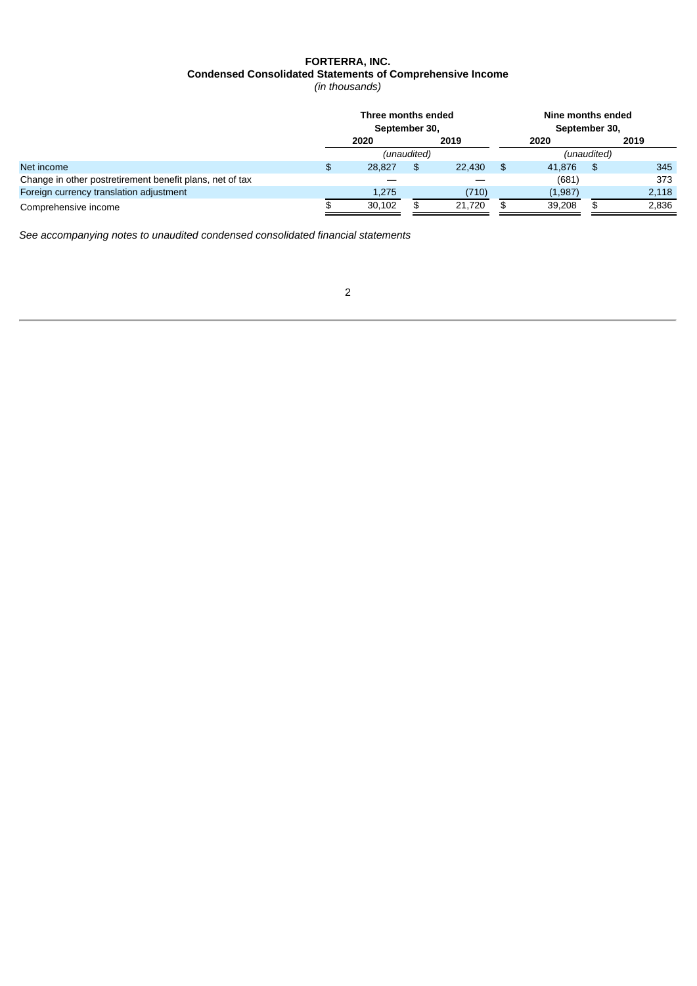## **FORTERRA, INC. Condensed Consolidated Statements of Comprehensive Income**

*(in thousands)*

|                                                          | Three months ended<br>September 30, |        |    | Nine months ended<br>September 30, |     |             |    |       |  |
|----------------------------------------------------------|-------------------------------------|--------|----|------------------------------------|-----|-------------|----|-------|--|
|                                                          |                                     | 2020   |    | 2019                               |     | 2020        |    | 2019  |  |
|                                                          | (unaudited)                         |        |    |                                    |     | (unaudited) |    |       |  |
| Net income                                               |                                     | 28,827 | \$ | 22,430                             | \$. | 41.876      | \$ | 345   |  |
| Change in other postretirement benefit plans, net of tax |                                     |        |    |                                    |     | (681)       |    | 373   |  |
| Foreign currency translation adjustment                  |                                     | 1.275  |    | (710)                              |     | (1,987)     |    | 2,118 |  |
| Comprehensive income                                     |                                     | 30.102 | \$ | 21,720                             |     | 39,208      |    | 2,836 |  |

<span id="page-3-0"></span>*See accompanying notes to unaudited condensed consolidated financial statements*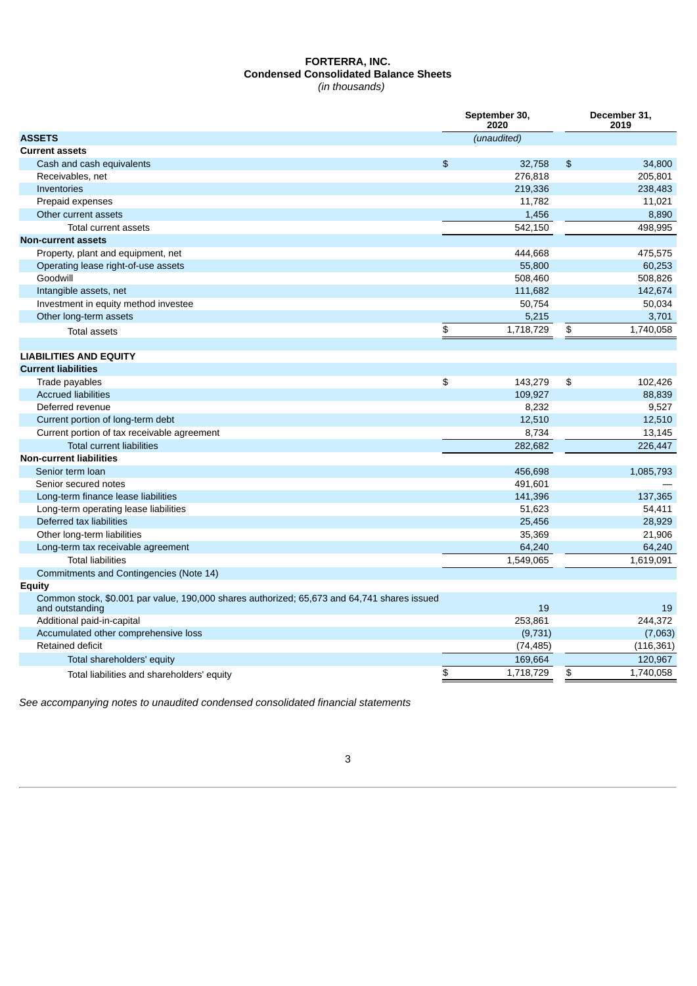# **FORTERRA, INC. Condensed Consolidated Balance Sheets**

*(in thousands)*

|                                                                                                                |                | September 30,<br>2020 | December 31,<br>2019 |            |  |
|----------------------------------------------------------------------------------------------------------------|----------------|-----------------------|----------------------|------------|--|
| <b>ASSETS</b>                                                                                                  |                | (unaudited)           |                      |            |  |
| <b>Current assets</b>                                                                                          |                |                       |                      |            |  |
| Cash and cash equivalents                                                                                      | $\mathfrak{D}$ | 32,758                | \$                   | 34,800     |  |
| Receivables, net                                                                                               |                | 276.818               |                      | 205,801    |  |
| <b>Inventories</b>                                                                                             |                | 219,336               |                      | 238,483    |  |
| Prepaid expenses                                                                                               |                | 11,782                |                      | 11,021     |  |
| Other current assets                                                                                           |                | 1,456                 |                      | 8.890      |  |
| Total current assets                                                                                           |                | 542,150               |                      | 498,995    |  |
| <b>Non-current assets</b>                                                                                      |                |                       |                      |            |  |
| Property, plant and equipment, net                                                                             |                | 444,668               |                      | 475,575    |  |
| Operating lease right-of-use assets                                                                            |                | 55,800                |                      | 60,253     |  |
| Goodwill                                                                                                       |                | 508,460               |                      | 508,826    |  |
| Intangible assets, net                                                                                         |                | 111,682               |                      | 142,674    |  |
| Investment in equity method investee                                                                           |                | 50,754                |                      | 50,034     |  |
| Other long-term assets                                                                                         |                | 5,215                 |                      | 3,701      |  |
| <b>Total assets</b>                                                                                            | \$             | 1,718,729             | \$                   | 1,740,058  |  |
|                                                                                                                |                |                       |                      |            |  |
| <b>LIABILITIES AND EQUITY</b>                                                                                  |                |                       |                      |            |  |
| <b>Current liabilities</b>                                                                                     |                |                       |                      |            |  |
| Trade payables                                                                                                 | \$             | 143,279               | \$                   | 102,426    |  |
| <b>Accrued liabilities</b>                                                                                     |                | 109,927               |                      | 88,839     |  |
| Deferred revenue                                                                                               |                | 8,232                 |                      | 9,527      |  |
| Current portion of long-term debt                                                                              |                | 12,510                |                      | 12,510     |  |
| Current portion of tax receivable agreement                                                                    |                | 8,734                 |                      | 13,145     |  |
| <b>Total current liabilities</b>                                                                               |                | 282.682               |                      | 226,447    |  |
| <b>Non-current liabilities</b>                                                                                 |                |                       |                      |            |  |
| Senior term loan                                                                                               |                | 456,698               |                      | 1,085,793  |  |
| Senior secured notes                                                                                           |                | 491,601               |                      |            |  |
| Long-term finance lease liabilities                                                                            |                | 141.396               |                      | 137,365    |  |
| Long-term operating lease liabilities                                                                          |                | 51,623                |                      | 54,411     |  |
| Deferred tax liabilities                                                                                       |                | 25,456                |                      | 28,929     |  |
| Other long-term liabilities                                                                                    |                | 35,369                |                      | 21,906     |  |
| Long-term tax receivable agreement                                                                             |                | 64,240                |                      | 64,240     |  |
| <b>Total liabilities</b>                                                                                       |                | 1,549,065             |                      | 1,619,091  |  |
| Commitments and Contingencies (Note 14)                                                                        |                |                       |                      |            |  |
| <b>Equity</b>                                                                                                  |                |                       |                      |            |  |
| Common stock, \$0.001 par value, 190,000 shares authorized; 65,673 and 64,741 shares issued<br>and outstanding |                | 19                    |                      | 19         |  |
| Additional paid-in-capital                                                                                     |                | 253,861               |                      | 244,372    |  |
| Accumulated other comprehensive loss                                                                           |                | (9,731)               |                      | (7,063)    |  |
| Retained deficit                                                                                               |                | (74, 485)             |                      | (116, 361) |  |
| Total shareholders' equity                                                                                     |                | 169,664               |                      | 120,967    |  |
| Total liabilities and shareholders' equity                                                                     | \$             | 1.718.729             | \$                   | 1.740.058  |  |

<span id="page-4-0"></span>*See accompanying notes to unaudited condensed consolidated financial statements*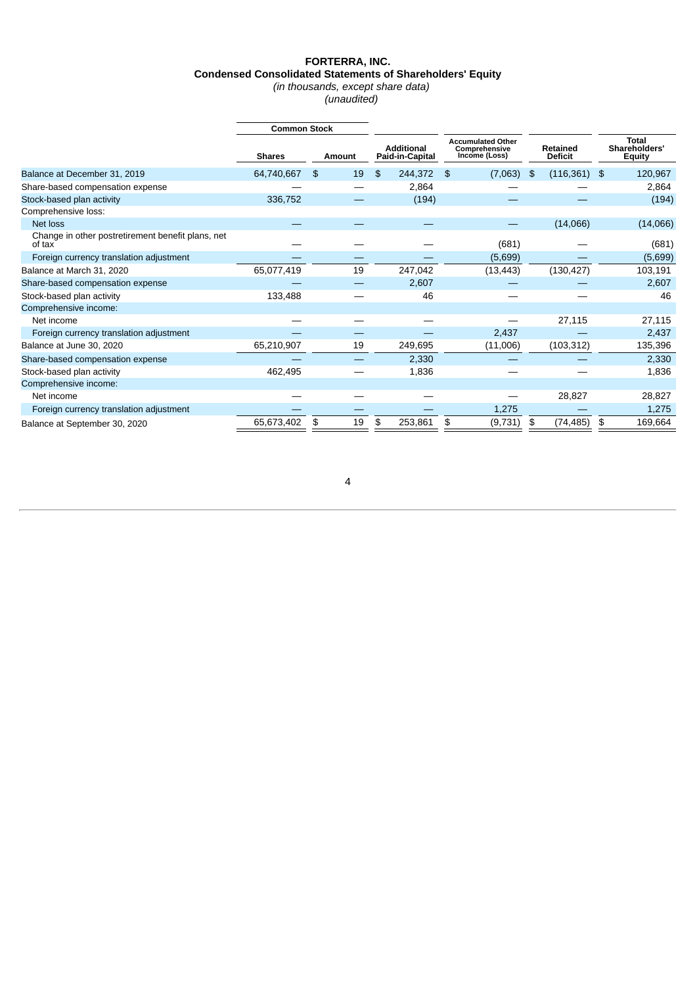# **FORTERRA, INC. Condensed Consolidated Statements of Shareholders' Equity**

*(in thousands, except share data)*

*(unaudited)*

|                                                             | <b>Common Stock</b> |          |                                      |                                                            |    |                            |    |                                                |
|-------------------------------------------------------------|---------------------|----------|--------------------------------------|------------------------------------------------------------|----|----------------------------|----|------------------------------------------------|
|                                                             | <b>Shares</b>       | Amount   | <b>Additional</b><br>Paid-in-Capital | <b>Accumulated Other</b><br>Comprehensive<br>Income (Loss) |    | Retained<br><b>Deficit</b> |    | <b>Total</b><br>Shareholders'<br><b>Equity</b> |
| Balance at December 31, 2019                                | 64,740,667          | 19<br>\$ | \$<br>244,372                        | (7,063)<br>\$                                              | \$ | (116, 361)                 | \$ | 120,967                                        |
| Share-based compensation expense                            |                     |          | 2,864                                |                                                            |    |                            |    | 2,864                                          |
| Stock-based plan activity                                   | 336,752             |          | (194)                                |                                                            |    |                            |    | (194)                                          |
| Comprehensive loss:                                         |                     |          |                                      |                                                            |    |                            |    |                                                |
| <b>Net loss</b>                                             |                     |          |                                      |                                                            |    | (14,066)                   |    | (14,066)                                       |
| Change in other postretirement benefit plans, net<br>of tax |                     |          |                                      | (681)                                                      |    |                            |    | (681)                                          |
| Foreign currency translation adjustment                     |                     |          |                                      | (5,699)                                                    |    |                            |    | (5,699)                                        |
| Balance at March 31, 2020                                   | 65,077,419          | 19       | 247,042                              | (13, 443)                                                  |    | (130, 427)                 |    | 103,191                                        |
| Share-based compensation expense                            |                     |          | 2,607                                |                                                            |    |                            |    | 2,607                                          |
| Stock-based plan activity                                   | 133,488             |          | 46                                   |                                                            |    |                            |    | 46                                             |
| Comprehensive income:                                       |                     |          |                                      |                                                            |    |                            |    |                                                |
| Net income                                                  |                     |          |                                      |                                                            |    | 27,115                     |    | 27,115                                         |
| Foreign currency translation adjustment                     |                     |          |                                      | 2,437                                                      |    |                            |    | 2,437                                          |
| Balance at June 30, 2020                                    | 65,210,907          | 19       | 249,695                              | (11,006)                                                   |    | (103, 312)                 |    | 135,396                                        |
| Share-based compensation expense                            |                     |          | 2,330                                |                                                            |    |                            |    | 2,330                                          |
| Stock-based plan activity                                   | 462,495             |          | 1,836                                |                                                            |    |                            |    | 1,836                                          |
| Comprehensive income:                                       |                     |          |                                      |                                                            |    |                            |    |                                                |
| Net income                                                  |                     |          |                                      |                                                            |    | 28,827                     |    | 28,827                                         |
| Foreign currency translation adjustment                     |                     |          |                                      | 1,275                                                      |    |                            |    | 1,275                                          |
| Balance at September 30, 2020                               | 65,673,402          | 19<br>\$ | \$<br>253,861                        | (9,731)<br>\$                                              | \$ | (74, 485)                  | \$ | 169,664                                        |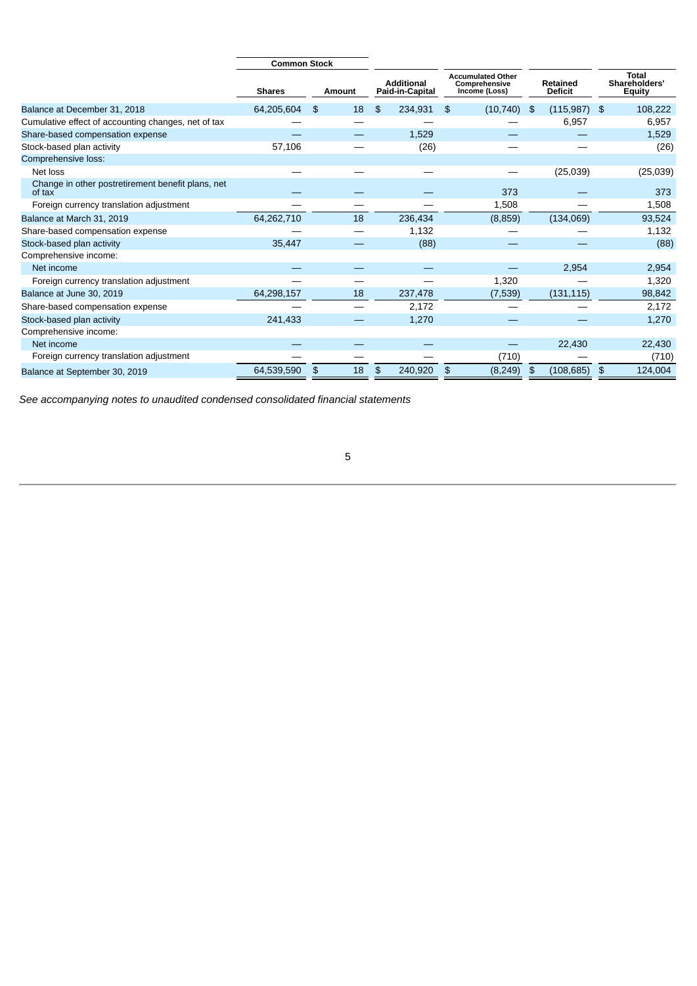|                                                             | <b>Common Stock</b> |                      |                                      |                                                            |                                   |                                                |
|-------------------------------------------------------------|---------------------|----------------------|--------------------------------------|------------------------------------------------------------|-----------------------------------|------------------------------------------------|
|                                                             | <b>Shares</b>       | Amount               | <b>Additional</b><br>Paid-in-Capital | <b>Accumulated Other</b><br>Comprehensive<br>Income (Loss) | <b>Retained</b><br><b>Deficit</b> | <b>Total</b><br>Shareholders'<br><b>Equity</b> |
| Balance at December 31, 2018                                | 64,205,604          | 18<br>\$             | 234,931<br>\$                        | (10, 740)<br>\$                                            | (115, 987)<br>\$                  | 108,222<br>\$                                  |
| Cumulative effect of accounting changes, net of tax         |                     |                      |                                      |                                                            | 6,957                             | 6,957                                          |
| Share-based compensation expense                            |                     |                      | 1,529                                |                                                            |                                   | 1,529                                          |
| Stock-based plan activity                                   | 57,106              |                      | (26)                                 |                                                            |                                   | (26)                                           |
| Comprehensive loss:                                         |                     |                      |                                      |                                                            |                                   |                                                |
| Net loss                                                    |                     |                      |                                      |                                                            | (25,039)                          | (25,039)                                       |
| Change in other postretirement benefit plans, net<br>of tax |                     |                      |                                      | 373                                                        |                                   | 373                                            |
| Foreign currency translation adjustment                     |                     |                      |                                      | 1,508                                                      |                                   | 1,508                                          |
| Balance at March 31, 2019                                   | 64,262,710          | 18                   | 236,434                              | (8, 859)                                                   | (134,069)                         | 93,524                                         |
| Share-based compensation expense                            |                     |                      | 1,132                                |                                                            |                                   | 1,132                                          |
| Stock-based plan activity                                   | 35,447              |                      | (88)                                 |                                                            |                                   | (88)                                           |
| Comprehensive income:                                       |                     |                      |                                      |                                                            |                                   |                                                |
| Net income                                                  |                     |                      |                                      |                                                            | 2,954                             | 2,954                                          |
| Foreign currency translation adjustment                     |                     |                      |                                      | 1,320                                                      |                                   | 1,320                                          |
| Balance at June 30, 2019                                    | 64,298,157          | 18                   | 237,478                              | (7,539)                                                    | (131, 115)                        | 98,842                                         |
| Share-based compensation expense                            |                     |                      | 2,172                                |                                                            |                                   | 2,172                                          |
| Stock-based plan activity                                   | 241,433             |                      | 1,270                                |                                                            |                                   | 1,270                                          |
| Comprehensive income:                                       |                     |                      |                                      |                                                            |                                   |                                                |
| Net income                                                  |                     |                      |                                      |                                                            | 22,430                            | 22,430                                         |
| Foreign currency translation adjustment                     |                     |                      |                                      | (710)                                                      |                                   | (710)                                          |
| Balance at September 30, 2019                               | 64,539,590          | 18<br>$\mathfrak{L}$ | 240,920<br>\$                        | (8, 249)<br>\$                                             | \$<br>(108, 685)                  | 124,004<br>\$                                  |

<span id="page-6-0"></span>*See accompanying notes to unaudited condensed consolidated financial statements*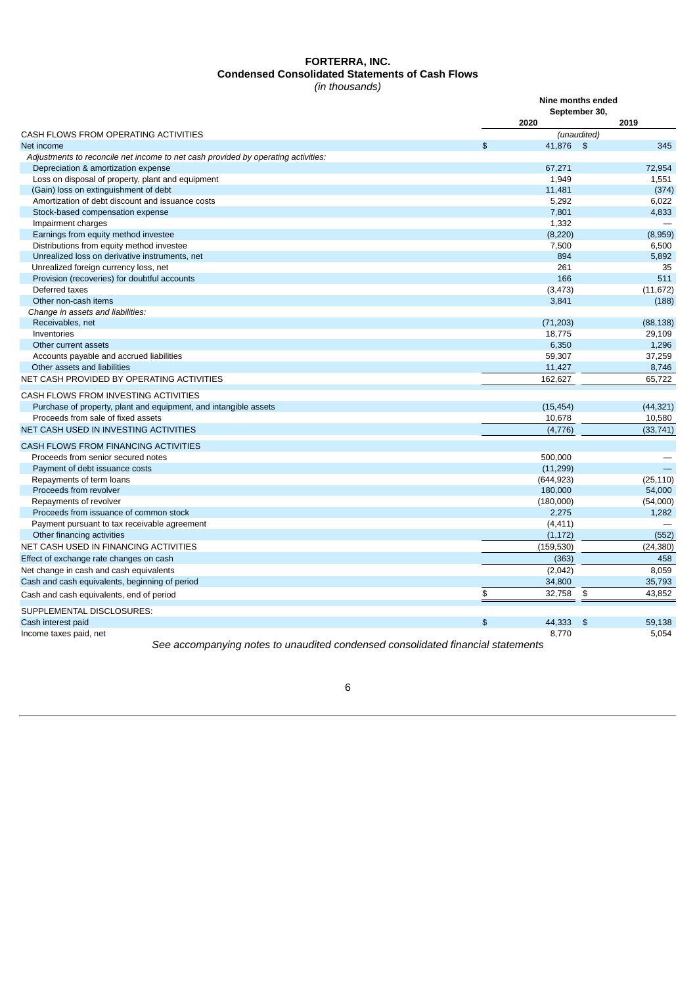# **FORTERRA, INC. Condensed Consolidated Statements of Cash Flows**

*(in thousands)*

|                                                                                   |                | Nine months ended<br>September 30, |           |
|-----------------------------------------------------------------------------------|----------------|------------------------------------|-----------|
|                                                                                   |                | 2020                               | 2019      |
| CASH FLOWS FROM OPERATING ACTIVITIES                                              |                | (unaudited)                        |           |
| Net income                                                                        | $\mathfrak{L}$ | 41.876 \$                          | 345       |
| Adjustments to reconcile net income to net cash provided by operating activities: |                |                                    |           |
| Depreciation & amortization expense                                               |                | 67,271                             | 72,954    |
| Loss on disposal of property, plant and equipment                                 |                | 1,949                              | 1,551     |
| (Gain) loss on extinguishment of debt                                             |                | 11,481                             | (374)     |
| Amortization of debt discount and issuance costs                                  |                | 5,292                              | 6,022     |
| Stock-based compensation expense                                                  |                | 7,801                              | 4,833     |
| Impairment charges                                                                |                | 1,332                              |           |
| Earnings from equity method investee                                              |                | (8, 220)                           | (8,959)   |
| Distributions from equity method investee                                         |                | 7,500                              | 6,500     |
| Unrealized loss on derivative instruments, net                                    |                | 894                                | 5,892     |
| Unrealized foreign currency loss, net                                             |                | 261                                | 35        |
| Provision (recoveries) for doubtful accounts                                      |                | 166                                | 511       |
| Deferred taxes                                                                    |                | (3, 473)                           | (11, 672) |
| Other non-cash items                                                              |                | 3,841                              | (188)     |
| Change in assets and liabilities:                                                 |                |                                    |           |
| Receivables, net                                                                  |                | (71, 203)                          | (88, 138) |
| Inventories                                                                       |                | 18,775                             | 29,109    |
| Other current assets                                                              |                | 6,350                              | 1,296     |
| Accounts payable and accrued liabilities                                          |                | 59,307                             | 37,259    |
| Other assets and liabilities                                                      |                | 11,427                             | 8,746     |
| NET CASH PROVIDED BY OPERATING ACTIVITIES                                         |                | 162,627                            | 65,722    |
|                                                                                   |                |                                    |           |
| CASH FLOWS FROM INVESTING ACTIVITIES                                              |                |                                    |           |
| Purchase of property, plant and equipment, and intangible assets                  |                | (15, 454)                          | (44, 321) |
| Proceeds from sale of fixed assets                                                |                | 10,678                             | 10,580    |
| NET CASH USED IN INVESTING ACTIVITIES                                             |                | (4,776)                            | (33, 741) |
| CASH FLOWS FROM FINANCING ACTIVITIES                                              |                |                                    |           |
| Proceeds from senior secured notes                                                |                | 500,000                            |           |
| Payment of debt issuance costs                                                    |                | (11, 299)                          |           |
| Repayments of term loans                                                          |                | (644, 923)                         | (25, 110) |
| Proceeds from revolver                                                            |                | 180,000                            | 54,000    |
| Repayments of revolver                                                            |                | (180,000)                          | (54,000)  |
| Proceeds from issuance of common stock                                            |                | 2,275                              | 1,282     |
| Payment pursuant to tax receivable agreement                                      |                | (4, 411)                           |           |
| Other financing activities                                                        |                | (1, 172)                           | (552)     |
| NET CASH USED IN FINANCING ACTIVITIES                                             |                | (159, 530)                         | (24, 380) |
|                                                                                   |                | (363)                              | 458       |
| Effect of exchange rate changes on cash                                           |                |                                    |           |
| Net change in cash and cash equivalents                                           |                | (2,042)                            | 8,059     |
| Cash and cash equivalents, beginning of period                                    |                | 34,800                             | 35,793    |
| Cash and cash equivalents, end of period                                          | \$             | 32,758<br>\$                       | 43.852    |
| SUPPLEMENTAL DISCLOSURES:                                                         |                |                                    |           |
| Cash interest paid                                                                | \$             | 44,333<br>$\mathfrak{S}$           | 59,138    |
| Income taxes paid, net                                                            |                | 8.770                              | 5.054     |

<span id="page-7-0"></span>*See accompanying notes to unaudited condensed consolidated financial statements*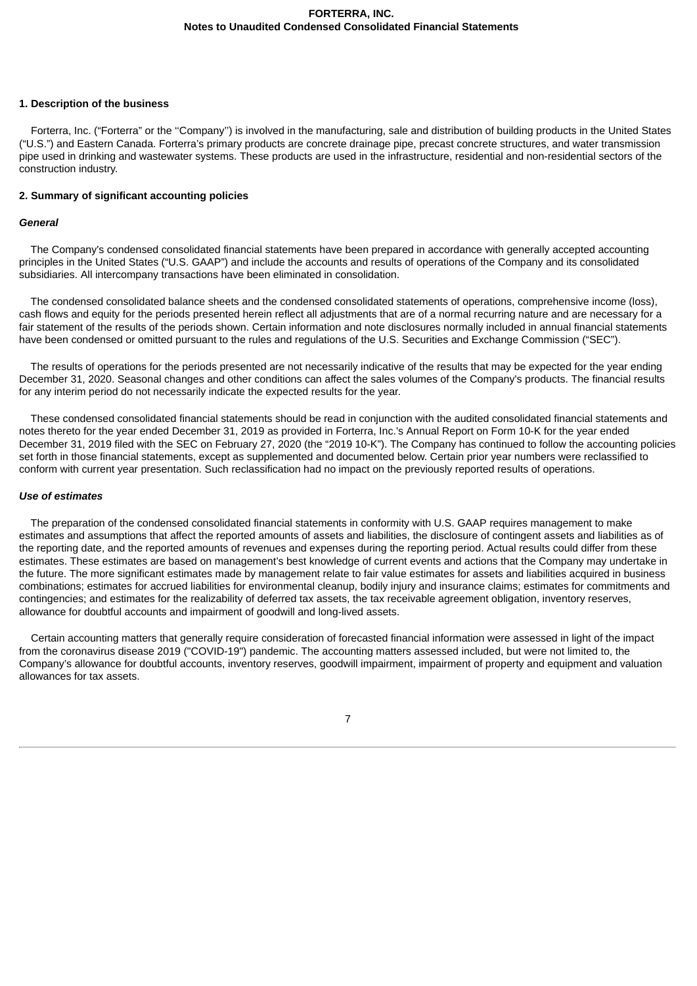## **1. Description of the business**

Forterra, Inc. ("Forterra" or the ''Company'') is involved in the manufacturing, sale and distribution of building products in the United States ("U.S.") and Eastern Canada. Forterra's primary products are concrete drainage pipe, precast concrete structures, and water transmission pipe used in drinking and wastewater systems. These products are used in the infrastructure, residential and non-residential sectors of the construction industry.

## **2. Summary of significant accounting policies**

## *General*

The Company's condensed consolidated financial statements have been prepared in accordance with generally accepted accounting principles in the United States ("U.S. GAAP") and include the accounts and results of operations of the Company and its consolidated subsidiaries. All intercompany transactions have been eliminated in consolidation.

The condensed consolidated balance sheets and the condensed consolidated statements of operations, comprehensive income (loss), cash flows and equity for the periods presented herein reflect all adjustments that are of a normal recurring nature and are necessary for a fair statement of the results of the periods shown. Certain information and note disclosures normally included in annual financial statements have been condensed or omitted pursuant to the rules and regulations of the U.S. Securities and Exchange Commission ("SEC").

The results of operations for the periods presented are not necessarily indicative of the results that may be expected for the year ending December 31, 2020. Seasonal changes and other conditions can affect the sales volumes of the Company's products. The financial results for any interim period do not necessarily indicate the expected results for the year.

These condensed consolidated financial statements should be read in conjunction with the audited consolidated financial statements and notes thereto for the year ended December 31, 2019 as provided in Forterra, Inc.'s Annual Report on Form 10-K for the year ended December 31, 2019 filed with the SEC on February 27, 2020 (the "2019 10-K"). The Company has continued to follow the accounting policies set forth in those financial statements, except as supplemented and documented below. Certain prior year numbers were reclassified to conform with current year presentation. Such reclassification had no impact on the previously reported results of operations.

#### *Use of estimates*

The preparation of the condensed consolidated financial statements in conformity with U.S. GAAP requires management to make estimates and assumptions that affect the reported amounts of assets and liabilities, the disclosure of contingent assets and liabilities as of the reporting date, and the reported amounts of revenues and expenses during the reporting period. Actual results could differ from these estimates. These estimates are based on management's best knowledge of current events and actions that the Company may undertake in the future. The more significant estimates made by management relate to fair value estimates for assets and liabilities acquired in business combinations; estimates for accrued liabilities for environmental cleanup, bodily injury and insurance claims; estimates for commitments and contingencies; and estimates for the realizability of deferred tax assets, the tax receivable agreement obligation, inventory reserves, allowance for doubtful accounts and impairment of goodwill and long-lived assets.

Certain accounting matters that generally require consideration of forecasted financial information were assessed in light of the impact from the coronavirus disease 2019 ("COVID-19") pandemic. The accounting matters assessed included, but were not limited to, the Company's allowance for doubtful accounts, inventory reserves, goodwill impairment, impairment of property and equipment and valuation allowances for tax assets.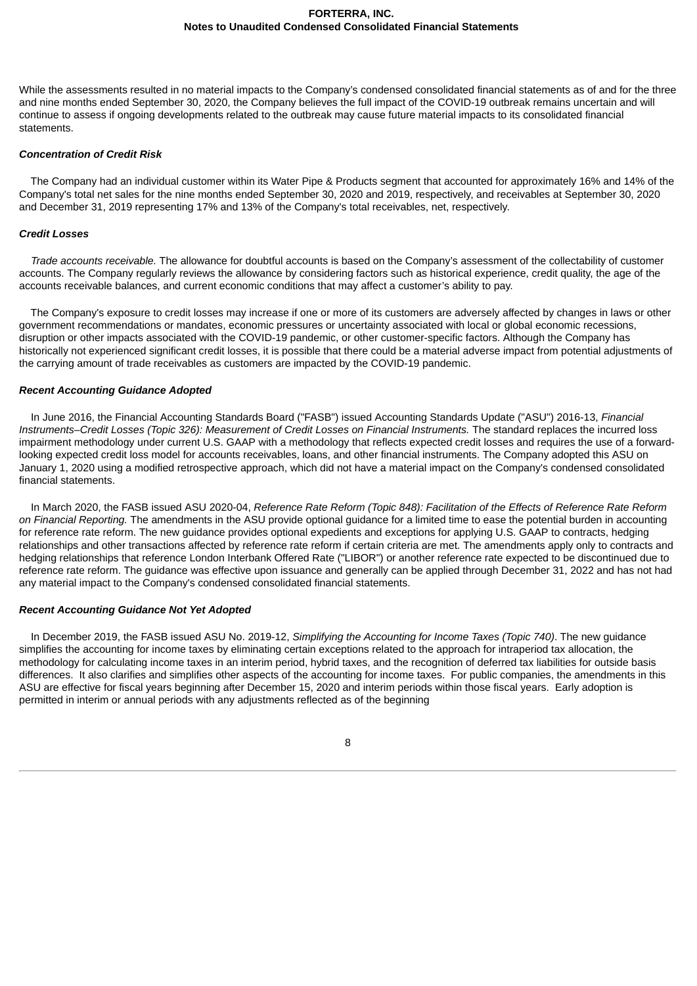While the assessments resulted in no material impacts to the Company's condensed consolidated financial statements as of and for the three and nine months ended September 30, 2020, the Company believes the full impact of the COVID-19 outbreak remains uncertain and will continue to assess if ongoing developments related to the outbreak may cause future material impacts to its consolidated financial statements.

## *Concentration of Credit Risk*

The Company had an individual customer within its Water Pipe & Products segment that accounted for approximately 16% and 14% of the Company's total net sales for the nine months ended September 30, 2020 and 2019, respectively, and receivables at September 30, 2020 and December 31, 2019 representing 17% and 13% of the Company's total receivables, net, respectively.

#### *Credit Losses*

*Trade accounts receivable.* The allowance for doubtful accounts is based on the Company's assessment of the collectability of customer accounts. The Company regularly reviews the allowance by considering factors such as historical experience, credit quality, the age of the accounts receivable balances, and current economic conditions that may affect a customer's ability to pay.

The Company's exposure to credit losses may increase if one or more of its customers are adversely affected by changes in laws or other government recommendations or mandates, economic pressures or uncertainty associated with local or global economic recessions, disruption or other impacts associated with the COVID-19 pandemic, or other customer-specific factors. Although the Company has historically not experienced significant credit losses, it is possible that there could be a material adverse impact from potential adjustments of the carrying amount of trade receivables as customers are impacted by the COVID-19 pandemic.

## *Recent Accounting Guidance Adopted*

In June 2016, the Financial Accounting Standards Board ("FASB") issued Accounting Standards Update ("ASU") 2016-13, *Financial Instruments–Credit Losses (Topic 326): Measurement of Credit Losses on Financial Instruments.* The standard replaces the incurred loss impairment methodology under current U.S. GAAP with a methodology that reflects expected credit losses and requires the use of a forwardlooking expected credit loss model for accounts receivables, loans, and other financial instruments. The Company adopted this ASU on January 1, 2020 using a modified retrospective approach, which did not have a material impact on the Company's condensed consolidated financial statements.

In March 2020, the FASB issued ASU 2020-04, *Reference Rate Reform (Topic 848): Facilitation of the Effects of Reference Rate Reform on Financial Reporting.* The amendments in the ASU provide optional guidance for a limited time to ease the potential burden in accounting for reference rate reform. The new guidance provides optional expedients and exceptions for applying U.S. GAAP to contracts, hedging relationships and other transactions affected by reference rate reform if certain criteria are met. The amendments apply only to contracts and hedging relationships that reference London Interbank Offered Rate ("LIBOR") or another reference rate expected to be discontinued due to reference rate reform. The guidance was effective upon issuance and generally can be applied through December 31, 2022 and has not had any material impact to the Company's condensed consolidated financial statements.

#### *Recent Accounting Guidance Not Yet Adopted*

In December 2019, the FASB issued ASU No. 2019-12, *Simplifying the Accounting for Income Taxes (Topic 740)*. The new guidance simplifies the accounting for income taxes by eliminating certain exceptions related to the approach for intraperiod tax allocation, the methodology for calculating income taxes in an interim period, hybrid taxes, and the recognition of deferred tax liabilities for outside basis differences. It also clarifies and simplifies other aspects of the accounting for income taxes. For public companies, the amendments in this ASU are effective for fiscal years beginning after December 15, 2020 and interim periods within those fiscal years. Early adoption is permitted in interim or annual periods with any adjustments reflected as of the beginning

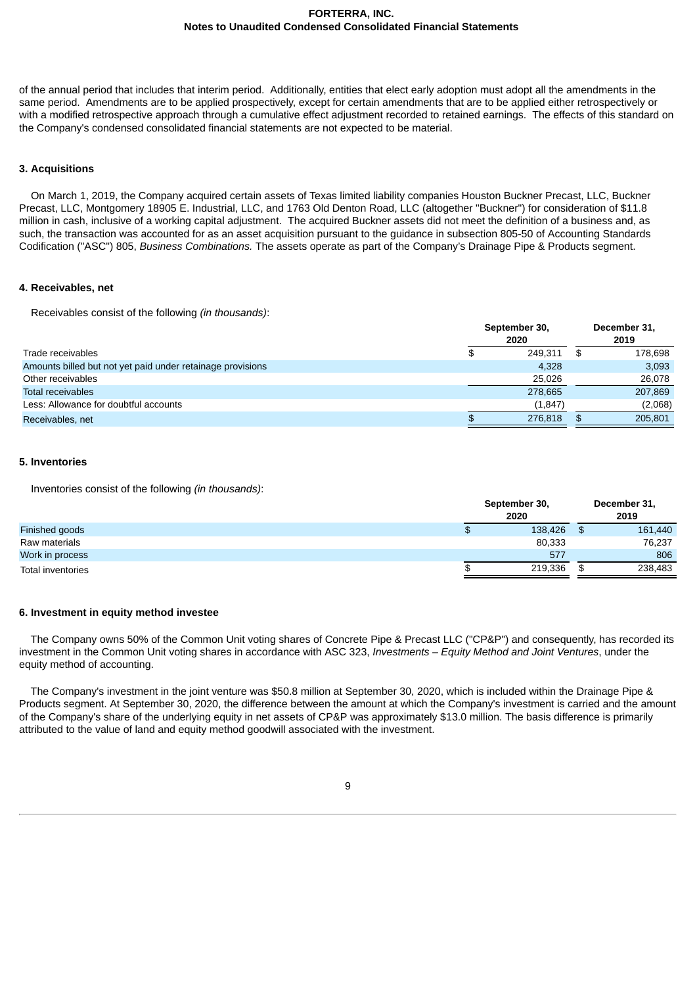of the annual period that includes that interim period. Additionally, entities that elect early adoption must adopt all the amendments in the same period. Amendments are to be applied prospectively, except for certain amendments that are to be applied either retrospectively or with a modified retrospective approach through a cumulative effect adjustment recorded to retained earnings. The effects of this standard on the Company's condensed consolidated financial statements are not expected to be material.

## **3. Acquisitions**

On March 1, 2019, the Company acquired certain assets of Texas limited liability companies Houston Buckner Precast, LLC, Buckner Precast, LLC, Montgomery 18905 E. Industrial, LLC, and 1763 Old Denton Road, LLC (altogether "Buckner") for consideration of \$11.8 million in cash, inclusive of a working capital adjustment. The acquired Buckner assets did not meet the definition of a business and, as such, the transaction was accounted for as an asset acquisition pursuant to the guidance in subsection 805-50 of Accounting Standards Codification ("ASC") 805, *Business Combinations.* The assets operate as part of the Company's Drainage Pipe & Products segment.

## **4. Receivables, net**

Receivables consist of the following *(in thousands)*:

|                                                            | September 30, | December 31.<br>2019 |    |         |
|------------------------------------------------------------|---------------|----------------------|----|---------|
| Trade receivables                                          | \$            | 249.311              | \$ | 178,698 |
| Amounts billed but not yet paid under retainage provisions |               | 4.328                |    | 3.093   |
| Other receivables                                          |               | 25.026               |    | 26.078  |
| <b>Total receivables</b>                                   |               | 278,665              |    | 207,869 |
| Less: Allowance for doubtful accounts                      |               | (1, 847)             |    | (2,068) |
| Receivables, net                                           |               | 276,818              |    | 205.801 |

## **5. Inventories**

Inventories consist of the following *(in thousands)*:

|                   | September 30,<br>2020 | December 31,<br>2019 |
|-------------------|-----------------------|----------------------|
| Finished goods    | 138,426               | 161,440              |
| Raw materials     | 80,333                | 76,237               |
| Work in process   | 577                   | 806                  |
| Total inventories | 219,336               | \$<br>238,483        |

## **6. Investment in equity method investee**

The Company owns 50% of the Common Unit voting shares of Concrete Pipe & Precast LLC ("CP&P") and consequently, has recorded its investment in the Common Unit voting shares in accordance with ASC 323, *Investments – Equity Method and Joint Ventures*, under the equity method of accounting.

The Company's investment in the joint venture was \$50.8 million at September 30, 2020, which is included within the Drainage Pipe & Products segment. At September 30, 2020, the difference between the amount at which the Company's investment is carried and the amount of the Company's share of the underlying equity in net assets of CP&P was approximately \$13.0 million. The basis difference is primarily attributed to the value of land and equity method goodwill associated with the investment.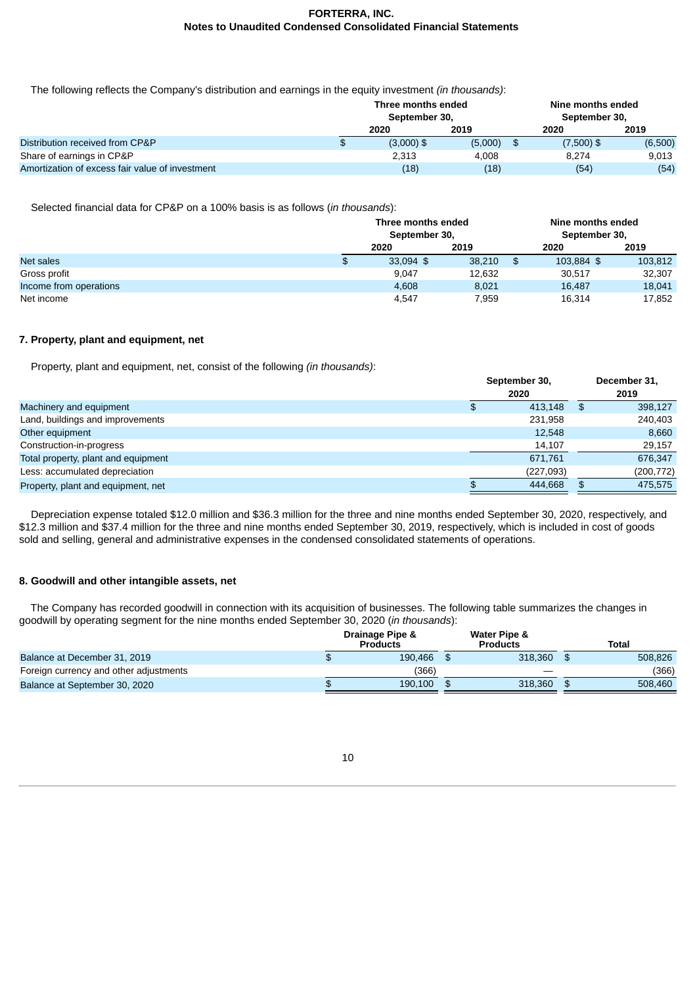The following reflects the Company's distribution and earnings in the equity investment *(in thousands)*:

|                                                 | Three months ended<br>September 30, |         | Nine months ended<br>September 30, |         |
|-------------------------------------------------|-------------------------------------|---------|------------------------------------|---------|
|                                                 | 2020                                | 2019    | 2020                               | 2019    |
| Distribution received from CP&P                 | \$<br>$(3,000)$ \$                  | (5,000) | $(7,500)$ \$                       | (6,500) |
| Share of earnings in CP&P                       | 2.313                               | 4.008   | 8.274                              | 9,013   |
| Amortization of excess fair value of investment | (18)                                | (18)    | (54)                               | (54)    |

Selected financial data for CP&P on a 100% basis is as follows (*in thousands*):

|                        | Three months ended |        |    | Nine months ended |         |
|------------------------|--------------------|--------|----|-------------------|---------|
|                        | September 30,      |        |    | September 30,     |         |
|                        | 2020               | 2019   |    | 2020              | 2019    |
| <b>Net sales</b>       | $33.094$ \$        | 38.210 | \$ | 103,884 \$        | 103,812 |
| Gross profit           | 9.047              | 12,632 |    | 30.517            | 32,307  |
| Income from operations | 4.608              | 8,021  |    | 16,487            | 18,041  |
| Net income             | 4.547              | 7.959  |    | 16,314            | 17,852  |

## **7. Property, plant and equipment, net**

Property, plant and equipment, net, consist of the following *(in thousands)*:

|                                     | September 30, |           |     | December 31, |
|-------------------------------------|---------------|-----------|-----|--------------|
|                                     |               | 2020      |     | 2019         |
| Machinery and equipment             |               | 413.148   | -SS | 398,127      |
| Land, buildings and improvements    |               | 231.958   |     | 240,403      |
| Other equipment                     |               | 12,548    |     | 8,660        |
| Construction-in-progress            |               | 14.107    |     | 29,157       |
| Total property, plant and equipment |               | 671.761   |     | 676.347      |
| Less: accumulated depreciation      |               | (227,093) |     | (200, 772)   |
| Property, plant and equipment, net  |               | 444.668   |     | 475,575      |

Depreciation expense totaled \$12.0 million and \$36.3 million for the three and nine months ended September 30, 2020, respectively, and \$12.3 million and \$37.4 million for the three and nine months ended September 30, 2019, respectively, which is included in cost of goods sold and selling, general and administrative expenses in the condensed consolidated statements of operations.

## **8. Goodwill and other intangible assets, net**

The Company has recorded goodwill in connection with its acquisition of businesses. The following table summarizes the changes in goodwill by operating segment for the nine months ended September 30, 2020 (*in thousands*):

|                                        | Drainage Pipe &<br><b>Products</b> | <b>Water Pipe &amp;</b><br><b>Products</b> | <b>Total</b> |         |
|----------------------------------------|------------------------------------|--------------------------------------------|--------------|---------|
| Balance at December 31, 2019           | 190.466                            | 318,360                                    |              | 508,826 |
| Foreign currency and other adjustments | (366)                              |                                            |              | (366)   |
| Balance at September 30, 2020          | 190.100                            | 318,360                                    |              | 508,460 |
|                                        |                                    |                                            |              |         |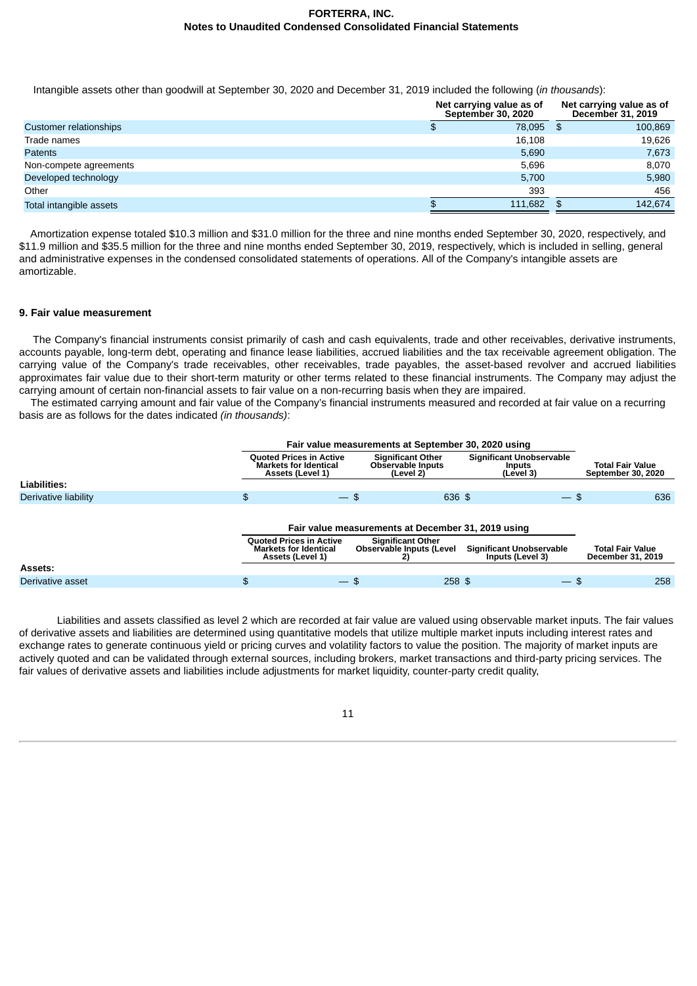Intangible assets other than goodwill at September 30, 2020 and December 31, 2019 included the following (*in thousands*):

|                               | Net carrying value as of<br>September 30, 2020 |      | Net carrying value as of<br>December 31, 2019 |
|-------------------------------|------------------------------------------------|------|-----------------------------------------------|
| <b>Customer relationships</b> | 78,095                                         | - \$ | 100,869                                       |
| Trade names                   | 16.108                                         |      | 19,626                                        |
| <b>Patents</b>                | 5,690                                          |      | 7,673                                         |
| Non-compete agreements        | 5.696                                          |      | 8.070                                         |
| Developed technology          | 5,700                                          |      | 5,980                                         |
| Other                         | 393                                            |      | 456                                           |
| Total intangible assets       | 111,682                                        | -\$  | 142.674                                       |

Amortization expense totaled \$10.3 million and \$31.0 million for the three and nine months ended September 30, 2020, respectively, and \$11.9 million and \$35.5 million for the three and nine months ended September 30, 2019, respectively, which is included in selling, general and administrative expenses in the condensed consolidated statements of operations. All of the Company's intangible assets are amortizable.

#### **9. Fair value measurement**

The Company's financial instruments consist primarily of cash and cash equivalents, trade and other receivables, derivative instruments, accounts payable, long-term debt, operating and finance lease liabilities, accrued liabilities and the tax receivable agreement obligation. The carrying value of the Company's trade receivables, other receivables, trade payables, the asset-based revolver and accrued liabilities approximates fair value due to their short-term maturity or other terms related to these financial instruments. The Company may adjust the carrying amount of certain non-financial assets to fair value on a non-recurring basis when they are impaired.

The estimated carrying amount and fair value of the Company's financial instruments measured and recorded at fair value on a recurring basis are as follows for the dates indicated *(in thousands)*:

|                      | Fair value measurements at September 30, 2020 using                                |                                                                   |                                                               |                                              |
|----------------------|------------------------------------------------------------------------------------|-------------------------------------------------------------------|---------------------------------------------------------------|----------------------------------------------|
|                      | <b>Ouoted Prices in Active</b><br><b>Markets for Identical</b><br>Assets (Level 1) | <b>Significant Other</b><br>Observable Inputs<br>(Level 2)        | <b>Significant Unobservable</b><br><b>Inputs</b><br>(Level 3) | Total Fair Value<br>September 30, 2020       |
| Liabilities:         |                                                                                    |                                                                   |                                                               |                                              |
| Derivative liability | \$<br>$-$ \$                                                                       | 636 \$                                                            | $-$ \$                                                        | 636                                          |
|                      | Fair value measurements at December 31, 2019 using                                 |                                                                   |                                                               |                                              |
|                      | Ouoted Prices in Active<br><b>Markets for Identical</b><br>Assets (Level 1)        | <b>Significant Other</b><br><b>Observable Inputs (Level</b><br>2) | <b>Significant Unobservable</b><br>Inputs (Level 3)           | <b>Total Fair Value</b><br>December 31, 2019 |
| Assets:              |                                                                                    |                                                                   |                                                               |                                              |
| Derivative asset     | \$<br>$-$ \$                                                                       | $258$ \$                                                          | $-$ \$                                                        | 258                                          |

Liabilities and assets classified as level 2 which are recorded at fair value are valued using observable market inputs. The fair values of derivative assets and liabilities are determined using quantitative models that utilize multiple market inputs including interest rates and exchange rates to generate continuous yield or pricing curves and volatility factors to value the position. The majority of market inputs are actively quoted and can be validated through external sources, including brokers, market transactions and third-party pricing services. The fair values of derivative assets and liabilities include adjustments for market liquidity, counter-party credit quality,

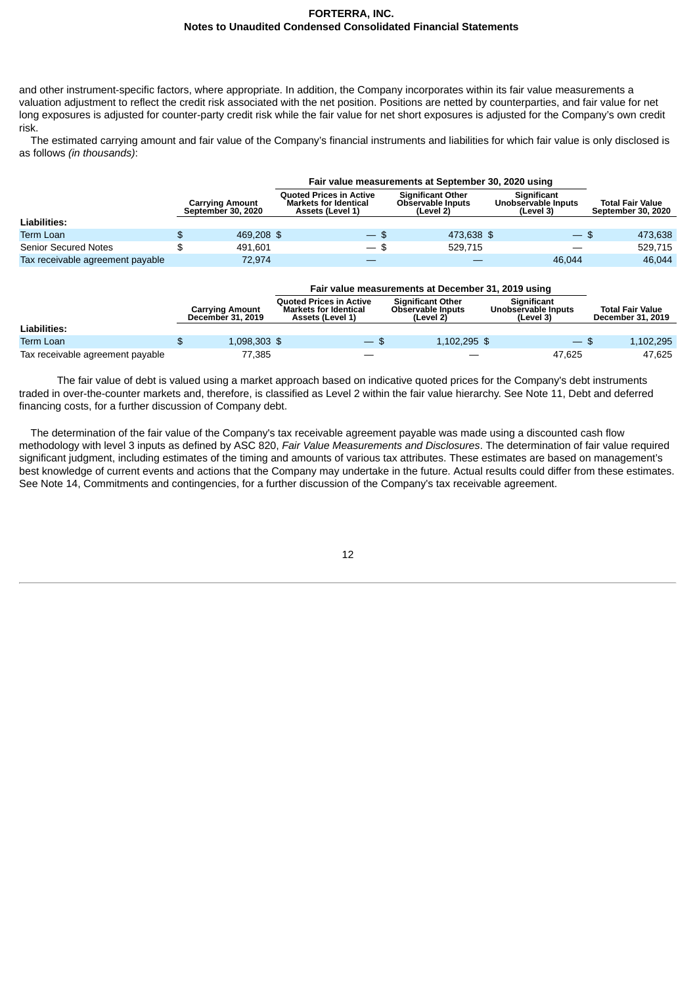and other instrument-specific factors, where appropriate. In addition, the Company incorporates within its fair value measurements a valuation adjustment to reflect the credit risk associated with the net position. Positions are netted by counterparties, and fair value for net long exposures is adjusted for counter-party credit risk while the fair value for net short exposures is adjusted for the Company's own credit risk.

The estimated carrying amount and fair value of the Company's financial instruments and liabilities for which fair value is only disclosed is as follows *(in thousands)*:

|                                  | Fair value measurements at September 30, 2020 using |  |                                                                                    |                                                            |  |                                                 |  |                                               |
|----------------------------------|-----------------------------------------------------|--|------------------------------------------------------------------------------------|------------------------------------------------------------|--|-------------------------------------------------|--|-----------------------------------------------|
|                                  | <b>Carrying Amount</b><br>September 30, 2020        |  | <b>Ouoted Prices in Active</b><br><b>Markets for Identical</b><br>Assets (Level 1) | <b>Significant Other</b><br>Observable Inputs<br>(Level 2) |  | Significant<br>Unobservable Inputs<br>(Level 3) |  | <b>Total Fair Value</b><br>September 30, 2020 |
| <b>Liabilities:</b>              |                                                     |  |                                                                                    |                                                            |  |                                                 |  |                                               |
| <b>Term Loan</b>                 | \$<br>469,208 \$                                    |  | $-$ \$                                                                             | 473,638 \$                                                 |  | $-$ \$                                          |  | 473,638                                       |
| <b>Senior Secured Notes</b>      | \$<br>491.601                                       |  | — \$                                                                               | 529.715                                                    |  |                                                 |  | 529,715                                       |
| Tax receivable agreement payable | 72.974                                              |  |                                                                                    |                                                            |  | 46.044                                          |  | 46.044                                        |
|                                  |                                                     |  |                                                                                    |                                                            |  |                                                 |  |                                               |
|                                  |                                                     |  |                                                                                    |                                                            |  |                                                 |  |                                               |

|                                  |                                                    | Fair value measurements at December 31, 2019 using |                                                                             |                                                                   |  |                                                        |  |                                              |  |
|----------------------------------|----------------------------------------------------|----------------------------------------------------|-----------------------------------------------------------------------------|-------------------------------------------------------------------|--|--------------------------------------------------------|--|----------------------------------------------|--|
|                                  | <b>Carrying Amount</b><br><b>December 31, 2019</b> |                                                    | Ouoted Prices in Active<br><b>Markets for Identical</b><br>Assets (Level 1) | <b>Significant Other</b><br><b>Observable Inputs</b><br>(Level 2) |  | <b>Significant</b><br>Unobservable Inputs<br>(Level 3) |  | <b>Total Fair Value</b><br>December 31, 2019 |  |
| <b>Liabilities:</b>              |                                                    |                                                    |                                                                             |                                                                   |  |                                                        |  |                                              |  |
| <b>Term Loan</b>                 | 1.098.303 \$                                       |                                                    | $-$ \$                                                                      | $1.102.295$ \$                                                    |  | $-$ \$                                                 |  | 1.102.295                                    |  |
| Tax receivable agreement payable | 77.385                                             |                                                    |                                                                             |                                                                   |  | 47.625                                                 |  | 47.625                                       |  |

The fair value of debt is valued using a market approach based on indicative quoted prices for the Company's debt instruments traded in over-the-counter markets and, therefore, is classified as Level 2 within the fair value hierarchy. See Note 11, Debt and deferred financing costs, for a further discussion of Company debt.

The determination of the fair value of the Company's tax receivable agreement payable was made using a discounted cash flow methodology with level 3 inputs as defined by ASC 820, *Fair Value Measurements and Disclosures*. The determination of fair value required significant judgment, including estimates of the timing and amounts of various tax attributes. These estimates are based on management's best knowledge of current events and actions that the Company may undertake in the future. Actual results could differ from these estimates. See Note 14, Commitments and contingencies, for a further discussion of the Company's tax receivable agreement.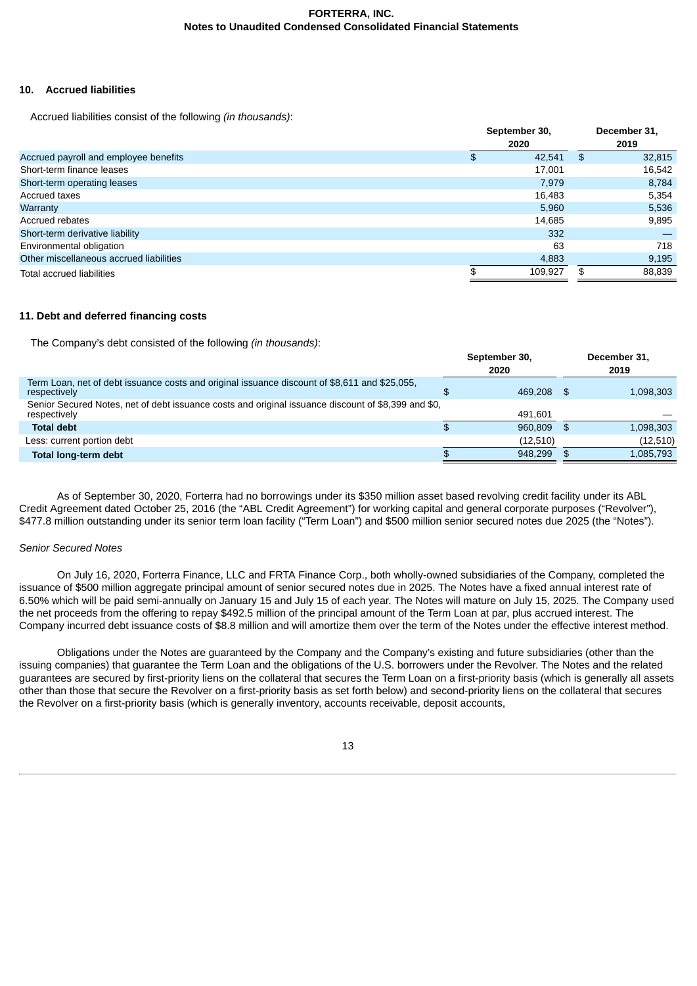## **10. Accrued liabilities**

Accrued liabilities consist of the following *(in thousands)*:

|                                         | September 30,<br>2020 | December 31,<br>2019 |
|-----------------------------------------|-----------------------|----------------------|
| Accrued payroll and employee benefits   | 42.541                | \$<br>32,815         |
| Short-term finance leases               | 17,001                | 16,542               |
| Short-term operating leases             | 7,979                 | 8,784                |
| Accrued taxes                           | 16,483                | 5,354                |
| Warranty                                | 5,960                 | 5,536                |
| Accrued rebates                         | 14,685                | 9,895                |
| Short-term derivative liability         | 332                   |                      |
| Environmental obligation                | 63                    | 718                  |
| Other miscellaneous accrued liabilities | 4.883                 | 9,195                |
| Total accrued liabilities               | 109,927               | 88,839               |

## **11. Debt and deferred financing costs**

The Company's debt consisted of the following *(in thousands)*:

|  |                                                                                                                     | September 30,<br>2020 | December 31.<br>2019 |
|--|---------------------------------------------------------------------------------------------------------------------|-----------------------|----------------------|
|  | Term Loan, net of debt issuance costs and original issuance discount of \$8,611 and \$25,055,<br>respectively       | \$<br>469.208         | \$<br>1,098,303      |
|  | Senior Secured Notes, net of debt issuance costs and original issuance discount of \$8,399 and \$0,<br>respectively | 491.601               |                      |
|  | <b>Total debt</b>                                                                                                   | 960,809               | \$<br>1,098,303      |
|  | Less: current portion debt                                                                                          | (12,510)              | (12,510)             |
|  | Total long-term debt                                                                                                | 948.299               | \$<br>1,085,793      |
|  |                                                                                                                     |                       |                      |

As of September 30, 2020, Forterra had no borrowings under its \$350 million asset based revolving credit facility under its ABL Credit Agreement dated October 25, 2016 (the "ABL Credit Agreement") for working capital and general corporate purposes ("Revolver"), \$477.8 million outstanding under its senior term loan facility ("Term Loan") and \$500 million senior secured notes due 2025 (the "Notes").

## *Senior Secured Notes*

On July 16, 2020, Forterra Finance, LLC and FRTA Finance Corp., both wholly-owned subsidiaries of the Company, completed the issuance of \$500 million aggregate principal amount of senior secured notes due in 2025. The Notes have a fixed annual interest rate of 6.50% which will be paid semi-annually on January 15 and July 15 of each year. The Notes will mature on July 15, 2025. The Company used the net proceeds from the offering to repay \$492.5 million of the principal amount of the Term Loan at par, plus accrued interest. The Company incurred debt issuance costs of \$8.8 million and will amortize them over the term of the Notes under the effective interest method.

Obligations under the Notes are guaranteed by the Company and the Company's existing and future subsidiaries (other than the issuing companies) that guarantee the Term Loan and the obligations of the U.S. borrowers under the Revolver. The Notes and the related guarantees are secured by first-priority liens on the collateral that secures the Term Loan on a first-priority basis (which is generally all assets other than those that secure the Revolver on a first-priority basis as set forth below) and second-priority liens on the collateral that secures the Revolver on a first-priority basis (which is generally inventory, accounts receivable, deposit accounts,

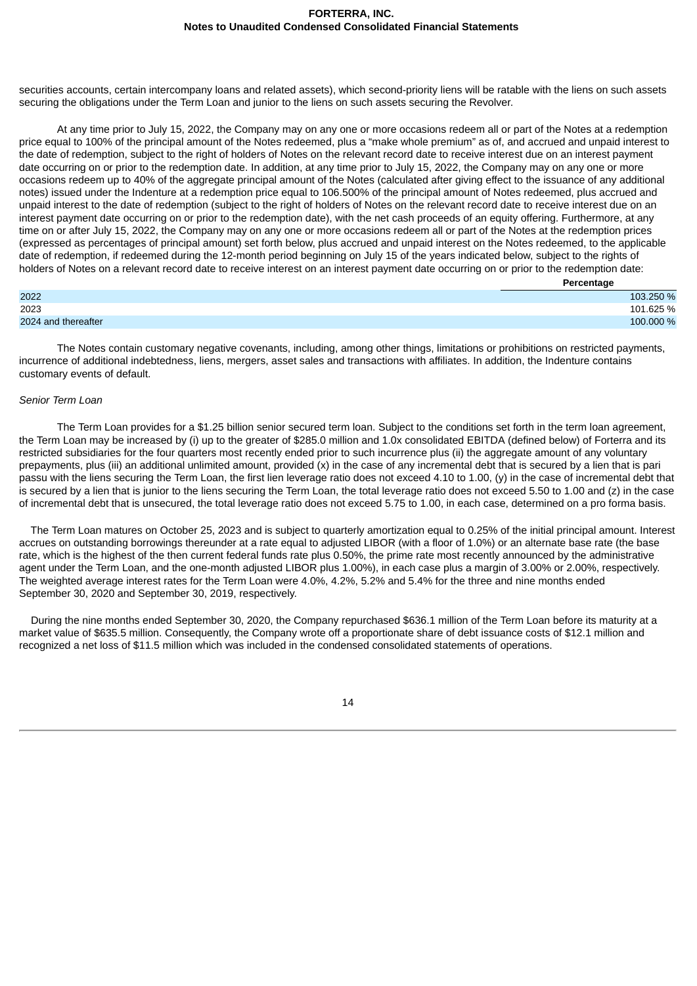securities accounts, certain intercompany loans and related assets), which second-priority liens will be ratable with the liens on such assets securing the obligations under the Term Loan and junior to the liens on such assets securing the Revolver.

At any time prior to July 15, 2022, the Company may on any one or more occasions redeem all or part of the Notes at a redemption price equal to 100% of the principal amount of the Notes redeemed, plus a "make whole premium" as of, and accrued and unpaid interest to the date of redemption, subject to the right of holders of Notes on the relevant record date to receive interest due on an interest payment date occurring on or prior to the redemption date. In addition, at any time prior to July 15, 2022, the Company may on any one or more occasions redeem up to 40% of the aggregate principal amount of the Notes (calculated after giving effect to the issuance of any additional notes) issued under the Indenture at a redemption price equal to 106.500% of the principal amount of Notes redeemed, plus accrued and unpaid interest to the date of redemption (subject to the right of holders of Notes on the relevant record date to receive interest due on an interest payment date occurring on or prior to the redemption date), with the net cash proceeds of an equity offering. Furthermore, at any time on or after July 15, 2022, the Company may on any one or more occasions redeem all or part of the Notes at the redemption prices (expressed as percentages of principal amount) set forth below, plus accrued and unpaid interest on the Notes redeemed, to the applicable date of redemption, if redeemed during the 12-month period beginning on July 15 of the years indicated below, subject to the rights of holders of Notes on a relevant record date to receive interest on an interest payment date occurring on or prior to the redemption date:

|                     | Percentage |
|---------------------|------------|
| 2022                | 103.250 %  |
| 2023                | 101.625 %  |
| 2024 and thereafter | 100.000 %  |

The Notes contain customary negative covenants, including, among other things, limitations or prohibitions on restricted payments, incurrence of additional indebtedness, liens, mergers, asset sales and transactions with affiliates. In addition, the Indenture contains customary events of default.

#### *Senior Term Loan*

The Term Loan provides for a \$1.25 billion senior secured term loan. Subject to the conditions set forth in the term loan agreement, the Term Loan may be increased by (i) up to the greater of \$285.0 million and 1.0x consolidated EBITDA (defined below) of Forterra and its restricted subsidiaries for the four quarters most recently ended prior to such incurrence plus (ii) the aggregate amount of any voluntary prepayments, plus (iii) an additional unlimited amount, provided (x) in the case of any incremental debt that is secured by a lien that is pari passu with the liens securing the Term Loan, the first lien leverage ratio does not exceed 4.10 to 1.00, (y) in the case of incremental debt that is secured by a lien that is junior to the liens securing the Term Loan, the total leverage ratio does not exceed 5.50 to 1.00 and (z) in the case of incremental debt that is unsecured, the total leverage ratio does not exceed 5.75 to 1.00, in each case, determined on a pro forma basis.

The Term Loan matures on October 25, 2023 and is subject to quarterly amortization equal to 0.25% of the initial principal amount. Interest accrues on outstanding borrowings thereunder at a rate equal to adjusted LIBOR (with a floor of 1.0%) or an alternate base rate (the base rate, which is the highest of the then current federal funds rate plus 0.50%, the prime rate most recently announced by the administrative agent under the Term Loan, and the one-month adjusted LIBOR plus 1.00%), in each case plus a margin of 3.00% or 2.00%, respectively. The weighted average interest rates for the Term Loan were 4.0%, 4.2%, 5.2% and 5.4% for the three and nine months ended September 30, 2020 and September 30, 2019, respectively.

During the nine months ended September 30, 2020, the Company repurchased \$636.1 million of the Term Loan before its maturity at a market value of \$635.5 million. Consequently, the Company wrote off a proportionate share of debt issuance costs of \$12.1 million and recognized a net loss of \$11.5 million which was included in the condensed consolidated statements of operations.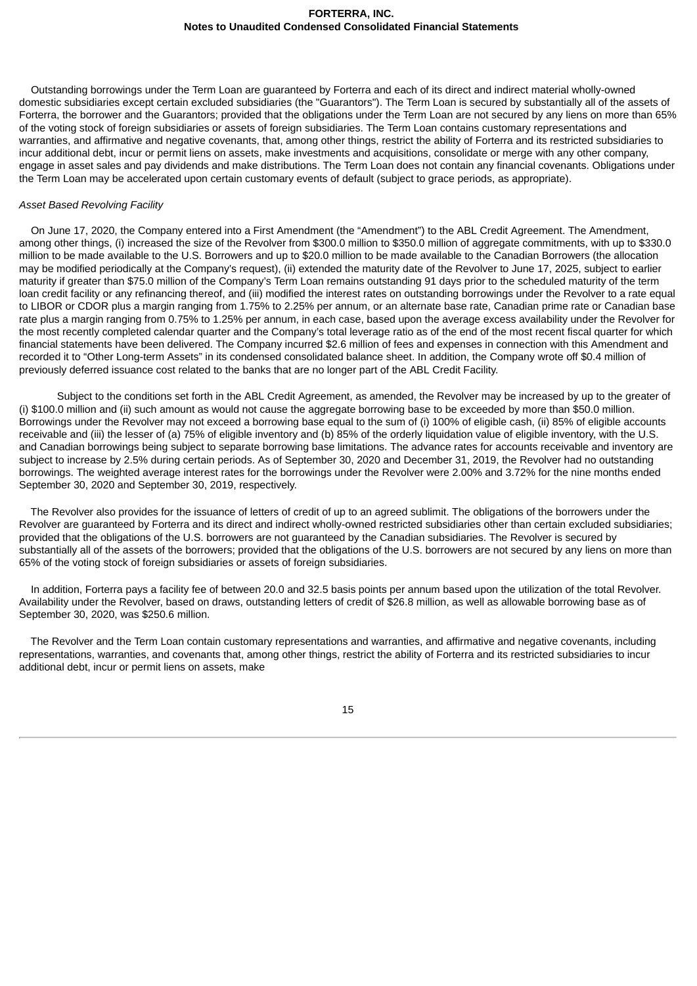Outstanding borrowings under the Term Loan are guaranteed by Forterra and each of its direct and indirect material wholly-owned domestic subsidiaries except certain excluded subsidiaries (the "Guarantors"). The Term Loan is secured by substantially all of the assets of Forterra, the borrower and the Guarantors; provided that the obligations under the Term Loan are not secured by any liens on more than 65% of the voting stock of foreign subsidiaries or assets of foreign subsidiaries. The Term Loan contains customary representations and warranties, and affirmative and negative covenants, that, among other things, restrict the ability of Forterra and its restricted subsidiaries to incur additional debt, incur or permit liens on assets, make investments and acquisitions, consolidate or merge with any other company, engage in asset sales and pay dividends and make distributions. The Term Loan does not contain any financial covenants. Obligations under the Term Loan may be accelerated upon certain customary events of default (subject to grace periods, as appropriate).

#### *Asset Based Revolving Facility*

On June 17, 2020, the Company entered into a First Amendment (the "Amendment") to the ABL Credit Agreement. The Amendment, among other things, (i) increased the size of the Revolver from \$300.0 million to \$350.0 million of aggregate commitments, with up to \$330.0 million to be made available to the U.S. Borrowers and up to \$20.0 million to be made available to the Canadian Borrowers (the allocation may be modified periodically at the Company's request), (ii) extended the maturity date of the Revolver to June 17, 2025, subject to earlier maturity if greater than \$75.0 million of the Company's Term Loan remains outstanding 91 days prior to the scheduled maturity of the term loan credit facility or any refinancing thereof, and (iii) modified the interest rates on outstanding borrowings under the Revolver to a rate equal to LIBOR or CDOR plus a margin ranging from 1.75% to 2.25% per annum, or an alternate base rate, Canadian prime rate or Canadian base rate plus a margin ranging from 0.75% to 1.25% per annum, in each case, based upon the average excess availability under the Revolver for the most recently completed calendar quarter and the Company's total leverage ratio as of the end of the most recent fiscal quarter for which financial statements have been delivered. The Company incurred \$2.6 million of fees and expenses in connection with this Amendment and recorded it to "Other Long-term Assets" in its condensed consolidated balance sheet. In addition, the Company wrote off \$0.4 million of previously deferred issuance cost related to the banks that are no longer part of the ABL Credit Facility.

Subject to the conditions set forth in the ABL Credit Agreement, as amended, the Revolver may be increased by up to the greater of (i) \$100.0 million and (ii) such amount as would not cause the aggregate borrowing base to be exceeded by more than \$50.0 million. Borrowings under the Revolver may not exceed a borrowing base equal to the sum of (i) 100% of eligible cash, (ii) 85% of eligible accounts receivable and (iii) the lesser of (a) 75% of eligible inventory and (b) 85% of the orderly liquidation value of eligible inventory, with the U.S. and Canadian borrowings being subject to separate borrowing base limitations. The advance rates for accounts receivable and inventory are subject to increase by 2.5% during certain periods. As of September 30, 2020 and December 31, 2019, the Revolver had no outstanding borrowings. The weighted average interest rates for the borrowings under the Revolver were 2.00% and 3.72% for the nine months ended September 30, 2020 and September 30, 2019, respectively.

The Revolver also provides for the issuance of letters of credit of up to an agreed sublimit. The obligations of the borrowers under the Revolver are guaranteed by Forterra and its direct and indirect wholly-owned restricted subsidiaries other than certain excluded subsidiaries; provided that the obligations of the U.S. borrowers are not guaranteed by the Canadian subsidiaries. The Revolver is secured by substantially all of the assets of the borrowers; provided that the obligations of the U.S. borrowers are not secured by any liens on more than 65% of the voting stock of foreign subsidiaries or assets of foreign subsidiaries.

In addition, Forterra pays a facility fee of between 20.0 and 32.5 basis points per annum based upon the utilization of the total Revolver. Availability under the Revolver, based on draws, outstanding letters of credit of \$26.8 million, as well as allowable borrowing base as of September 30, 2020, was \$250.6 million.

The Revolver and the Term Loan contain customary representations and warranties, and affirmative and negative covenants, including representations, warranties, and covenants that, among other things, restrict the ability of Forterra and its restricted subsidiaries to incur additional debt, incur or permit liens on assets, make

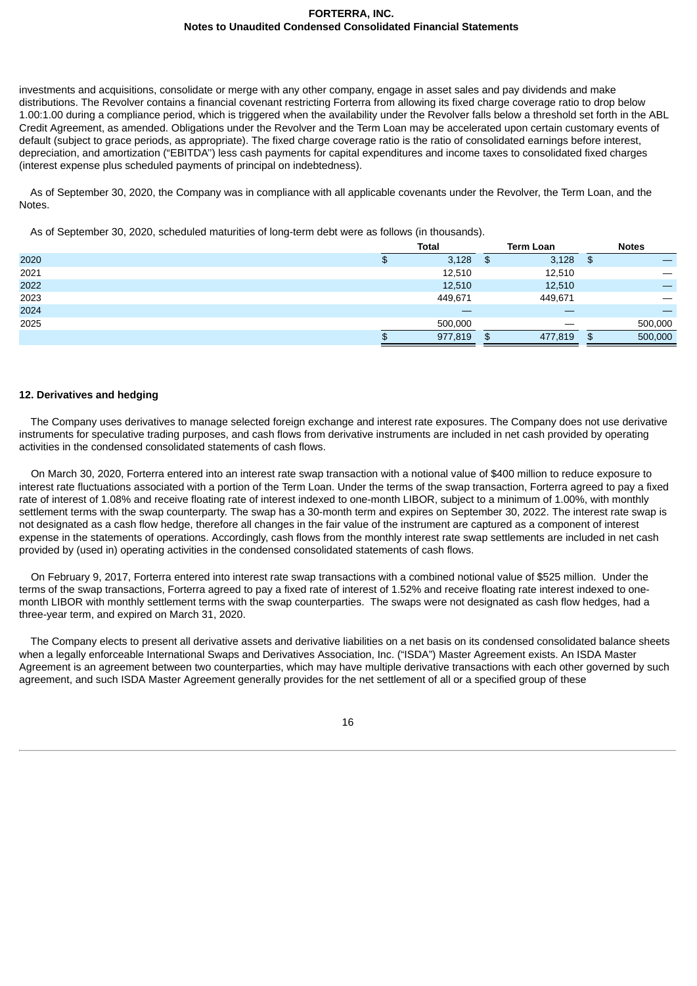investments and acquisitions, consolidate or merge with any other company, engage in asset sales and pay dividends and make distributions. The Revolver contains a financial covenant restricting Forterra from allowing its fixed charge coverage ratio to drop below 1.00:1.00 during a compliance period, which is triggered when the availability under the Revolver falls below a threshold set forth in the ABL Credit Agreement, as amended. Obligations under the Revolver and the Term Loan may be accelerated upon certain customary events of default (subject to grace periods, as appropriate). The fixed charge coverage ratio is the ratio of consolidated earnings before interest, depreciation, and amortization ("EBITDA'') less cash payments for capital expenditures and income taxes to consolidated fixed charges (interest expense plus scheduled payments of principal on indebtedness).

As of September 30, 2020, the Company was in compliance with all applicable covenants under the Revolver, the Term Loan, and the Notes.

As of September 30, 2020, scheduled maturities of long-term debt were as follows (in thousands).

|      | <b>Total</b> | <b>Term Loan</b> | <b>Notes</b>  |
|------|--------------|------------------|---------------|
| 2020 | 3,128<br>⊕   | 3,128<br>\$      | \$            |
| 2021 | 12,510       | 12,510           |               |
| 2022 | 12,510       | 12,510           |               |
| 2023 | 449,671      | 449,671          |               |
| 2024 |              |                  |               |
| 2025 | 500,000      |                  | 500,000       |
|      | 977,819      | 477,819<br>\$    | 500,000<br>\$ |

## **12. Derivatives and hedging**

The Company uses derivatives to manage selected foreign exchange and interest rate exposures. The Company does not use derivative instruments for speculative trading purposes, and cash flows from derivative instruments are included in net cash provided by operating activities in the condensed consolidated statements of cash flows.

On March 30, 2020, Forterra entered into an interest rate swap transaction with a notional value of \$400 million to reduce exposure to interest rate fluctuations associated with a portion of the Term Loan. Under the terms of the swap transaction, Forterra agreed to pay a fixed rate of interest of 1.08% and receive floating rate of interest indexed to one-month LIBOR, subject to a minimum of 1.00%, with monthly settlement terms with the swap counterparty. The swap has a 30-month term and expires on September 30, 2022. The interest rate swap is not designated as a cash flow hedge, therefore all changes in the fair value of the instrument are captured as a component of interest expense in the statements of operations. Accordingly, cash flows from the monthly interest rate swap settlements are included in net cash provided by (used in) operating activities in the condensed consolidated statements of cash flows.

On February 9, 2017, Forterra entered into interest rate swap transactions with a combined notional value of \$525 million. Under the terms of the swap transactions, Forterra agreed to pay a fixed rate of interest of 1.52% and receive floating rate interest indexed to onemonth LIBOR with monthly settlement terms with the swap counterparties. The swaps were not designated as cash flow hedges, had a three-year term, and expired on March 31, 2020.

The Company elects to present all derivative assets and derivative liabilities on a net basis on its condensed consolidated balance sheets when a legally enforceable International Swaps and Derivatives Association, Inc. ("ISDA") Master Agreement exists. An ISDA Master Agreement is an agreement between two counterparties, which may have multiple derivative transactions with each other governed by such agreement, and such ISDA Master Agreement generally provides for the net settlement of all or a specified group of these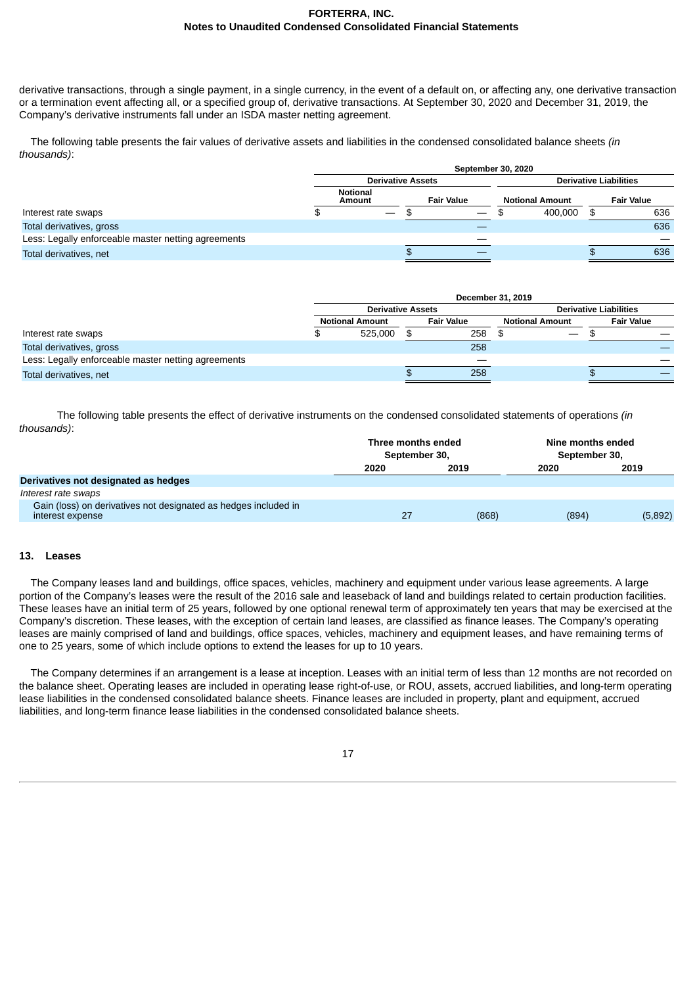derivative transactions, through a single payment, in a single currency, in the event of a default on, or affecting any, one derivative transaction or a termination event affecting all, or a specified group of, derivative transactions. At September 30, 2020 and December 31, 2019, the Company's derivative instruments fall under an ISDA master netting agreement.

The following table presents the fair values of derivative assets and liabilities in the condensed consolidated balance sheets *(in thousands)*:

|                                                     | September 30, 2020       |  |                   |                               |                        |  |                   |  |  |  |
|-----------------------------------------------------|--------------------------|--|-------------------|-------------------------------|------------------------|--|-------------------|--|--|--|
|                                                     | <b>Derivative Assets</b> |  |                   | <b>Derivative Liabilities</b> |                        |  |                   |  |  |  |
|                                                     | Notional<br>Amount       |  | <b>Fair Value</b> |                               | <b>Notional Amount</b> |  | <b>Fair Value</b> |  |  |  |
| Interest rate swaps                                 |                          |  |                   |                               | 400.000                |  | 636               |  |  |  |
| Total derivatives, gross                            |                          |  |                   |                               |                        |  | 636               |  |  |  |
| Less: Legally enforceable master netting agreements |                          |  |                   |                               |                        |  |                   |  |  |  |
| Total derivatives, net                              |                          |  |                   |                               |                        |  | 636               |  |  |  |

|                                                     |                        | December 31, 2019        |  |                               |                        |  |                   |  |  |  |  |
|-----------------------------------------------------|------------------------|--------------------------|--|-------------------------------|------------------------|--|-------------------|--|--|--|--|
|                                                     |                        | <b>Derivative Assets</b> |  | <b>Derivative Liabilities</b> |                        |  |                   |  |  |  |  |
|                                                     | <b>Notional Amount</b> |                          |  | <b>Fair Value</b>             | <b>Notional Amount</b> |  | <b>Fair Value</b> |  |  |  |  |
| Interest rate swaps                                 |                        | 525.000                  |  | 258                           |                        |  |                   |  |  |  |  |
| Total derivatives, gross                            |                        |                          |  | 258                           |                        |  |                   |  |  |  |  |
| Less: Legally enforceable master netting agreements |                        |                          |  |                               |                        |  |                   |  |  |  |  |
| Total derivatives, net                              |                        |                          |  | 258                           |                        |  |                   |  |  |  |  |

The following table presents the effect of derivative instruments on the condensed consolidated statements of operations *(in thousands)*:

|                                                                                     | Three months ended<br>September 30, |       | Nine months ended<br>September 30, |         |
|-------------------------------------------------------------------------------------|-------------------------------------|-------|------------------------------------|---------|
|                                                                                     | 2020                                | 2019  | 2020                               | 2019    |
| Derivatives not designated as hedges                                                |                                     |       |                                    |         |
| Interest rate swaps                                                                 |                                     |       |                                    |         |
| Gain (loss) on derivatives not designated as hedges included in<br>interest expense | 27                                  | (868) | (894)                              | (5,892) |

## **13. Leases**

The Company leases land and buildings, office spaces, vehicles, machinery and equipment under various lease agreements. A large portion of the Company's leases were the result of the 2016 sale and leaseback of land and buildings related to certain production facilities. These leases have an initial term of 25 years, followed by one optional renewal term of approximately ten years that may be exercised at the Company's discretion. These leases, with the exception of certain land leases, are classified as finance leases. The Company's operating leases are mainly comprised of land and buildings, office spaces, vehicles, machinery and equipment leases, and have remaining terms of one to 25 years, some of which include options to extend the leases for up to 10 years.

The Company determines if an arrangement is a lease at inception. Leases with an initial term of less than 12 months are not recorded on the balance sheet. Operating leases are included in operating lease right-of-use, or ROU, assets, accrued liabilities, and long-term operating lease liabilities in the condensed consolidated balance sheets. Finance leases are included in property, plant and equipment, accrued liabilities, and long-term finance lease liabilities in the condensed consolidated balance sheets.

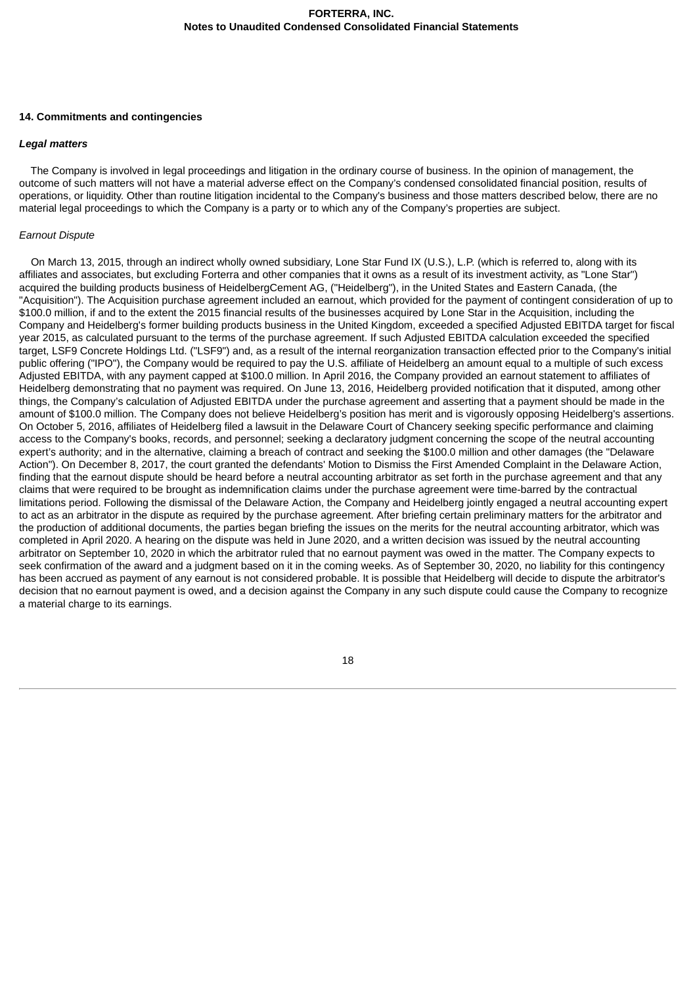## **14. Commitments and contingencies**

## *Legal matters*

The Company is involved in legal proceedings and litigation in the ordinary course of business. In the opinion of management, the outcome of such matters will not have a material adverse effect on the Company's condensed consolidated financial position, results of operations, or liquidity. Other than routine litigation incidental to the Company's business and those matters described below, there are no material legal proceedings to which the Company is a party or to which any of the Company's properties are subject.

## *Earnout Dispute*

On March 13, 2015, through an indirect wholly owned subsidiary, Lone Star Fund IX (U.S.), L.P. (which is referred to, along with its affiliates and associates, but excluding Forterra and other companies that it owns as a result of its investment activity, as "Lone Star") acquired the building products business of HeidelbergCement AG, ("Heidelberg"), in the United States and Eastern Canada, (the "Acquisition"). The Acquisition purchase agreement included an earnout, which provided for the payment of contingent consideration of up to \$100.0 million, if and to the extent the 2015 financial results of the businesses acquired by Lone Star in the Acquisition, including the Company and Heidelberg's former building products business in the United Kingdom, exceeded a specified Adjusted EBITDA target for fiscal year 2015, as calculated pursuant to the terms of the purchase agreement. If such Adjusted EBITDA calculation exceeded the specified target, LSF9 Concrete Holdings Ltd. ("LSF9") and, as a result of the internal reorganization transaction effected prior to the Company's initial public offering ("IPO"), the Company would be required to pay the U.S. affiliate of Heidelberg an amount equal to a multiple of such excess Adjusted EBITDA, with any payment capped at \$100.0 million. In April 2016, the Company provided an earnout statement to affiliates of Heidelberg demonstrating that no payment was required. On June 13, 2016, Heidelberg provided notification that it disputed, among other things, the Company's calculation of Adjusted EBITDA under the purchase agreement and asserting that a payment should be made in the amount of \$100.0 million. The Company does not believe Heidelberg's position has merit and is vigorously opposing Heidelberg's assertions. On October 5, 2016, affiliates of Heidelberg filed a lawsuit in the Delaware Court of Chancery seeking specific performance and claiming access to the Company's books, records, and personnel; seeking a declaratory judgment concerning the scope of the neutral accounting expert's authority; and in the alternative, claiming a breach of contract and seeking the \$100.0 million and other damages (the "Delaware Action"). On December 8, 2017, the court granted the defendants' Motion to Dismiss the First Amended Complaint in the Delaware Action, finding that the earnout dispute should be heard before a neutral accounting arbitrator as set forth in the purchase agreement and that any claims that were required to be brought as indemnification claims under the purchase agreement were time-barred by the contractual limitations period. Following the dismissal of the Delaware Action, the Company and Heidelberg jointly engaged a neutral accounting expert to act as an arbitrator in the dispute as required by the purchase agreement. After briefing certain preliminary matters for the arbitrator and the production of additional documents, the parties began briefing the issues on the merits for the neutral accounting arbitrator, which was completed in April 2020. A hearing on the dispute was held in June 2020, and a written decision was issued by the neutral accounting arbitrator on September 10, 2020 in which the arbitrator ruled that no earnout payment was owed in the matter. The Company expects to seek confirmation of the award and a judgment based on it in the coming weeks. As of September 30, 2020, no liability for this contingency has been accrued as payment of any earnout is not considered probable. It is possible that Heidelberg will decide to dispute the arbitrator's decision that no earnout payment is owed, and a decision against the Company in any such dispute could cause the Company to recognize a material charge to its earnings.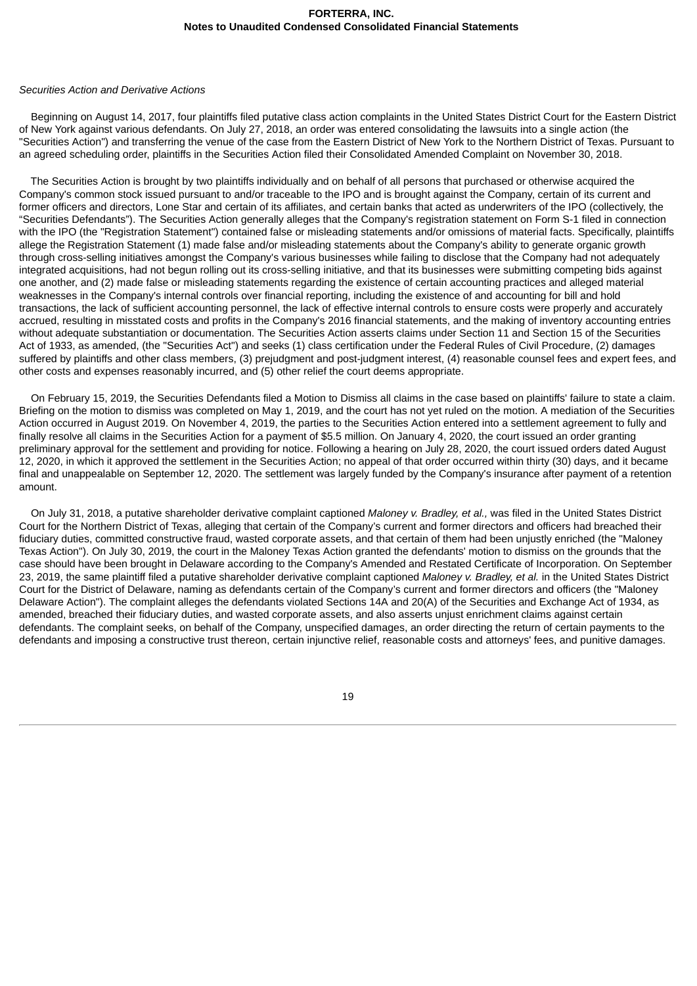#### *Securities Action and Derivative Actions*

Beginning on August 14, 2017, four plaintiffs filed putative class action complaints in the United States District Court for the Eastern District of New York against various defendants. On July 27, 2018, an order was entered consolidating the lawsuits into a single action (the "Securities Action") and transferring the venue of the case from the Eastern District of New York to the Northern District of Texas. Pursuant to an agreed scheduling order, plaintiffs in the Securities Action filed their Consolidated Amended Complaint on November 30, 2018.

The Securities Action is brought by two plaintiffs individually and on behalf of all persons that purchased or otherwise acquired the Company's common stock issued pursuant to and/or traceable to the IPO and is brought against the Company, certain of its current and former officers and directors, Lone Star and certain of its affiliates, and certain banks that acted as underwriters of the IPO (collectively, the "Securities Defendants"). The Securities Action generally alleges that the Company's registration statement on Form S-1 filed in connection with the IPO (the "Registration Statement") contained false or misleading statements and/or omissions of material facts. Specifically, plaintiffs allege the Registration Statement (1) made false and/or misleading statements about the Company's ability to generate organic growth through cross-selling initiatives amongst the Company's various businesses while failing to disclose that the Company had not adequately integrated acquisitions, had not begun rolling out its cross-selling initiative, and that its businesses were submitting competing bids against one another, and (2) made false or misleading statements regarding the existence of certain accounting practices and alleged material weaknesses in the Company's internal controls over financial reporting, including the existence of and accounting for bill and hold transactions, the lack of sufficient accounting personnel, the lack of effective internal controls to ensure costs were properly and accurately accrued, resulting in misstated costs and profits in the Company's 2016 financial statements, and the making of inventory accounting entries without adequate substantiation or documentation. The Securities Action asserts claims under Section 11 and Section 15 of the Securities Act of 1933, as amended, (the "Securities Act") and seeks (1) class certification under the Federal Rules of Civil Procedure, (2) damages suffered by plaintiffs and other class members, (3) prejudgment and post-judgment interest, (4) reasonable counsel fees and expert fees, and other costs and expenses reasonably incurred, and (5) other relief the court deems appropriate.

On February 15, 2019, the Securities Defendants filed a Motion to Dismiss all claims in the case based on plaintiffs' failure to state a claim. Briefing on the motion to dismiss was completed on May 1, 2019, and the court has not yet ruled on the motion. A mediation of the Securities Action occurred in August 2019. On November 4, 2019, the parties to the Securities Action entered into a settlement agreement to fully and finally resolve all claims in the Securities Action for a payment of \$5.5 million. On January 4, 2020, the court issued an order granting preliminary approval for the settlement and providing for notice. Following a hearing on July 28, 2020, the court issued orders dated August 12, 2020, in which it approved the settlement in the Securities Action; no appeal of that order occurred within thirty (30) days, and it became final and unappealable on September 12, 2020. The settlement was largely funded by the Company's insurance after payment of a retention amount.

On July 31, 2018, a putative shareholder derivative complaint captioned *Maloney v. Bradley, et al.,* was filed in the United States District Court for the Northern District of Texas, alleging that certain of the Company's current and former directors and officers had breached their fiduciary duties, committed constructive fraud, wasted corporate assets, and that certain of them had been unjustly enriched (the "Maloney Texas Action"). On July 30, 2019, the court in the Maloney Texas Action granted the defendants' motion to dismiss on the grounds that the case should have been brought in Delaware according to the Company's Amended and Restated Certificate of Incorporation. On September 23, 2019, the same plaintiff filed a putative shareholder derivative complaint captioned *Maloney v. Bradley, et al.* in the United States District Court for the District of Delaware, naming as defendants certain of the Company's current and former directors and officers (the "Maloney Delaware Action"). The complaint alleges the defendants violated Sections 14A and 20(A) of the Securities and Exchange Act of 1934, as amended, breached their fiduciary duties, and wasted corporate assets, and also asserts unjust enrichment claims against certain defendants. The complaint seeks, on behalf of the Company, unspecified damages, an order directing the return of certain payments to the defendants and imposing a constructive trust thereon, certain injunctive relief, reasonable costs and attorneys' fees, and punitive damages.

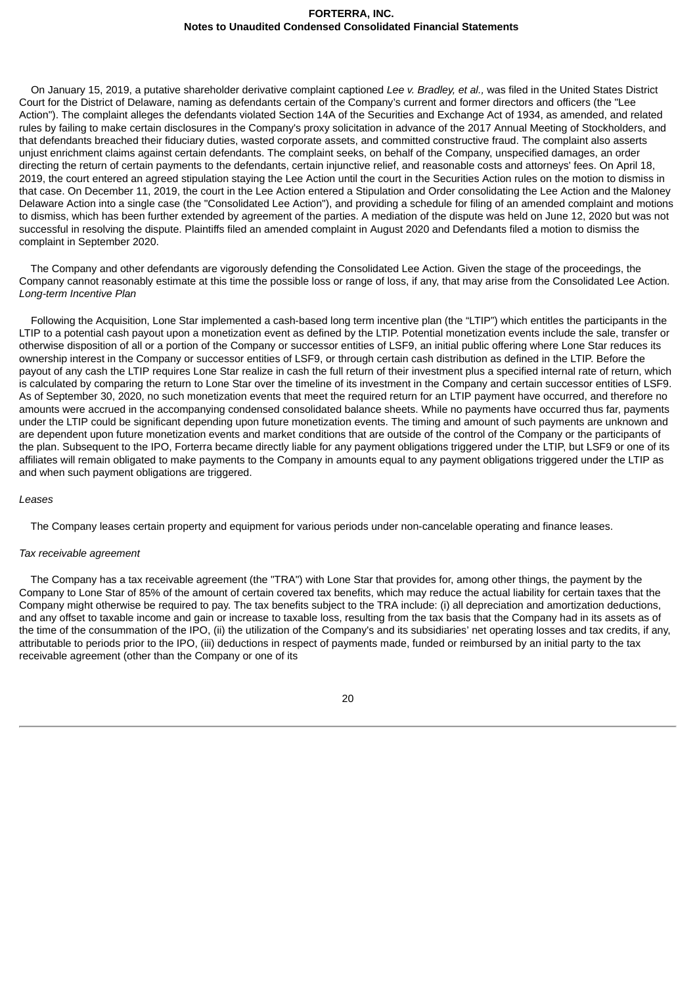On January 15, 2019, a putative shareholder derivative complaint captioned *Lee v. Bradley, et al.,* was filed in the United States District Court for the District of Delaware, naming as defendants certain of the Company's current and former directors and officers (the "Lee Action"). The complaint alleges the defendants violated Section 14A of the Securities and Exchange Act of 1934, as amended, and related rules by failing to make certain disclosures in the Company's proxy solicitation in advance of the 2017 Annual Meeting of Stockholders, and that defendants breached their fiduciary duties, wasted corporate assets, and committed constructive fraud. The complaint also asserts unjust enrichment claims against certain defendants. The complaint seeks, on behalf of the Company, unspecified damages, an order directing the return of certain payments to the defendants, certain injunctive relief, and reasonable costs and attorneys' fees. On April 18, 2019, the court entered an agreed stipulation staying the Lee Action until the court in the Securities Action rules on the motion to dismiss in that case. On December 11, 2019, the court in the Lee Action entered a Stipulation and Order consolidating the Lee Action and the Maloney Delaware Action into a single case (the "Consolidated Lee Action"), and providing a schedule for filing of an amended complaint and motions to dismiss, which has been further extended by agreement of the parties. A mediation of the dispute was held on June 12, 2020 but was not successful in resolving the dispute. Plaintiffs filed an amended complaint in August 2020 and Defendants filed a motion to dismiss the complaint in September 2020.

The Company and other defendants are vigorously defending the Consolidated Lee Action. Given the stage of the proceedings, the Company cannot reasonably estimate at this time the possible loss or range of loss, if any, that may arise from the Consolidated Lee Action. *Long-term Incentive Plan*

Following the Acquisition, Lone Star implemented a cash-based long term incentive plan (the "LTIP") which entitles the participants in the LTIP to a potential cash payout upon a monetization event as defined by the LTIP. Potential monetization events include the sale, transfer or otherwise disposition of all or a portion of the Company or successor entities of LSF9, an initial public offering where Lone Star reduces its ownership interest in the Company or successor entities of LSF9, or through certain cash distribution as defined in the LTIP. Before the payout of any cash the LTIP requires Lone Star realize in cash the full return of their investment plus a specified internal rate of return, which is calculated by comparing the return to Lone Star over the timeline of its investment in the Company and certain successor entities of LSF9. As of September 30, 2020, no such monetization events that meet the required return for an LTIP payment have occurred, and therefore no amounts were accrued in the accompanying condensed consolidated balance sheets. While no payments have occurred thus far, payments under the LTIP could be significant depending upon future monetization events. The timing and amount of such payments are unknown and are dependent upon future monetization events and market conditions that are outside of the control of the Company or the participants of the plan. Subsequent to the IPO, Forterra became directly liable for any payment obligations triggered under the LTIP, but LSF9 or one of its affiliates will remain obligated to make payments to the Company in amounts equal to any payment obligations triggered under the LTIP as and when such payment obligations are triggered.

#### *Leases*

The Company leases certain property and equipment for various periods under non-cancelable operating and finance leases.

#### *Tax receivable agreement*

The Company has a tax receivable agreement (the "TRA") with Lone Star that provides for, among other things, the payment by the Company to Lone Star of 85% of the amount of certain covered tax benefits, which may reduce the actual liability for certain taxes that the Company might otherwise be required to pay. The tax benefits subject to the TRA include: (i) all depreciation and amortization deductions, and any offset to taxable income and gain or increase to taxable loss, resulting from the tax basis that the Company had in its assets as of the time of the consummation of the IPO, (ii) the utilization of the Company's and its subsidiaries' net operating losses and tax credits, if any, attributable to periods prior to the IPO, (iii) deductions in respect of payments made, funded or reimbursed by an initial party to the tax receivable agreement (other than the Company or one of its

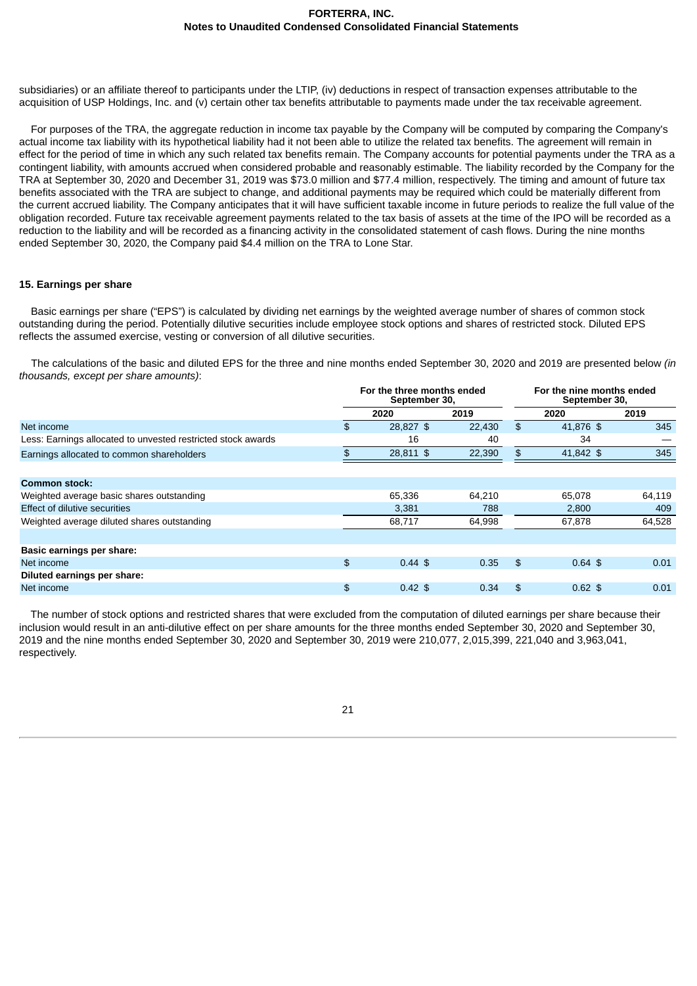subsidiaries) or an affiliate thereof to participants under the LTIP, (iv) deductions in respect of transaction expenses attributable to the acquisition of USP Holdings, Inc. and (v) certain other tax benefits attributable to payments made under the tax receivable agreement.

For purposes of the TRA, the aggregate reduction in income tax payable by the Company will be computed by comparing the Company's actual income tax liability with its hypothetical liability had it not been able to utilize the related tax benefits. The agreement will remain in effect for the period of time in which any such related tax benefits remain. The Company accounts for potential payments under the TRA as a contingent liability, with amounts accrued when considered probable and reasonably estimable. The liability recorded by the Company for the TRA at September 30, 2020 and December 31, 2019 was \$73.0 million and \$77.4 million, respectively. The timing and amount of future tax benefits associated with the TRA are subject to change, and additional payments may be required which could be materially different from the current accrued liability. The Company anticipates that it will have sufficient taxable income in future periods to realize the full value of the obligation recorded. Future tax receivable agreement payments related to the tax basis of assets at the time of the IPO will be recorded as a reduction to the liability and will be recorded as a financing activity in the consolidated statement of cash flows. During the nine months ended September 30, 2020, the Company paid \$4.4 million on the TRA to Lone Star.

#### **15. Earnings per share**

Basic earnings per share ("EPS") is calculated by dividing net earnings by the weighted average number of shares of common stock outstanding during the period. Potentially dilutive securities include employee stock options and shares of restricted stock. Diluted EPS reflects the assumed exercise, vesting or conversion of all dilutive securities.

The calculations of the basic and diluted EPS for the three and nine months ended September 30, 2020 and 2019 are presented below *(in thousands, except per share amounts)*:

|                                                              | For the three months ended<br>September 30, |        |    | For the nine months ended<br>September 30, |        |
|--------------------------------------------------------------|---------------------------------------------|--------|----|--------------------------------------------|--------|
|                                                              | 2020                                        | 2019   |    | 2020                                       | 2019   |
| Net income                                                   | \$<br>28,827 \$                             | 22,430 | \$ | 41,876 \$                                  | 345    |
| Less: Earnings allocated to unvested restricted stock awards | 16                                          | 40     |    | 34                                         |        |
| Earnings allocated to common shareholders                    | 28,811 \$                                   | 22,390 | \$ | 41,842 \$                                  | 345    |
| <b>Common stock:</b>                                         |                                             |        |    |                                            |        |
| Weighted average basic shares outstanding                    | 65,336                                      | 64.210 |    | 65.078                                     | 64,119 |
| <b>Effect of dilutive securities</b>                         | 3,381                                       | 788    |    | 2,800                                      | 409    |
| Weighted average diluted shares outstanding                  | 68,717                                      | 64,998 |    | 67,878                                     | 64,528 |
| Basic earnings per share:                                    |                                             |        |    |                                            |        |
| Net income                                                   | \$<br>$0.44$ \$                             | 0.35   | \$ | $0.64$ \$                                  | 0.01   |
| Diluted earnings per share:                                  |                                             |        |    |                                            |        |
| Net income                                                   | \$<br>$0.42$ \$                             | 0.34   | \$ | $0.62$ \$                                  | 0.01   |
|                                                              |                                             |        |    |                                            |        |

The number of stock options and restricted shares that were excluded from the computation of diluted earnings per share because their inclusion would result in an anti-dilutive effect on per share amounts for the three months ended September 30, 2020 and September 30, 2019 and the nine months ended September 30, 2020 and September 30, 2019 were 210,077, 2,015,399, 221,040 and 3,963,041, respectively.

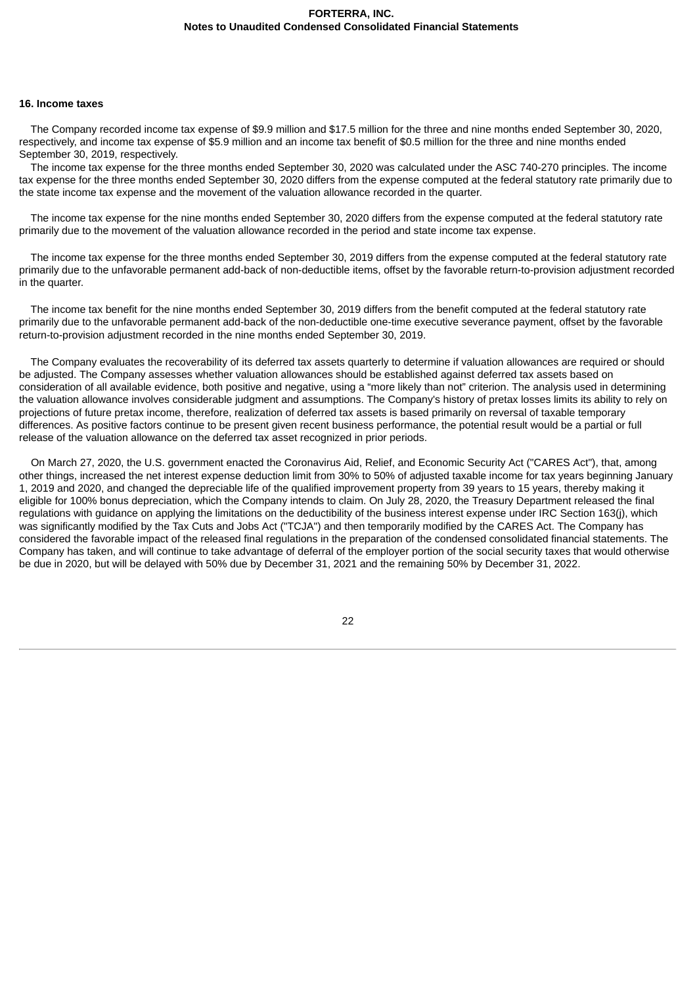#### **16. Income taxes**

The Company recorded income tax expense of \$9.9 million and \$17.5 million for the three and nine months ended September 30, 2020, respectively, and income tax expense of \$5.9 million and an income tax benefit of \$0.5 million for the three and nine months ended September 30, 2019, respectively.

The income tax expense for the three months ended September 30, 2020 was calculated under the ASC 740-270 principles. The income tax expense for the three months ended September 30, 2020 differs from the expense computed at the federal statutory rate primarily due to the state income tax expense and the movement of the valuation allowance recorded in the quarter.

The income tax expense for the nine months ended September 30, 2020 differs from the expense computed at the federal statutory rate primarily due to the movement of the valuation allowance recorded in the period and state income tax expense.

The income tax expense for the three months ended September 30, 2019 differs from the expense computed at the federal statutory rate primarily due to the unfavorable permanent add-back of non-deductible items, offset by the favorable return-to-provision adjustment recorded in the quarter.

The income tax benefit for the nine months ended September 30, 2019 differs from the benefit computed at the federal statutory rate primarily due to the unfavorable permanent add-back of the non-deductible one-time executive severance payment, offset by the favorable return-to-provision adjustment recorded in the nine months ended September 30, 2019.

The Company evaluates the recoverability of its deferred tax assets quarterly to determine if valuation allowances are required or should be adjusted. The Company assesses whether valuation allowances should be established against deferred tax assets based on consideration of all available evidence, both positive and negative, using a "more likely than not" criterion. The analysis used in determining the valuation allowance involves considerable judgment and assumptions. The Company's history of pretax losses limits its ability to rely on projections of future pretax income, therefore, realization of deferred tax assets is based primarily on reversal of taxable temporary differences. As positive factors continue to be present given recent business performance, the potential result would be a partial or full release of the valuation allowance on the deferred tax asset recognized in prior periods.

On March 27, 2020, the U.S. government enacted the Coronavirus Aid, Relief, and Economic Security Act ("CARES Act"), that, among other things, increased the net interest expense deduction limit from 30% to 50% of adjusted taxable income for tax years beginning January 1, 2019 and 2020, and changed the depreciable life of the qualified improvement property from 39 years to 15 years, thereby making it eligible for 100% bonus depreciation, which the Company intends to claim. On July 28, 2020, the Treasury Department released the final regulations with guidance on applying the limitations on the deductibility of the business interest expense under IRC Section 163(j), which was significantly modified by the Tax Cuts and Jobs Act ("TCJA") and then temporarily modified by the CARES Act. The Company has considered the favorable impact of the released final regulations in the preparation of the condensed consolidated financial statements. The Company has taken, and will continue to take advantage of deferral of the employer portion of the social security taxes that would otherwise be due in 2020, but will be delayed with 50% due by December 31, 2021 and the remaining 50% by December 31, 2022.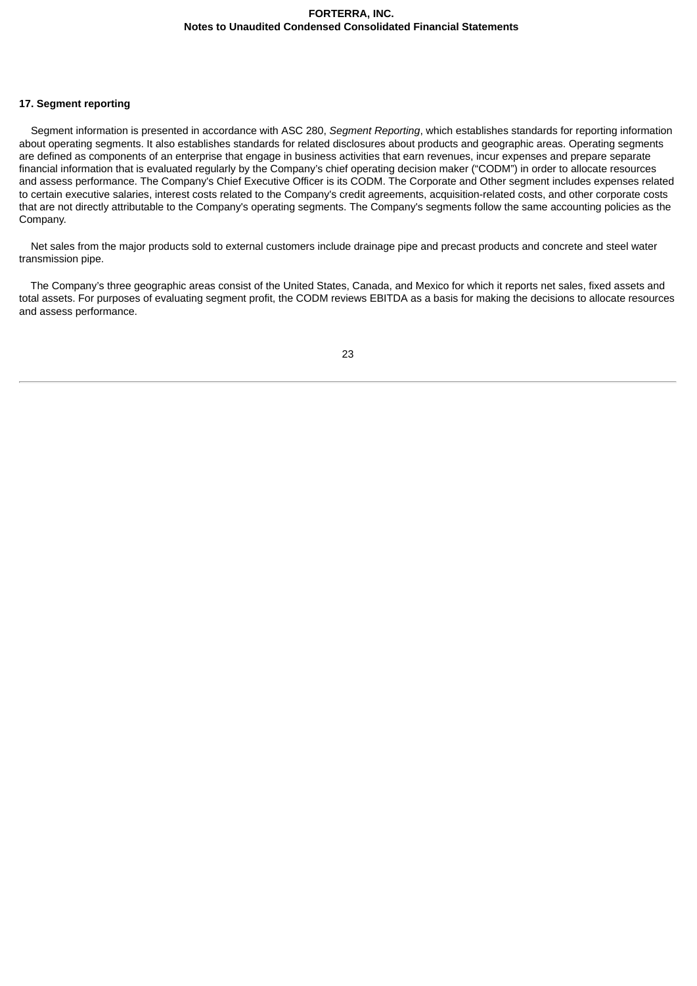## **17. Segment reporting**

Segment information is presented in accordance with ASC 280, *Segment Reporting*, which establishes standards for reporting information about operating segments. It also establishes standards for related disclosures about products and geographic areas. Operating segments are defined as components of an enterprise that engage in business activities that earn revenues, incur expenses and prepare separate financial information that is evaluated regularly by the Company's chief operating decision maker ("CODM") in order to allocate resources and assess performance. The Company's Chief Executive Officer is its CODM. The Corporate and Other segment includes expenses related to certain executive salaries, interest costs related to the Company's credit agreements, acquisition-related costs, and other corporate costs that are not directly attributable to the Company's operating segments. The Company's segments follow the same accounting policies as the Company.

Net sales from the major products sold to external customers include drainage pipe and precast products and concrete and steel water transmission pipe.

The Company's three geographic areas consist of the United States, Canada, and Mexico for which it reports net sales, fixed assets and total assets. For purposes of evaluating segment profit, the CODM reviews EBITDA as a basis for making the decisions to allocate resources and assess performance.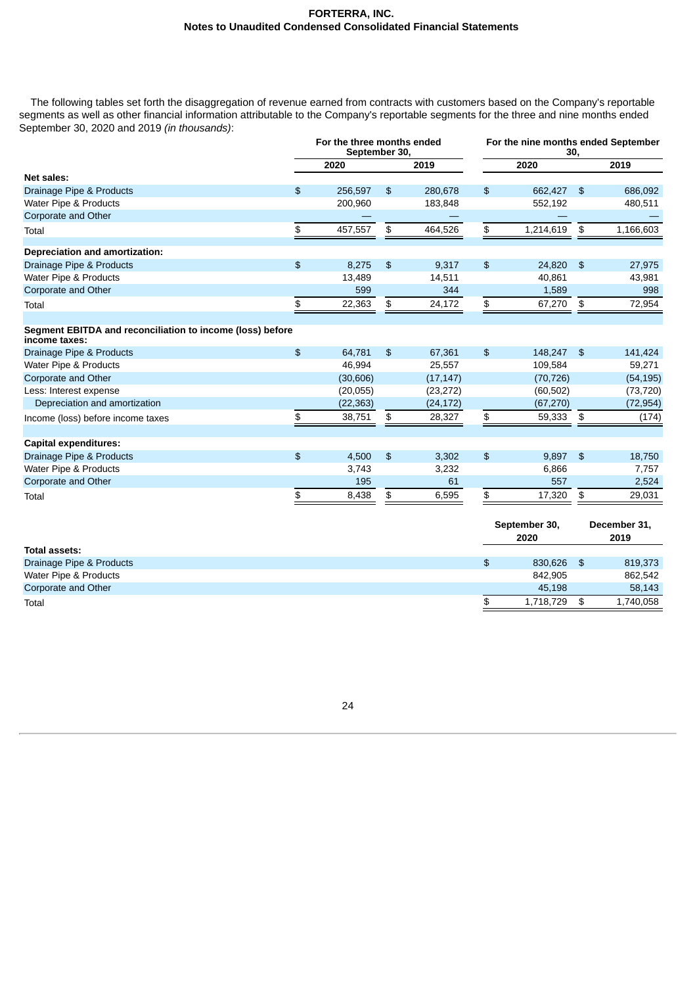The following tables set forth the disaggregation of revenue earned from contracts with customers based on the Company's reportable segments as well as other financial information attributable to the Company's reportable segments for the three and nine months ended September 30, 2020 and 2019 *(in thousands)*:

|                                                                            | For the three months ended<br>September 30, |                |           |               |           | For the nine months ended September<br>30, |           |
|----------------------------------------------------------------------------|---------------------------------------------|----------------|-----------|---------------|-----------|--------------------------------------------|-----------|
|                                                                            | 2020                                        |                | 2019      |               | 2020      |                                            | 2019      |
| Net sales:                                                                 |                                             |                |           |               |           |                                            |           |
| \$<br>Drainage Pipe & Products                                             | 256,597                                     | $\mathfrak{P}$ | 280,678   | \$            | 662,427   | \$                                         | 686,092   |
| Water Pipe & Products                                                      | 200,960                                     |                | 183,848   |               | 552,192   |                                            | 480,511   |
| Corporate and Other                                                        |                                             |                |           |               |           |                                            |           |
| \$<br>Total                                                                | 457,557                                     | \$             | 464,526   | \$            | 1,214,619 | \$                                         | 1,166,603 |
| Depreciation and amortization:                                             |                                             |                |           |               |           |                                            |           |
| \$<br>Drainage Pipe & Products                                             | 8,275                                       | \$             | 9,317     | \$            | 24,820    | $\mathfrak{L}$                             | 27,975    |
| Water Pipe & Products                                                      | 13,489                                      |                | 14,511    |               | 40,861    |                                            | 43,981    |
| Corporate and Other                                                        | 599                                         |                | 344       |               | 1,589     |                                            | 998       |
| \$<br>Total                                                                | 22,363                                      | \$             | 24,172    | \$            | 67,270    | \$                                         | 72,954    |
| Segment EBITDA and reconciliation to income (loss) before<br>income taxes: |                                             |                |           |               |           |                                            |           |
| $\frac{4}{5}$<br>Drainage Pipe & Products                                  | 64,781                                      | $\mathfrak{D}$ | 67,361    | $\frac{2}{3}$ | 148,247   | \$                                         | 141,424   |
| Water Pipe & Products                                                      | 46,994                                      |                | 25,557    |               | 109,584   |                                            | 59,271    |
| Corporate and Other                                                        | (30,606)                                    |                | (17, 147) |               | (70, 726) |                                            | (54, 195) |
| Less: Interest expense                                                     | (20, 055)                                   |                | (23, 272) |               | (60, 502) |                                            | (73, 720) |
| Depreciation and amortization                                              | (22, 363)                                   |                | (24, 172) |               | (67, 270) |                                            | (72, 954) |
| \$<br>Income (loss) before income taxes                                    | 38,751                                      | \$             | 28,327    | \$            | 59,333    | \$                                         | (174)     |
| <b>Capital expenditures:</b>                                               |                                             |                |           |               |           |                                            |           |
| \$<br>Drainage Pipe & Products                                             | 4,500                                       | $\mathfrak{D}$ | 3,302     | $\frac{2}{3}$ | 9,897     | $\mathfrak{D}$                             | 18,750    |
| Water Pipe & Products                                                      | 3,743                                       |                | 3,232     |               | 6,866     |                                            | 7,757     |
| Corporate and Other                                                        | 195                                         |                | 61        |               | 557       |                                            | 2,524     |
| \$<br>Total                                                                | 8,438                                       | \$             | 6,595     | \$            | 17,320    | \$                                         | 29,031    |

|                          | September 30,<br>2020 |     | December 31,<br>2019 |
|--------------------------|-----------------------|-----|----------------------|
| Total assets:            |                       |     |                      |
| Drainage Pipe & Products | 830,626<br>\$         | -\$ | 819,373              |
| Water Pipe & Products    | 842.905               |     | 862,542              |
| Corporate and Other      | 45.198                |     | 58,143               |
| Total                    | 1,718,729<br>\$       |     | 1,740,058<br>\$      |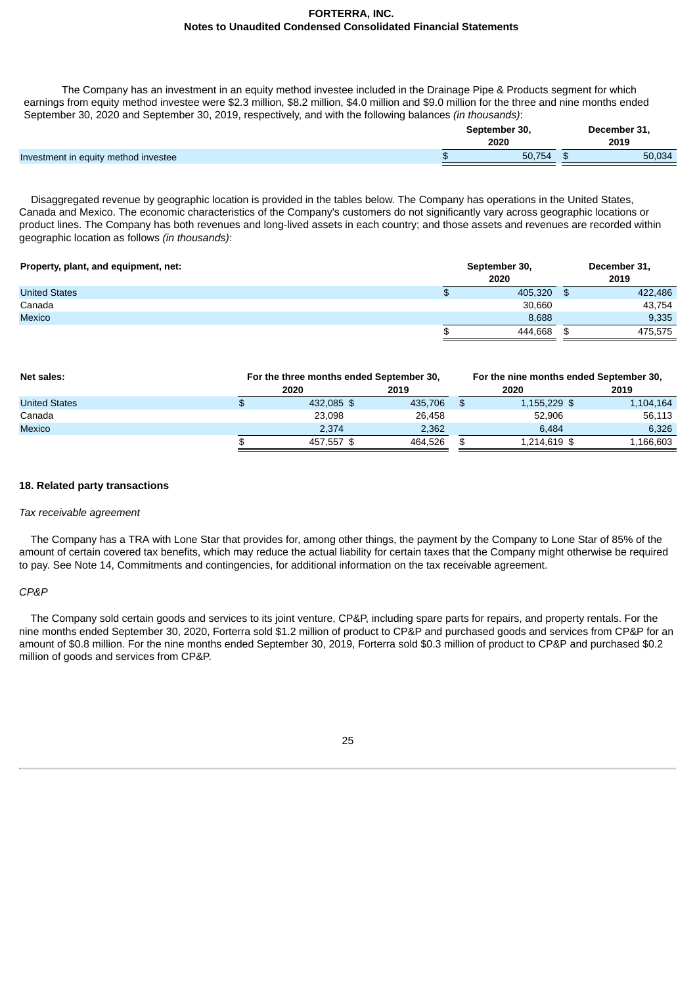The Company has an investment in an equity method investee included in the Drainage Pipe & Products segment for which earnings from equity method investee were \$2.3 million, \$8.2 million, \$4.0 million and \$9.0 million for the three and nine months ended September 30, 2020 and September 30, 2019, respectively, and with the following balances *(in thousands)*:

|                                      | September 30, | December 31, |        |  |
|--------------------------------------|---------------|--------------|--------|--|
|                                      | 2020          |              | 2019   |  |
| Investment in equity method investee | 50.754        |              | 50,034 |  |

Disaggregated revenue by geographic location is provided in the tables below. The Company has operations in the United States, Canada and Mexico. The economic characteristics of the Company's customers do not significantly vary across geographic locations or product lines. The Company has both revenues and long-lived assets in each country; and those assets and revenues are recorded within geographic location as follows *(in thousands)*:

| Property, plant, and equipment, net: |   | September 30, | December 31, |         |  |
|--------------------------------------|---|---------------|--------------|---------|--|
|                                      |   | 2020          |              | 2019    |  |
| <b>United States</b>                 | ⊕ | 405.320       | \$           | 422,486 |  |
| Canada                               |   | 30.660        |              | 43,754  |  |
| <b>Mexico</b>                        |   | 8,688         |              | 9,335   |  |
|                                      |   | 444.668       | £.           | 475.575 |  |

| Net sales:           |            | For the three months ended September 30, |  |              | For the nine months ended September 30, |  |  |  |
|----------------------|------------|------------------------------------------|--|--------------|-----------------------------------------|--|--|--|
|                      | 2020       | 2019                                     |  | 2020         | 2019                                    |  |  |  |
| <b>United States</b> | 432,085 \$ | 435.706                                  |  | 1,155,229 \$ | 1,104,164                               |  |  |  |
| Canada               | 23.098     | 26.458                                   |  | 52.906       | 56.113                                  |  |  |  |
| <b>Mexico</b>        | 2.374      | 2,362                                    |  | 6.484        | 6.326                                   |  |  |  |
|                      | 457.557 \$ | 464.526                                  |  | 1,214,619 \$ | 1,166,603                               |  |  |  |

## **18. Related party transactions**

#### *Tax receivable agreement*

The Company has a TRA with Lone Star that provides for, among other things, the payment by the Company to Lone Star of 85% of the amount of certain covered tax benefits, which may reduce the actual liability for certain taxes that the Company might otherwise be required to pay. See Note 14, Commitments and contingencies, for additional information on the tax receivable agreement.

## *CP&P*

The Company sold certain goods and services to its joint venture, CP&P, including spare parts for repairs, and property rentals. For the nine months ended September 30, 2020, Forterra sold \$1.2 million of product to CP&P and purchased goods and services from CP&P for an amount of \$0.8 million. For the nine months ended September 30, 2019, Forterra sold \$0.3 million of product to CP&P and purchased \$0.2 million of goods and services from CP&P.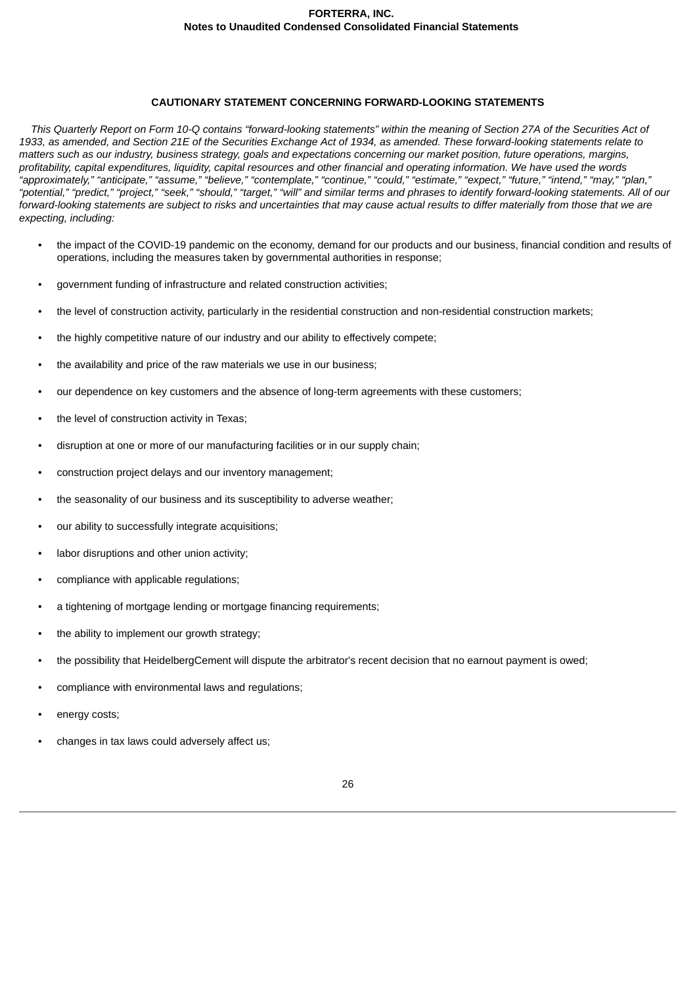## **CAUTIONARY STATEMENT CONCERNING FORWARD-LOOKING STATEMENTS**

This Quarterly Report on Form 10-Q contains "forward-looking statements" within the meaning of Section 27A of the Securities Act of 1933, as amended, and Section 21E of the Securities Exchange Act of 1934, as amended. These forward-looking statements relate to matters such as our industry, business strategy, goals and expectations concerning our market position, future operations, margins, profitability, capital expenditures, liquidity, capital resources and other financial and operating information. We have used the words "approximately," "anticipate," "assume," "believe," "contemplate," "continue," "could," "estimate," "expect," "future," "intend," "may," "plan," "potential," "predict," "project," "seek," "should," "target," "will" and similar terms and phrases to identify forward-looking statements. All of our forward-looking statements are subject to risks and uncertainties that may cause actual results to differ materially from those that we are *expecting, including:*

- the impact of the COVID-19 pandemic on the economy, demand for our products and our business, financial condition and results of operations, including the measures taken by governmental authorities in response;
- government funding of infrastructure and related construction activities;
- the level of construction activity, particularly in the residential construction and non-residential construction markets;
- the highly competitive nature of our industry and our ability to effectively compete;
- the availability and price of the raw materials we use in our business;
- our dependence on key customers and the absence of long-term agreements with these customers;
- the level of construction activity in Texas;
- disruption at one or more of our manufacturing facilities or in our supply chain;
- construction project delays and our inventory management;
- the seasonality of our business and its susceptibility to adverse weather;
- our ability to successfully integrate acquisitions;
- labor disruptions and other union activity;
- compliance with applicable regulations;
- a tightening of mortgage lending or mortgage financing requirements;
- the ability to implement our growth strategy;
- the possibility that HeidelbergCement will dispute the arbitrator's recent decision that no earnout payment is owed;
- compliance with environmental laws and regulations;
- energy costs;
- changes in tax laws could adversely affect us;

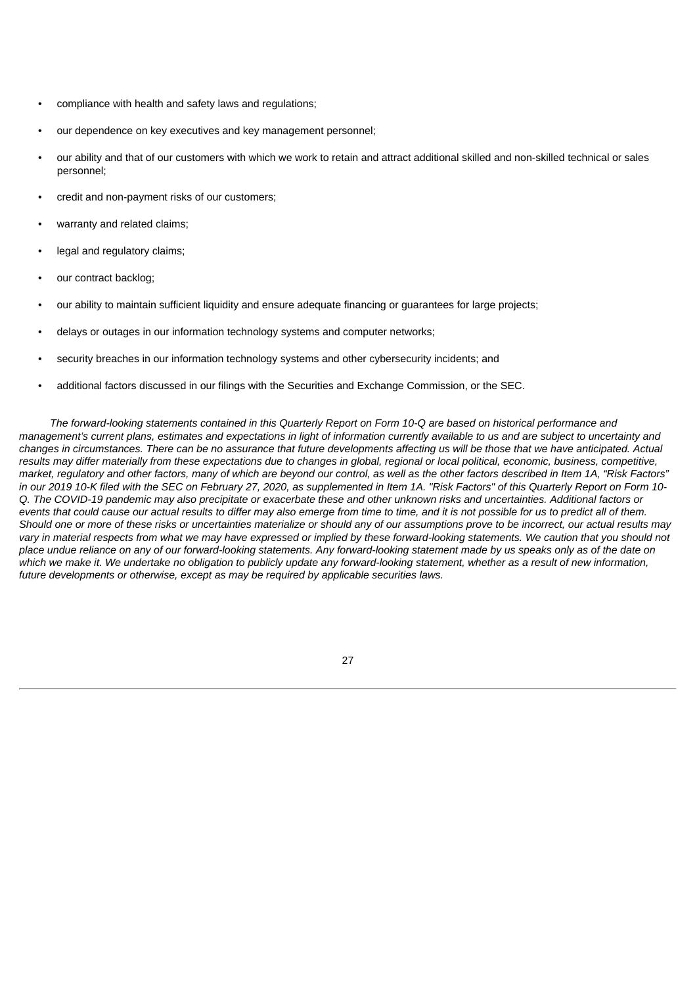- compliance with health and safety laws and regulations;
- our dependence on key executives and key management personnel;
- our ability and that of our customers with which we work to retain and attract additional skilled and non-skilled technical or sales personnel;
- credit and non-payment risks of our customers;
- warranty and related claims;
- legal and regulatory claims;
- our contract backlog;
- our ability to maintain sufficient liquidity and ensure adequate financing or guarantees for large projects;
- delays or outages in our information technology systems and computer networks;
- security breaches in our information technology systems and other cybersecurity incidents; and
- additional factors discussed in our filings with the Securities and Exchange Commission, or the SEC.

<span id="page-28-0"></span>The forward-looking statements contained in this Quarterly Report on Form 10-Q are based on historical performance and management's current plans, estimates and expectations in light of information currently available to us and are subject to uncertainty and changes in circumstances. There can be no assurance that future developments affecting us will be those that we have anticipated. Actual results may differ materially from these expectations due to changes in global, regional or local political, economic, business, competitive, market, regulatory and other factors, many of which are beyond our control, as well as the other factors described in Item 1A, "Risk Factors" in our 2019 10-K filed with the SEC on February 27, 2020, as supplemented in Item 1A. "Risk Factors" of this Quarterly Report on Form 10-Q. The COVID-19 pandemic may also precipitate or exacerbate these and other unknown risks and uncertainties. Additional factors or events that could cause our actual results to differ may also emerge from time to time, and it is not possible for us to predict all of them. Should one or more of these risks or uncertainties materialize or should any of our assumptions prove to be incorrect, our actual results may vary in material respects from what we may have expressed or implied by these forward-looking statements. We caution that you should not place undue reliance on any of our forward-looking statements. Any forward-looking statement made by us speaks only as of the date on which we make it. We undertake no obligation to publicly update any forward-looking statement, whether as a result of new information, *future developments or otherwise, except as may be required by applicable securities laws.*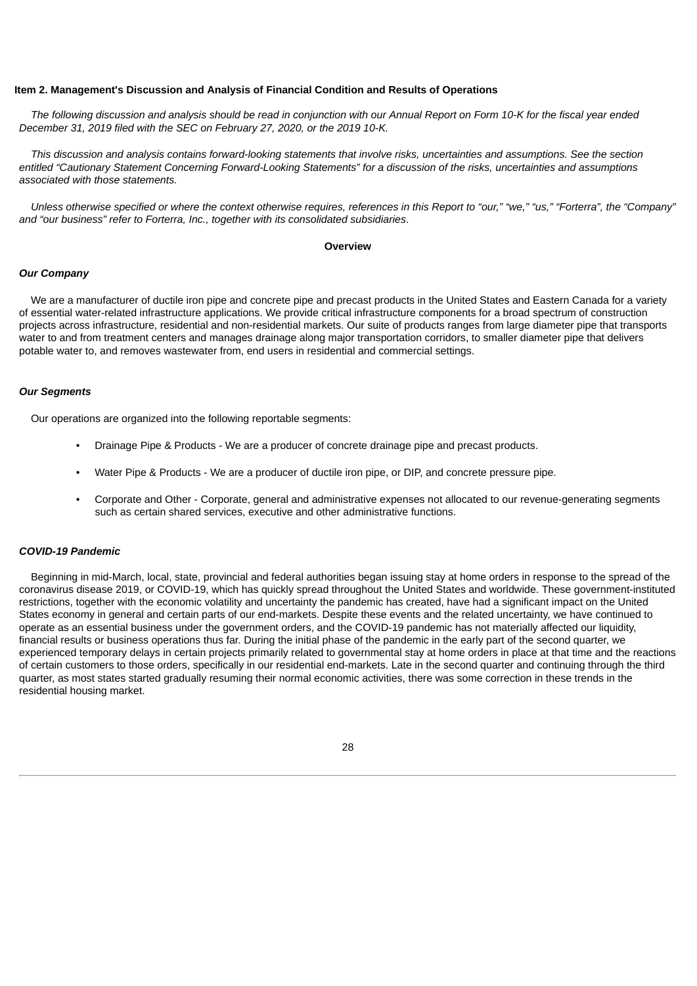#### **Item 2. Management's Discussion and Analysis of Financial Condition and Results of Operations**

The following discussion and analysis should be read in conjunction with our Annual Report on Form 10-K for the fiscal year ended *December 31, 2019 filed with the SEC on February 27, 2020, or the 2019 10-K.*

This discussion and analysis contains forward-looking statements that involve risks, uncertainties and assumptions. See the section entitled "Cautionary Statement Concerning Forward-Looking Statements" for a discussion of the risks, uncertainties and assumptions *associated with those statements.*

Unless otherwise specified or where the context otherwise requires, references in this Report to "our," "we," "us," "Forterra", the "Company" *and "our business" refer to Forterra, Inc., together with its consolidated subsidiaries*.

#### **Overview**

#### *Our Company*

We are a manufacturer of ductile iron pipe and concrete pipe and precast products in the United States and Eastern Canada for a variety of essential water-related infrastructure applications. We provide critical infrastructure components for a broad spectrum of construction projects across infrastructure, residential and non-residential markets. Our suite of products ranges from large diameter pipe that transports water to and from treatment centers and manages drainage along major transportation corridors, to smaller diameter pipe that delivers potable water to, and removes wastewater from, end users in residential and commercial settings.

## *Our Segments*

Our operations are organized into the following reportable segments:

- Drainage Pipe & Products We are a producer of concrete drainage pipe and precast products.
- Water Pipe & Products We are a producer of ductile iron pipe, or DIP, and concrete pressure pipe.
- Corporate and Other Corporate, general and administrative expenses not allocated to our revenue-generating segments such as certain shared services, executive and other administrative functions.

#### *COVID-19 Pandemic*

Beginning in mid-March, local, state, provincial and federal authorities began issuing stay at home orders in response to the spread of the coronavirus disease 2019, or COVID-19, which has quickly spread throughout the United States and worldwide. These government-instituted restrictions, together with the economic volatility and uncertainty the pandemic has created, have had a significant impact on the United States economy in general and certain parts of our end-markets. Despite these events and the related uncertainty, we have continued to operate as an essential business under the government orders, and the COVID-19 pandemic has not materially affected our liquidity, financial results or business operations thus far. During the initial phase of the pandemic in the early part of the second quarter, we experienced temporary delays in certain projects primarily related to governmental stay at home orders in place at that time and the reactions of certain customers to those orders, specifically in our residential end-markets. Late in the second quarter and continuing through the third quarter, as most states started gradually resuming their normal economic activities, there was some correction in these trends in the residential housing market.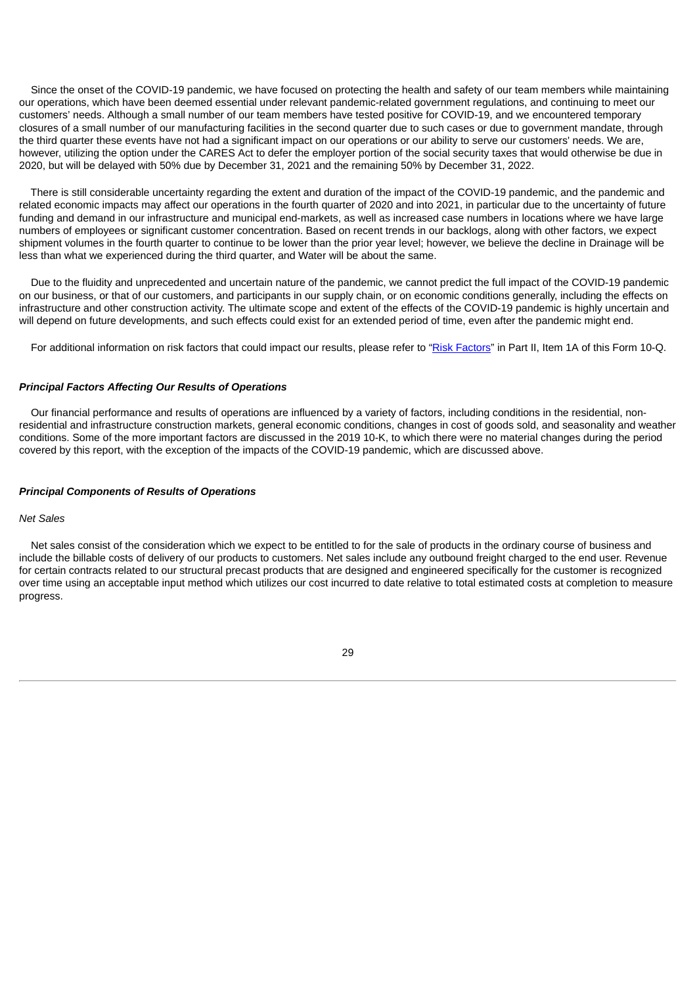Since the onset of the COVID-19 pandemic, we have focused on protecting the health and safety of our team members while maintaining our operations, which have been deemed essential under relevant pandemic-related government regulations, and continuing to meet our customers' needs. Although a small number of our team members have tested positive for COVID-19, and we encountered temporary closures of a small number of our manufacturing facilities in the second quarter due to such cases or due to government mandate, through the third quarter these events have not had a significant impact on our operations or our ability to serve our customers' needs. We are, however, utilizing the option under the CARES Act to defer the employer portion of the social security taxes that would otherwise be due in 2020, but will be delayed with 50% due by December 31, 2021 and the remaining 50% by December 31, 2022.

There is still considerable uncertainty regarding the extent and duration of the impact of the COVID-19 pandemic, and the pandemic and related economic impacts may affect our operations in the fourth quarter of 2020 and into 2021, in particular due to the uncertainty of future funding and demand in our infrastructure and municipal end-markets, as well as increased case numbers in locations where we have large numbers of employees or significant customer concentration. Based on recent trends in our backlogs, along with other factors, we expect shipment volumes in the fourth quarter to continue to be lower than the prior year level; however, we believe the decline in Drainage will be less than what we experienced during the third quarter, and Water will be about the same.

Due to the fluidity and unprecedented and uncertain nature of the pandemic, we cannot predict the full impact of the COVID-19 pandemic on our business, or that of our customers, and participants in our supply chain, or on economic conditions generally, including the effects on infrastructure and other construction activity. The ultimate scope and extent of the effects of the COVID-19 pandemic is highly uncertain and will depend on future developments, and such effects could exist for an extended period of time, even after the pandemic might end.

For additional information on risk factors that could impact our results, please refer to "Risk [Factors](#page-45-1)" in Part II, Item 1A of this Form 10-Q.

#### *Principal Factors Affecting Our Results of Operations*

Our financial performance and results of operations are influenced by a variety of factors, including conditions in the residential, nonresidential and infrastructure construction markets, general economic conditions, changes in cost of goods sold, and seasonality and weather conditions. Some of the more important factors are discussed in the 2019 10-K, to which there were no material changes during the period covered by this report, with the exception of the impacts of the COVID-19 pandemic, which are discussed above.

#### *Principal Components of Results of Operations*

#### *Net Sales*

Net sales consist of the consideration which we expect to be entitled to for the sale of products in the ordinary course of business and include the billable costs of delivery of our products to customers. Net sales include any outbound freight charged to the end user. Revenue for certain contracts related to our structural precast products that are designed and engineered specifically for the customer is recognized over time using an acceptable input method which utilizes our cost incurred to date relative to total estimated costs at completion to measure progress.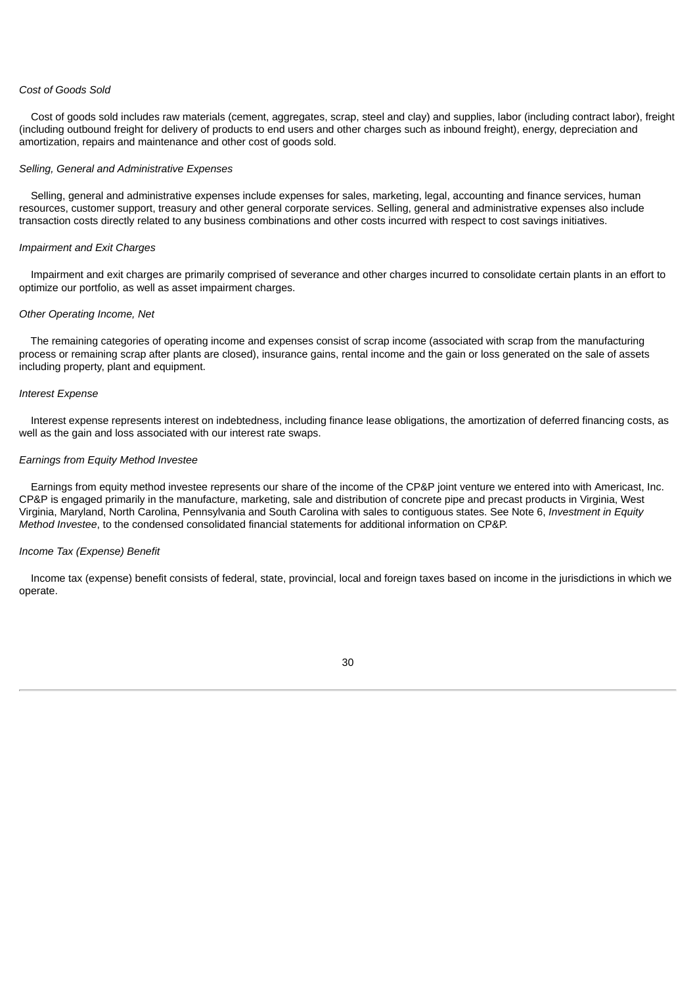#### *Cost of Goods Sold*

Cost of goods sold includes raw materials (cement, aggregates, scrap, steel and clay) and supplies, labor (including contract labor), freight (including outbound freight for delivery of products to end users and other charges such as inbound freight), energy, depreciation and amortization, repairs and maintenance and other cost of goods sold.

#### *Selling, General and Administrative Expenses*

Selling, general and administrative expenses include expenses for sales, marketing, legal, accounting and finance services, human resources, customer support, treasury and other general corporate services. Selling, general and administrative expenses also include transaction costs directly related to any business combinations and other costs incurred with respect to cost savings initiatives.

#### *Impairment and Exit Charges*

Impairment and exit charges are primarily comprised of severance and other charges incurred to consolidate certain plants in an effort to optimize our portfolio, as well as asset impairment charges.

#### *Other Operating Income, Net*

The remaining categories of operating income and expenses consist of scrap income (associated with scrap from the manufacturing process or remaining scrap after plants are closed), insurance gains, rental income and the gain or loss generated on the sale of assets including property, plant and equipment.

#### *Interest Expense*

Interest expense represents interest on indebtedness, including finance lease obligations, the amortization of deferred financing costs, as well as the gain and loss associated with our interest rate swaps.

#### *Earnings from Equity Method Investee*

Earnings from equity method investee represents our share of the income of the CP&P joint venture we entered into with Americast, Inc. CP&P is engaged primarily in the manufacture, marketing, sale and distribution of concrete pipe and precast products in Virginia, West Virginia, Maryland, North Carolina, Pennsylvania and South Carolina with sales to contiguous states. See Note 6, *Investment in Equity Method Investee*, to the condensed consolidated financial statements for additional information on CP&P.

#### *Income Tax (Expense) Benefit*

Income tax (expense) benefit consists of federal, state, provincial, local and foreign taxes based on income in the jurisdictions in which we operate.

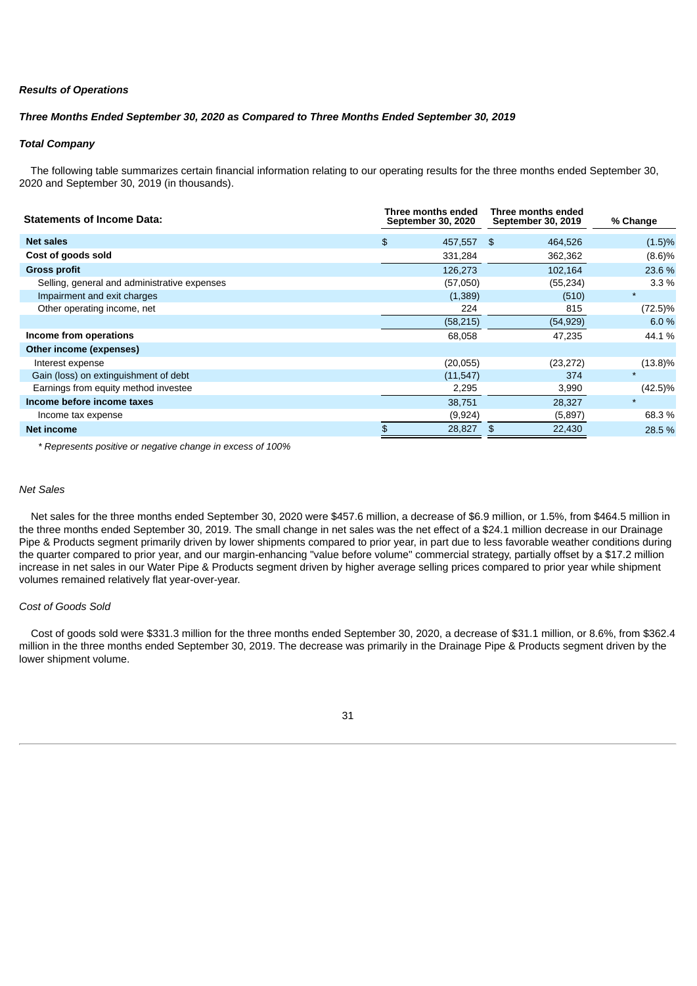## *Results of Operations*

## *Three Months Ended September 30, 2020 as Compared to Three Months Ended September 30, 2019*

## *Total Company*

The following table summarizes certain financial information relating to our operating results for the three months ended September 30, 2020 and September 30, 2019 (in thousands).

| <b>Statements of Income Data:</b>            | Three months ended<br><b>September 30, 2020</b> | Three months ended<br>September 30, 2019 | % Change   |
|----------------------------------------------|-------------------------------------------------|------------------------------------------|------------|
| <b>Net sales</b>                             | $\mathfrak{P}$<br>457,557                       | - \$<br>464,526                          | $(1.5)\%$  |
| Cost of goods sold                           | 331,284                                         | 362,362                                  | (8.6)%     |
| <b>Gross profit</b>                          | 126,273                                         | 102,164                                  | 23.6 %     |
| Selling, general and administrative expenses | (57,050)                                        | (55, 234)                                | $3.3\%$    |
| Impairment and exit charges                  | (1,389)                                         | (510)                                    | $\star$    |
| Other operating income, net                  | 224                                             | 815                                      | $(72.5)\%$ |
|                                              | (58, 215)                                       | (54, 929)                                | 6.0%       |
| Income from operations                       | 68,058                                          | 47,235                                   | 44.1 %     |
| Other income (expenses)                      |                                                 |                                          |            |
| Interest expense                             | (20, 055)                                       | (23, 272)                                | $(13.8)\%$ |
| Gain (loss) on extinguishment of debt        | (11, 547)                                       | 374                                      | $\star$    |
| Earnings from equity method investee         | 2,295                                           | 3,990                                    | $(42.5)\%$ |
| Income before income taxes                   | 38,751                                          | 28,327                                   | $\star$    |
| Income tax expense                           | (9,924)                                         | (5,897)                                  | 68.3 %     |
| Net income                                   | 28,827                                          | 22,430<br>\$                             | 28.5 %     |

*\* Represents positive or negative change in excess of 100%*

#### *Net Sales*

Net sales for the three months ended September 30, 2020 were \$457.6 million, a decrease of \$6.9 million, or 1.5%, from \$464.5 million in the three months ended September 30, 2019. The small change in net sales was the net effect of a \$24.1 million decrease in our Drainage Pipe & Products segment primarily driven by lower shipments compared to prior year, in part due to less favorable weather conditions during the quarter compared to prior year, and our margin-enhancing "value before volume" commercial strategy, partially offset by a \$17.2 million increase in net sales in our Water Pipe & Products segment driven by higher average selling prices compared to prior year while shipment volumes remained relatively flat year-over-year.

#### *Cost of Goods Sold*

Cost of goods sold were \$331.3 million for the three months ended September 30, 2020, a decrease of \$31.1 million, or 8.6%, from \$362.4 million in the three months ended September 30, 2019. The decrease was primarily in the Drainage Pipe & Products segment driven by the lower shipment volume.

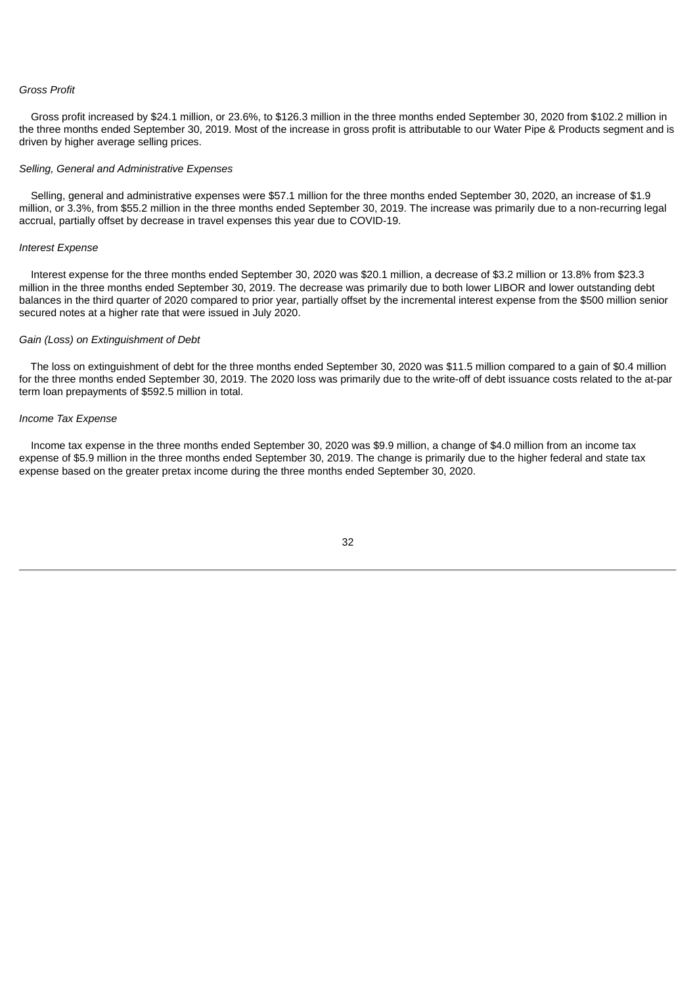#### *Gross Profit*

Gross profit increased by \$24.1 million, or 23.6%, to \$126.3 million in the three months ended September 30, 2020 from \$102.2 million in the three months ended September 30, 2019. Most of the increase in gross profit is attributable to our Water Pipe & Products segment and is driven by higher average selling prices.

#### *Selling, General and Administrative Expenses*

Selling, general and administrative expenses were \$57.1 million for the three months ended September 30, 2020, an increase of \$1.9 million, or 3.3%, from \$55.2 million in the three months ended September 30, 2019. The increase was primarily due to a non-recurring legal accrual, partially offset by decrease in travel expenses this year due to COVID-19.

### *Interest Expense*

Interest expense for the three months ended September 30, 2020 was \$20.1 million, a decrease of \$3.2 million or 13.8% from \$23.3 million in the three months ended September 30, 2019. The decrease was primarily due to both lower LIBOR and lower outstanding debt balances in the third quarter of 2020 compared to prior year, partially offset by the incremental interest expense from the \$500 million senior secured notes at a higher rate that were issued in July 2020.

## *Gain (Loss) on Extinguishment of Debt*

The loss on extinguishment of debt for the three months ended September 30, 2020 was \$11.5 million compared to a gain of \$0.4 million for the three months ended September 30, 2019. The 2020 loss was primarily due to the write-off of debt issuance costs related to the at-par term loan prepayments of \$592.5 million in total.

#### *Income Tax Expense*

Income tax expense in the three months ended September 30, 2020 was \$9.9 million, a change of \$4.0 million from an income tax expense of \$5.9 million in the three months ended September 30, 2019. The change is primarily due to the higher federal and state tax expense based on the greater pretax income during the three months ended September 30, 2020.

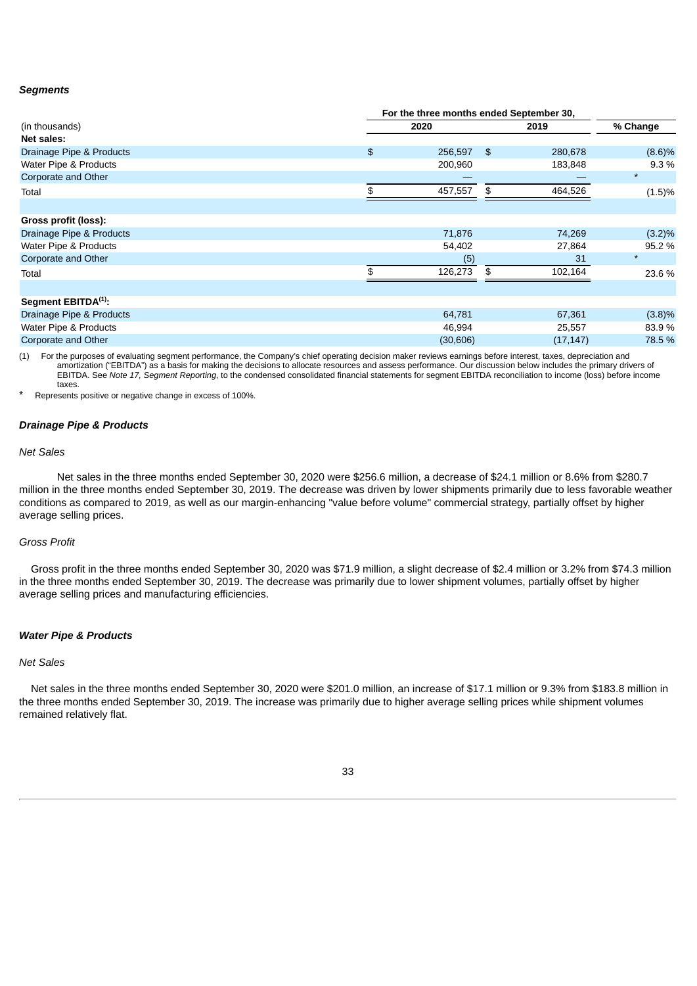#### *Segments*

|                                 | For the three months ended September 30, |          |    |           |           |
|---------------------------------|------------------------------------------|----------|----|-----------|-----------|
| (in thousands)                  | 2020                                     |          |    | 2019      | % Change  |
| Net sales:                      |                                          |          |    |           |           |
| Drainage Pipe & Products        | \$                                       | 256,597  | \$ | 280,678   | (8.6)%    |
| Water Pipe & Products           |                                          | 200,960  |    | 183,848   | 9.3%      |
| Corporate and Other             |                                          |          |    |           | $\star$   |
| Total                           | \$                                       | 457,557  | \$ | 464,526   | $(1.5)\%$ |
|                                 |                                          |          |    |           |           |
| Gross profit (loss):            |                                          |          |    |           |           |
| Drainage Pipe & Products        |                                          | 71,876   |    | 74,269    | $(3.2)\%$ |
| Water Pipe & Products           |                                          | 54,402   |    | 27,864    | 95.2 %    |
| Corporate and Other             |                                          | (5)      |    | 31        | $\star$   |
| Total                           |                                          | 126,273  | \$ | 102,164   | 23.6 %    |
|                                 |                                          |          |    |           |           |
| Segment EBITDA <sup>(1)</sup> : |                                          |          |    |           |           |
| Drainage Pipe & Products        |                                          | 64,781   |    | 67,361    | (3.8)%    |
| Water Pipe & Products           |                                          | 46,994   |    | 25,557    | 83.9 %    |
| Corporate and Other             |                                          | (30,606) |    | (17, 147) | 78.5 %    |

(1) For the purposes of evaluating segment performance, the Company's chief operating decision maker reviews earnings before interest, taxes, depreciation and amortization ("EBITDA") as a basis for making the decisions to allocate resources and assess performance. Our discussion below includes the primary drivers of EBITDA. See *Note 17, Segment Reporting*, to the condensed consolidated financial statements for segment EBITDA reconciliation to income (loss) before income taxes.

Represents positive or negative change in excess of 100%.

#### *Drainage Pipe & Products*

## *Net Sales*

Net sales in the three months ended September 30, 2020 were \$256.6 million, a decrease of \$24.1 million or 8.6% from \$280.7 million in the three months ended September 30, 2019. The decrease was driven by lower shipments primarily due to less favorable weather conditions as compared to 2019, as well as our margin-enhancing "value before volume" commercial strategy, partially offset by higher average selling prices.

#### *Gross Profit*

Gross profit in the three months ended September 30, 2020 was \$71.9 million, a slight decrease of \$2.4 million or 3.2% from \$74.3 million in the three months ended September 30, 2019. The decrease was primarily due to lower shipment volumes, partially offset by higher average selling prices and manufacturing efficiencies.

## *Water Pipe & Products*

## *Net Sales*

Net sales in the three months ended September 30, 2020 were \$201.0 million, an increase of \$17.1 million or 9.3% from \$183.8 million in the three months ended September 30, 2019. The increase was primarily due to higher average selling prices while shipment volumes remained relatively flat.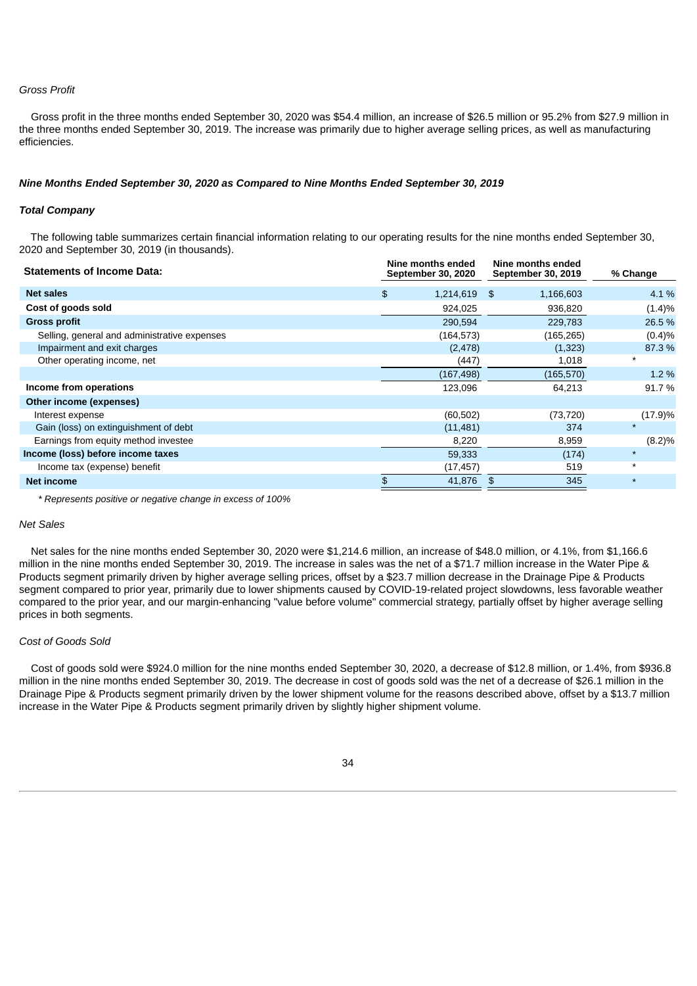#### *Gross Profit*

Gross profit in the three months ended September 30, 2020 was \$54.4 million, an increase of \$26.5 million or 95.2% from \$27.9 million in the three months ended September 30, 2019. The increase was primarily due to higher average selling prices, as well as manufacturing efficiencies.

#### *Nine Months Ended September 30, 2020 as Compared to Nine Months Ended September 30, 2019*

## *Total Company*

The following table summarizes certain financial information relating to our operating results for the nine months ended September 30, 2020 and September 30, 2019 (in thousands).

| <b>Statements of Income Data:</b>            | Nine months ended<br>September 30, 2020 | Nine months ended<br>September 30, 2019 |         |
|----------------------------------------------|-----------------------------------------|-----------------------------------------|---------|
| <b>Net sales</b>                             | \$<br>1,214,619                         | 1,166,603<br>\$                         | 4.1 %   |
| Cost of goods sold                           | 924,025                                 | 936,820                                 | (1.4)%  |
| <b>Gross profit</b>                          | 290,594                                 | 229,783                                 | 26.5 %  |
| Selling, general and administrative expenses | (164, 573)                              | (165, 265)                              | (0.4)%  |
| Impairment and exit charges                  | (2, 478)                                | (1,323)                                 | 87.3 %  |
| Other operating income, net                  | (447)                                   | 1,018                                   | $\star$ |
|                                              | (167, 498)                              | (165, 570)                              | 1.2%    |
| Income from operations                       | 123,096                                 | 64,213                                  | 91.7%   |
| Other income (expenses)                      |                                         |                                         |         |
| Interest expense                             | (60, 502)                               | (73, 720)                               | (17.9)% |
| Gain (loss) on extinguishment of debt        | (11, 481)                               | 374                                     | $\star$ |
| Earnings from equity method investee         | 8,220                                   | 8,959                                   | (8.2)%  |
| Income (loss) before income taxes            | 59,333                                  | (174)                                   | $\star$ |
| Income tax (expense) benefit                 | (17, 457)                               | 519                                     | $\star$ |
| Net income                                   | 41,876                                  | 345<br>\$                               | $\star$ |

*\* Represents positive or negative change in excess of 100%*

## *Net Sales*

Net sales for the nine months ended September 30, 2020 were \$1,214.6 million, an increase of \$48.0 million, or 4.1%, from \$1,166.6 million in the nine months ended September 30, 2019. The increase in sales was the net of a \$71.7 million increase in the Water Pipe & Products segment primarily driven by higher average selling prices, offset by a \$23.7 million decrease in the Drainage Pipe & Products segment compared to prior year, primarily due to lower shipments caused by COVID-19-related project slowdowns, less favorable weather compared to the prior year, and our margin-enhancing "value before volume" commercial strategy, partially offset by higher average selling prices in both segments.

#### *Cost of Goods Sold*

Cost of goods sold were \$924.0 million for the nine months ended September 30, 2020, a decrease of \$12.8 million, or 1.4%, from \$936.8 million in the nine months ended September 30, 2019. The decrease in cost of goods sold was the net of a decrease of \$26.1 million in the Drainage Pipe & Products segment primarily driven by the lower shipment volume for the reasons described above, offset by a \$13.7 million increase in the Water Pipe & Products segment primarily driven by slightly higher shipment volume.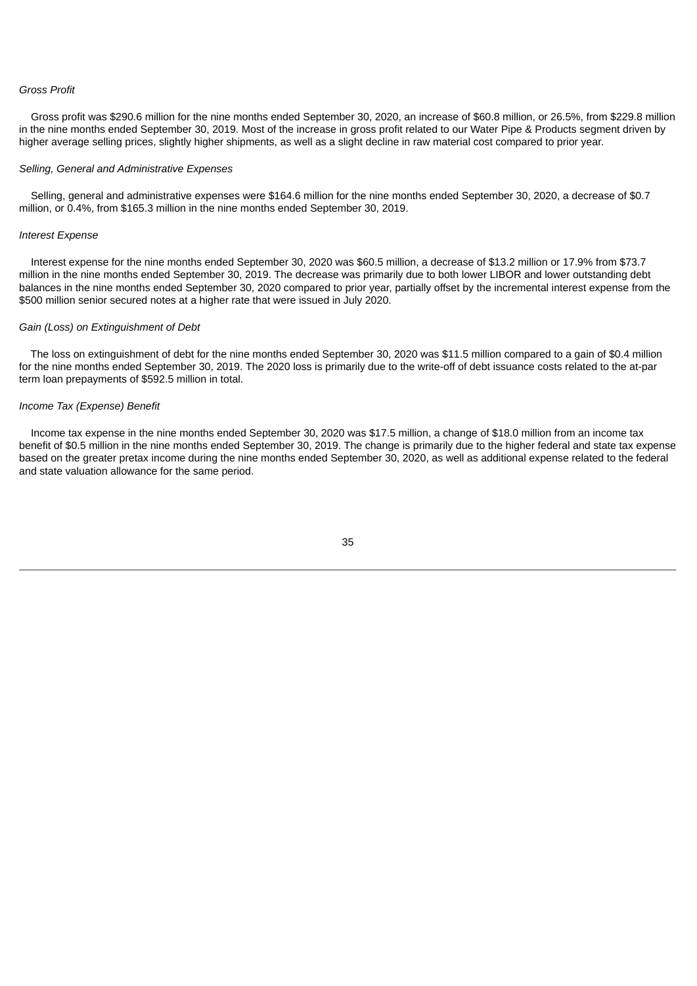#### *Gross Profit*

Gross profit was \$290.6 million for the nine months ended September 30, 2020, an increase of \$60.8 million, or 26.5%, from \$229.8 million in the nine months ended September 30, 2019. Most of the increase in gross profit related to our Water Pipe & Products segment driven by higher average selling prices, slightly higher shipments, as well as a slight decline in raw material cost compared to prior year.

#### *Selling, General and Administrative Expenses*

Selling, general and administrative expenses were \$164.6 million for the nine months ended September 30, 2020, a decrease of \$0.7 million, or 0.4%, from \$165.3 million in the nine months ended September 30, 2019.

#### *Interest Expense*

Interest expense for the nine months ended September 30, 2020 was \$60.5 million, a decrease of \$13.2 million or 17.9% from \$73.7 million in the nine months ended September 30, 2019. The decrease was primarily due to both lower LIBOR and lower outstanding debt balances in the nine months ended September 30, 2020 compared to prior year, partially offset by the incremental interest expense from the \$500 million senior secured notes at a higher rate that were issued in July 2020.

#### *Gain (Loss) on Extinguishment of Debt*

The loss on extinguishment of debt for the nine months ended September 30, 2020 was \$11.5 million compared to a gain of \$0.4 million for the nine months ended September 30, 2019. The 2020 loss is primarily due to the write-off of debt issuance costs related to the at-par term loan prepayments of \$592.5 million in total.

#### *Income Tax (Expense) Benefit*

Income tax expense in the nine months ended September 30, 2020 was \$17.5 million, a change of \$18.0 million from an income tax benefit of \$0.5 million in the nine months ended September 30, 2019. The change is primarily due to the higher federal and state tax expense based on the greater pretax income during the nine months ended September 30, 2020, as well as additional expense related to the federal and state valuation allowance for the same period.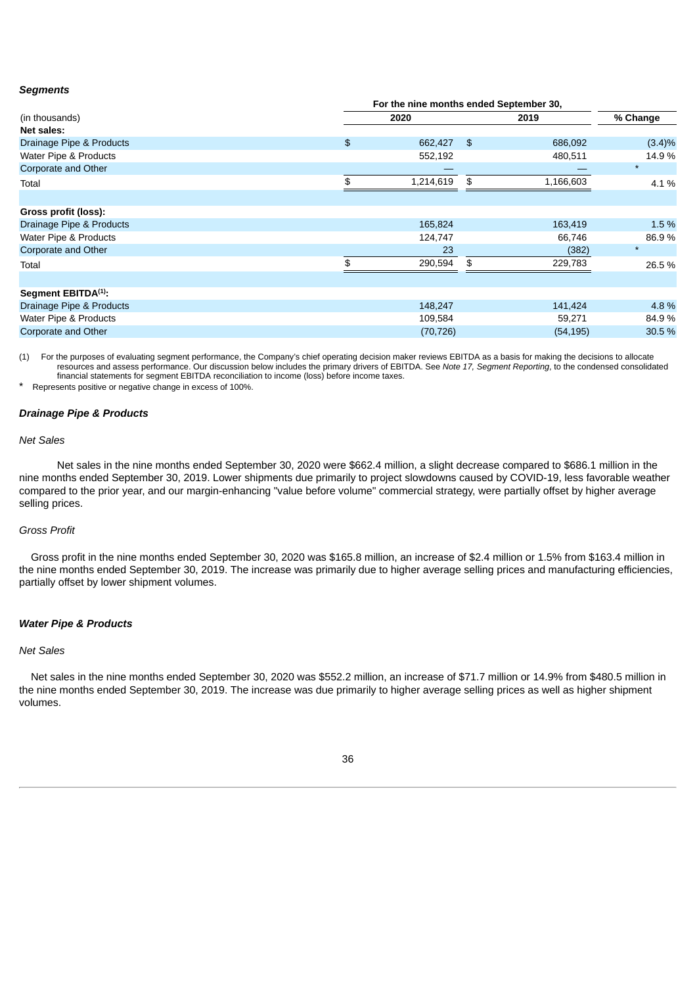#### *Segments*

|                                 | For the nine months ended September 30, |     |           |          |  |
|---------------------------------|-----------------------------------------|-----|-----------|----------|--|
| (in thousands)                  | 2020                                    |     |           | % Change |  |
| Net sales:                      |                                         |     |           |          |  |
| Drainage Pipe & Products        | \$<br>662,427 \$                        |     | 686,092   | (3.4)%   |  |
| Water Pipe & Products           | 552,192                                 |     | 480,511   | 14.9 %   |  |
| Corporate and Other             |                                         |     |           | $\star$  |  |
| Total                           | 1,214,619                               | \$  | 1,166,603 | 4.1%     |  |
|                                 |                                         |     |           |          |  |
| Gross profit (loss):            |                                         |     |           |          |  |
| Drainage Pipe & Products        | 165,824                                 |     | 163,419   | 1.5 %    |  |
| Water Pipe & Products           | 124,747                                 |     | 66,746    | 86.9%    |  |
| Corporate and Other             | 23                                      |     | (382)     | $\star$  |  |
| Total                           | 290,594                                 | \$. | 229,783   | 26.5 %   |  |
|                                 |                                         |     |           |          |  |
| Segment EBITDA <sup>(1)</sup> : |                                         |     |           |          |  |
| Drainage Pipe & Products        | 148,247                                 |     | 141,424   | 4.8 %    |  |
| Water Pipe & Products           | 109,584                                 |     | 59,271    | 84.9%    |  |
| Corporate and Other             | (70, 726)                               |     | (54, 195) | 30.5 %   |  |

(1) For the purposes of evaluating segment performance, the Company's chief operating decision maker reviews EBITDA as a basis for making the decisions to allocate resources and assess performance. Our discussion below includes the primary drivers of EBITDA. See *Note 17, Segment Reporting*, to the condensed consolidated financial statements for segment EBITDA reconciliation to income (loss) before income taxes.

Represents positive or negative change in excess of 100%.

## *Drainage Pipe & Products*

#### *Net Sales*

Net sales in the nine months ended September 30, 2020 were \$662.4 million, a slight decrease compared to \$686.1 million in the nine months ended September 30, 2019. Lower shipments due primarily to project slowdowns caused by COVID-19, less favorable weather compared to the prior year, and our margin-enhancing "value before volume" commercial strategy, were partially offset by higher average selling prices.

## *Gross Profit*

Gross profit in the nine months ended September 30, 2020 was \$165.8 million, an increase of \$2.4 million or 1.5% from \$163.4 million in the nine months ended September 30, 2019. The increase was primarily due to higher average selling prices and manufacturing efficiencies, partially offset by lower shipment volumes.

## *Water Pipe & Products*

#### *Net Sales*

Net sales in the nine months ended September 30, 2020 was \$552.2 million, an increase of \$71.7 million or 14.9% from \$480.5 million in the nine months ended September 30, 2019. The increase was due primarily to higher average selling prices as well as higher shipment volumes.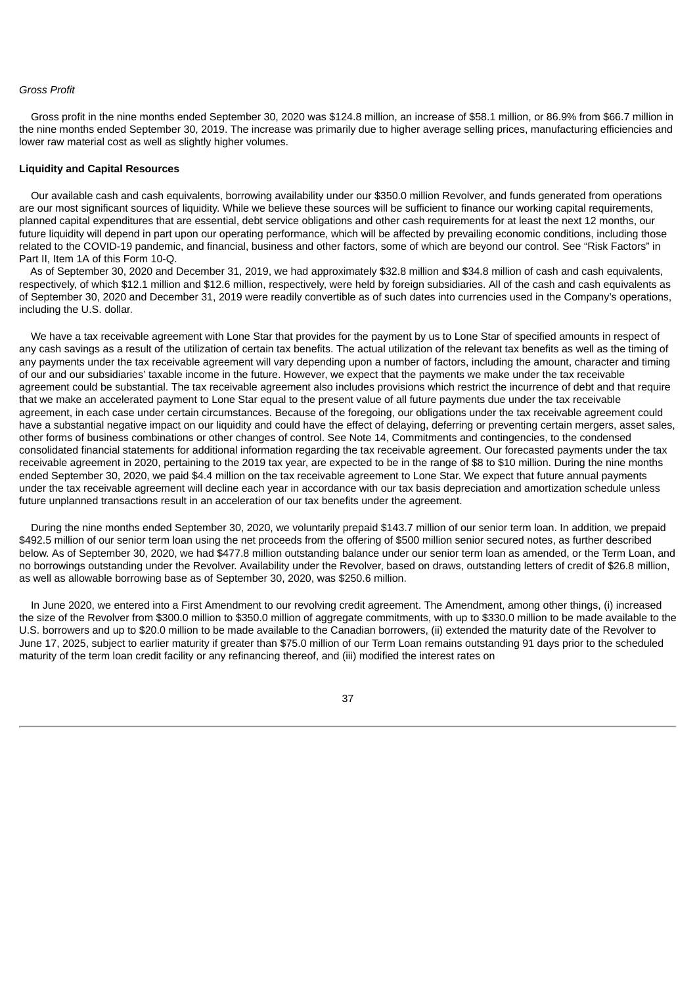#### *Gross Profit*

Gross profit in the nine months ended September 30, 2020 was \$124.8 million, an increase of \$58.1 million, or 86.9% from \$66.7 million in the nine months ended September 30, 2019. The increase was primarily due to higher average selling prices, manufacturing efficiencies and lower raw material cost as well as slightly higher volumes.

#### **Liquidity and Capital Resources**

Our available cash and cash equivalents, borrowing availability under our \$350.0 million Revolver, and funds generated from operations are our most significant sources of liquidity. While we believe these sources will be sufficient to finance our working capital requirements, planned capital expenditures that are essential, debt service obligations and other cash requirements for at least the next 12 months, our future liquidity will depend in part upon our operating performance, which will be affected by prevailing economic conditions, including those related to the COVID-19 pandemic, and financial, business and other factors, some of which are beyond our control. See "Risk Factors" in Part II, Item 1A of this Form 10-Q.

As of September 30, 2020 and December 31, 2019, we had approximately \$32.8 million and \$34.8 million of cash and cash equivalents, respectively, of which \$12.1 million and \$12.6 million, respectively, were held by foreign subsidiaries. All of the cash and cash equivalents as of September 30, 2020 and December 31, 2019 were readily convertible as of such dates into currencies used in the Company's operations, including the U.S. dollar.

We have a tax receivable agreement with Lone Star that provides for the payment by us to Lone Star of specified amounts in respect of any cash savings as a result of the utilization of certain tax benefits. The actual utilization of the relevant tax benefits as well as the timing of any payments under the tax receivable agreement will vary depending upon a number of factors, including the amount, character and timing of our and our subsidiaries' taxable income in the future. However, we expect that the payments we make under the tax receivable agreement could be substantial. The tax receivable agreement also includes provisions which restrict the incurrence of debt and that require that we make an accelerated payment to Lone Star equal to the present value of all future payments due under the tax receivable agreement, in each case under certain circumstances. Because of the foregoing, our obligations under the tax receivable agreement could have a substantial negative impact on our liquidity and could have the effect of delaying, deferring or preventing certain mergers, asset sales, other forms of business combinations or other changes of control. See Note 14, Commitments and contingencies, to the condensed consolidated financial statements for additional information regarding the tax receivable agreement. Our forecasted payments under the tax receivable agreement in 2020, pertaining to the 2019 tax year, are expected to be in the range of \$8 to \$10 million. During the nine months ended September 30, 2020, we paid \$4.4 million on the tax receivable agreement to Lone Star. We expect that future annual payments under the tax receivable agreement will decline each year in accordance with our tax basis depreciation and amortization schedule unless future unplanned transactions result in an acceleration of our tax benefits under the agreement.

During the nine months ended September 30, 2020, we voluntarily prepaid \$143.7 million of our senior term loan. In addition, we prepaid \$492.5 million of our senior term loan using the net proceeds from the offering of \$500 million senior secured notes, as further described below. As of September 30, 2020, we had \$477.8 million outstanding balance under our senior term loan as amended, or the Term Loan, and no borrowings outstanding under the Revolver. Availability under the Revolver, based on draws, outstanding letters of credit of \$26.8 million, as well as allowable borrowing base as of September 30, 2020, was \$250.6 million.

In June 2020, we entered into a First Amendment to our revolving credit agreement. The Amendment, among other things, (i) increased the size of the Revolver from \$300.0 million to \$350.0 million of aggregate commitments, with up to \$330.0 million to be made available to the U.S. borrowers and up to \$20.0 million to be made available to the Canadian borrowers, (ii) extended the maturity date of the Revolver to June 17, 2025, subject to earlier maturity if greater than \$75.0 million of our Term Loan remains outstanding 91 days prior to the scheduled maturity of the term loan credit facility or any refinancing thereof, and (iii) modified the interest rates on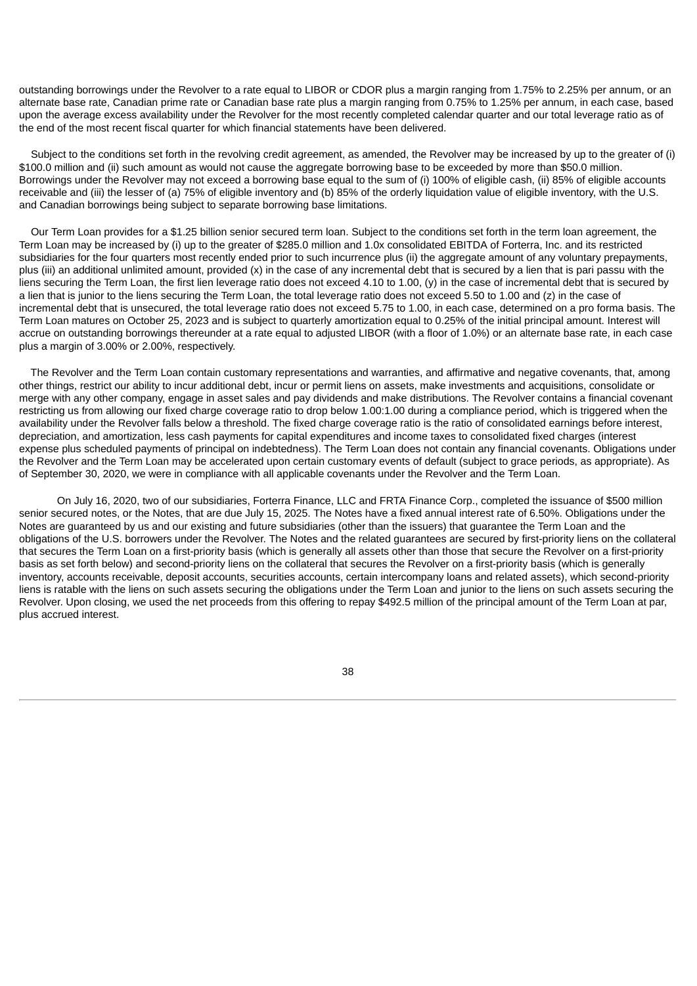outstanding borrowings under the Revolver to a rate equal to LIBOR or CDOR plus a margin ranging from 1.75% to 2.25% per annum, or an alternate base rate, Canadian prime rate or Canadian base rate plus a margin ranging from 0.75% to 1.25% per annum, in each case, based upon the average excess availability under the Revolver for the most recently completed calendar quarter and our total leverage ratio as of the end of the most recent fiscal quarter for which financial statements have been delivered.

Subject to the conditions set forth in the revolving credit agreement, as amended, the Revolver may be increased by up to the greater of (i) \$100.0 million and (ii) such amount as would not cause the aggregate borrowing base to be exceeded by more than \$50.0 million. Borrowings under the Revolver may not exceed a borrowing base equal to the sum of (i) 100% of eligible cash, (ii) 85% of eligible accounts receivable and (iii) the lesser of (a) 75% of eligible inventory and (b) 85% of the orderly liquidation value of eligible inventory, with the U.S. and Canadian borrowings being subject to separate borrowing base limitations.

Our Term Loan provides for a \$1.25 billion senior secured term loan. Subject to the conditions set forth in the term loan agreement, the Term Loan may be increased by (i) up to the greater of \$285.0 million and 1.0x consolidated EBITDA of Forterra, Inc. and its restricted subsidiaries for the four quarters most recently ended prior to such incurrence plus (ii) the aggregate amount of any voluntary prepayments, plus (iii) an additional unlimited amount, provided (x) in the case of any incremental debt that is secured by a lien that is pari passu with the liens securing the Term Loan, the first lien leverage ratio does not exceed 4.10 to 1.00, (y) in the case of incremental debt that is secured by a lien that is junior to the liens securing the Term Loan, the total leverage ratio does not exceed 5.50 to 1.00 and (z) in the case of incremental debt that is unsecured, the total leverage ratio does not exceed 5.75 to 1.00, in each case, determined on a pro forma basis. The Term Loan matures on October 25, 2023 and is subject to quarterly amortization equal to 0.25% of the initial principal amount. Interest will accrue on outstanding borrowings thereunder at a rate equal to adjusted LIBOR (with a floor of 1.0%) or an alternate base rate, in each case plus a margin of 3.00% or 2.00%, respectively.

The Revolver and the Term Loan contain customary representations and warranties, and affirmative and negative covenants, that, among other things, restrict our ability to incur additional debt, incur or permit liens on assets, make investments and acquisitions, consolidate or merge with any other company, engage in asset sales and pay dividends and make distributions. The Revolver contains a financial covenant restricting us from allowing our fixed charge coverage ratio to drop below 1.00:1.00 during a compliance period, which is triggered when the availability under the Revolver falls below a threshold. The fixed charge coverage ratio is the ratio of consolidated earnings before interest, depreciation, and amortization, less cash payments for capital expenditures and income taxes to consolidated fixed charges (interest expense plus scheduled payments of principal on indebtedness). The Term Loan does not contain any financial covenants. Obligations under the Revolver and the Term Loan may be accelerated upon certain customary events of default (subject to grace periods, as appropriate). As of September 30, 2020, we were in compliance with all applicable covenants under the Revolver and the Term Loan.

On July 16, 2020, two of our subsidiaries, Forterra Finance, LLC and FRTA Finance Corp., completed the issuance of \$500 million senior secured notes, or the Notes, that are due July 15, 2025. The Notes have a fixed annual interest rate of 6.50%. Obligations under the Notes are guaranteed by us and our existing and future subsidiaries (other than the issuers) that guarantee the Term Loan and the obligations of the U.S. borrowers under the Revolver. The Notes and the related guarantees are secured by first-priority liens on the collateral that secures the Term Loan on a first-priority basis (which is generally all assets other than those that secure the Revolver on a first-priority basis as set forth below) and second-priority liens on the collateral that secures the Revolver on a first-priority basis (which is generally inventory, accounts receivable, deposit accounts, securities accounts, certain intercompany loans and related assets), which second-priority liens is ratable with the liens on such assets securing the obligations under the Term Loan and junior to the liens on such assets securing the Revolver. Upon closing, we used the net proceeds from this offering to repay \$492.5 million of the principal amount of the Term Loan at par, plus accrued interest.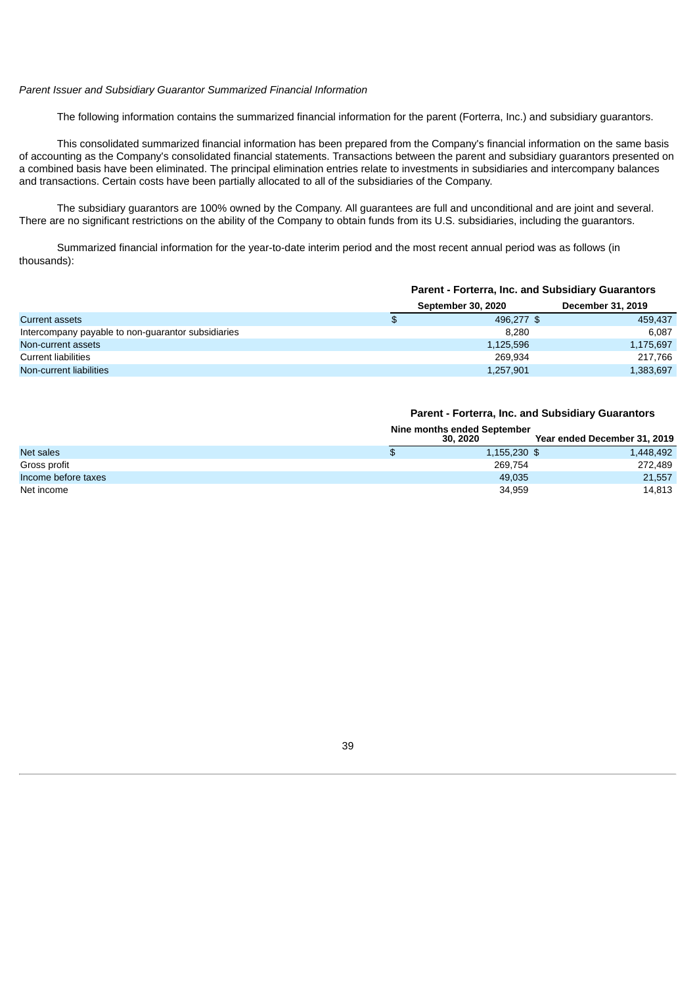## *Parent Issuer and Subsidiary Guarantor Summarized Financial Information*

The following information contains the summarized financial information for the parent (Forterra, Inc.) and subsidiary guarantors.

This consolidated summarized financial information has been prepared from the Company's financial information on the same basis of accounting as the Company's consolidated financial statements. Transactions between the parent and subsidiary guarantors presented on a combined basis have been eliminated. The principal elimination entries relate to investments in subsidiaries and intercompany balances and transactions. Certain costs have been partially allocated to all of the subsidiaries of the Company.

The subsidiary guarantors are 100% owned by the Company. All guarantees are full and unconditional and are joint and several. There are no significant restrictions on the ability of the Company to obtain funds from its U.S. subsidiaries, including the guarantors.

Summarized financial information for the year-to-date interim period and the most recent annual period was as follows (in thousands):

|                                                    | <b>September 30, 2020</b> | December 31, 2019      |
|----------------------------------------------------|---------------------------|------------------------|
| Current assets                                     |                           | 496,277 \$<br>459,437  |
| Intercompany payable to non-guarantor subsidiaries |                           | 8.280<br>6.087         |
| Non-current assets                                 |                           | 1.125.596<br>1,175,697 |
| Current liabilities                                |                           | 217.766<br>269.934     |
| Non-current liabilities                            |                           | 1,383,697<br>1,257,901 |

## **Parent - Forterra, Inc. and Subsidiary Guarantors**

|                     | Nine months ended September |                              |
|---------------------|-----------------------------|------------------------------|
|                     | 30, 2020                    | Year ended December 31, 2019 |
| Net sales           | 1,155,230 \$<br>Ъ           | 1,448,492                    |
| Gross profit        | 269.754                     | 272,489                      |
| Income before taxes | 49.035                      | 21,557                       |
| Net income          | 34.959                      | 14,813                       |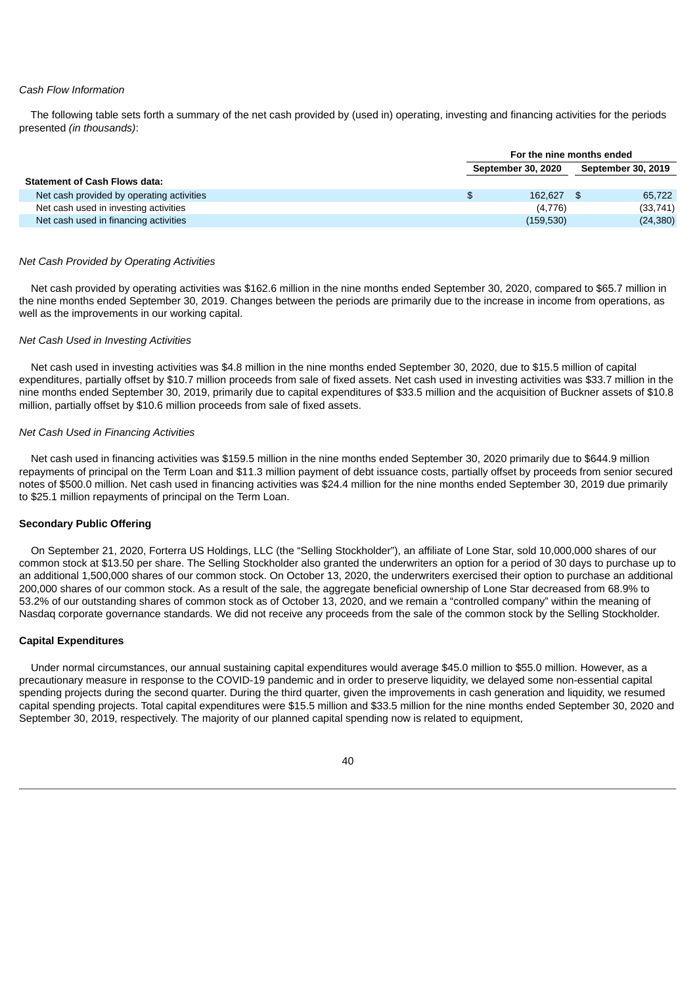#### *Cash Flow Information*

The following table sets forth a summary of the net cash provided by (used in) operating, investing and financing activities for the periods presented *(in thousands)*:

|                                           | For the nine months ended |                           |      |                           |  |
|-------------------------------------------|---------------------------|---------------------------|------|---------------------------|--|
|                                           |                           | <b>September 30, 2020</b> |      | <b>September 30, 2019</b> |  |
| <b>Statement of Cash Flows data:</b>      |                           |                           |      |                           |  |
| Net cash provided by operating activities | \$.                       | 162.627                   | - \$ | 65.722                    |  |
| Net cash used in investing activities     |                           | (4,776)                   |      | (33,741)                  |  |
| Net cash used in financing activities     |                           | (159, 530)                |      | (24, 380)                 |  |

#### *Net Cash Provided by Operating Activities*

Net cash provided by operating activities was \$162.6 million in the nine months ended September 30, 2020, compared to \$65.7 million in the nine months ended September 30, 2019. Changes between the periods are primarily due to the increase in income from operations, as well as the improvements in our working capital.

#### *Net Cash Used in Investing Activities*

Net cash used in investing activities was \$4.8 million in the nine months ended September 30, 2020, due to \$15.5 million of capital expenditures, partially offset by \$10.7 million proceeds from sale of fixed assets. Net cash used in investing activities was \$33.7 million in the nine months ended September 30, 2019, primarily due to capital expenditures of \$33.5 million and the acquisition of Buckner assets of \$10.8 million, partially offset by \$10.6 million proceeds from sale of fixed assets.

#### *Net Cash Used in Financing Activities*

Net cash used in financing activities was \$159.5 million in the nine months ended September 30, 2020 primarily due to \$644.9 million repayments of principal on the Term Loan and \$11.3 million payment of debt issuance costs, partially offset by proceeds from senior secured notes of \$500.0 million. Net cash used in financing activities was \$24.4 million for the nine months ended September 30, 2019 due primarily to \$25.1 million repayments of principal on the Term Loan.

#### **Secondary Public Offering**

On September 21, 2020, Forterra US Holdings, LLC (the "Selling Stockholder"), an affiliate of Lone Star, sold 10,000,000 shares of our common stock at \$13.50 per share. The Selling Stockholder also granted the underwriters an option for a period of 30 days to purchase up to an additional 1,500,000 shares of our common stock. On October 13, 2020, the underwriters exercised their option to purchase an additional 200,000 shares of our common stock. As a result of the sale, the aggregate beneficial ownership of Lone Star decreased from 68.9% to 53.2% of our outstanding shares of common stock as of October 13, 2020, and we remain a "controlled company" within the meaning of Nasdaq corporate governance standards. We did not receive any proceeds from the sale of the common stock by the Selling Stockholder.

## **Capital Expenditures**

Under normal circumstances, our annual sustaining capital expenditures would average \$45.0 million to \$55.0 million. However, as a precautionary measure in response to the COVID-19 pandemic and in order to preserve liquidity, we delayed some non-essential capital spending projects during the second quarter. During the third quarter, given the improvements in cash generation and liquidity, we resumed capital spending projects. Total capital expenditures were \$15.5 million and \$33.5 million for the nine months ended September 30, 2020 and September 30, 2019, respectively. The majority of our planned capital spending now is related to equipment,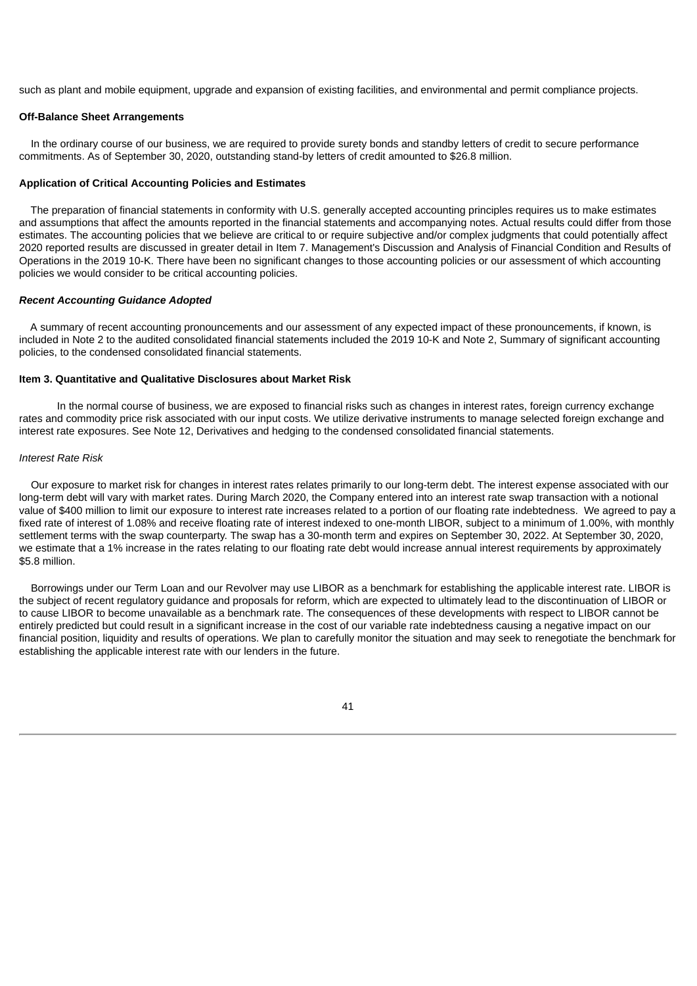such as plant and mobile equipment, upgrade and expansion of existing facilities, and environmental and permit compliance projects.

## **Off-Balance Sheet Arrangements**

In the ordinary course of our business, we are required to provide surety bonds and standby letters of credit to secure performance commitments. As of September 30, 2020, outstanding stand-by letters of credit amounted to \$26.8 million.

## **Application of Critical Accounting Policies and Estimates**

The preparation of financial statements in conformity with U.S. generally accepted accounting principles requires us to make estimates and assumptions that affect the amounts reported in the financial statements and accompanying notes. Actual results could differ from those estimates. The accounting policies that we believe are critical to or require subjective and/or complex judgments that could potentially affect 2020 reported results are discussed in greater detail in Item 7. Management's Discussion and Analysis of Financial Condition and Results of Operations in the 2019 10-K. There have been no significant changes to those accounting policies or our assessment of which accounting policies we would consider to be critical accounting policies.

## *Recent Accounting Guidance Adopted*

A summary of recent accounting pronouncements and our assessment of any expected impact of these pronouncements, if known, is included in Note 2 to the audited consolidated financial statements included the 2019 10-K and Note 2, Summary of significant accounting policies, to the condensed consolidated financial statements.

## <span id="page-42-0"></span>**Item 3. Quantitative and Qualitative Disclosures about Market Risk**

In the normal course of business, we are exposed to financial risks such as changes in interest rates, foreign currency exchange rates and commodity price risk associated with our input costs. We utilize derivative instruments to manage selected foreign exchange and interest rate exposures. See Note 12, Derivatives and hedging to the condensed consolidated financial statements.

## *Interest Rate Risk*

Our exposure to market risk for changes in interest rates relates primarily to our long-term debt. The interest expense associated with our long-term debt will vary with market rates. During March 2020, the Company entered into an interest rate swap transaction with a notional value of \$400 million to limit our exposure to interest rate increases related to a portion of our floating rate indebtedness. We agreed to pay a fixed rate of interest of 1.08% and receive floating rate of interest indexed to one-month LIBOR, subject to a minimum of 1.00%, with monthly settlement terms with the swap counterparty. The swap has a 30-month term and expires on September 30, 2022. At September 30, 2020, we estimate that a 1% increase in the rates relating to our floating rate debt would increase annual interest requirements by approximately \$5.8 million.

Borrowings under our Term Loan and our Revolver may use LIBOR as a benchmark for establishing the applicable interest rate. LIBOR is the subject of recent regulatory guidance and proposals for reform, which are expected to ultimately lead to the discontinuation of LIBOR or to cause LIBOR to become unavailable as a benchmark rate. The consequences of these developments with respect to LIBOR cannot be entirely predicted but could result in a significant increase in the cost of our variable rate indebtedness causing a negative impact on our financial position, liquidity and results of operations. We plan to carefully monitor the situation and may seek to renegotiate the benchmark for establishing the applicable interest rate with our lenders in the future.

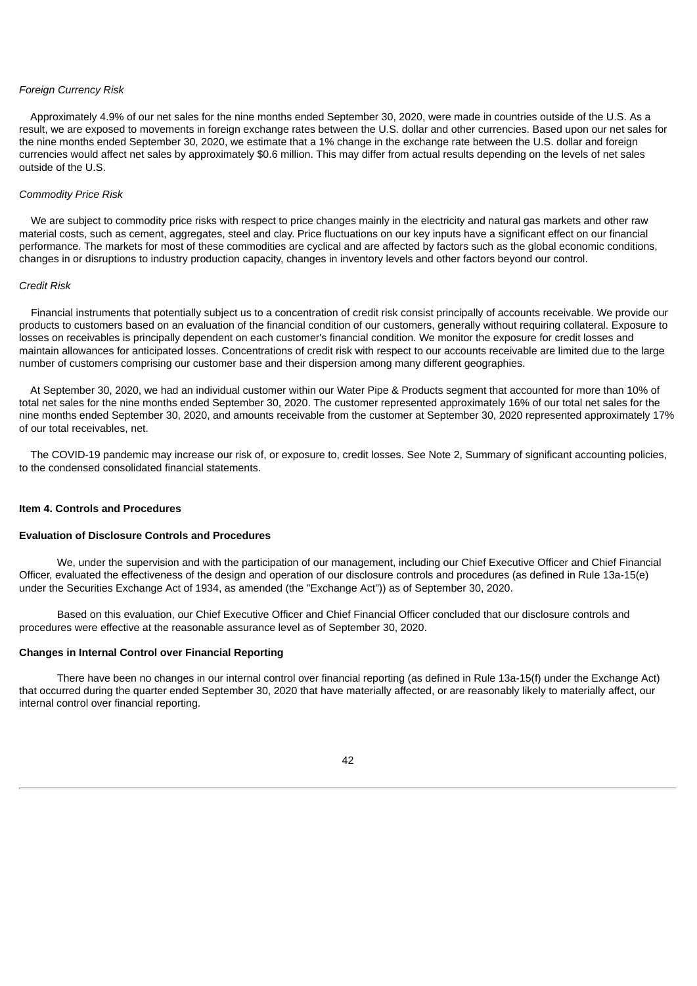#### *Foreign Currency Risk*

Approximately 4.9% of our net sales for the nine months ended September 30, 2020, were made in countries outside of the U.S. As a result, we are exposed to movements in foreign exchange rates between the U.S. dollar and other currencies. Based upon our net sales for the nine months ended September 30, 2020, we estimate that a 1% change in the exchange rate between the U.S. dollar and foreign currencies would affect net sales by approximately \$0.6 million. This may differ from actual results depending on the levels of net sales outside of the U.S.

#### *Commodity Price Risk*

We are subject to commodity price risks with respect to price changes mainly in the electricity and natural gas markets and other raw material costs, such as cement, aggregates, steel and clay. Price fluctuations on our key inputs have a significant effect on our financial performance. The markets for most of these commodities are cyclical and are affected by factors such as the global economic conditions, changes in or disruptions to industry production capacity, changes in inventory levels and other factors beyond our control.

#### *Credit Risk*

Financial instruments that potentially subject us to a concentration of credit risk consist principally of accounts receivable. We provide our products to customers based on an evaluation of the financial condition of our customers, generally without requiring collateral. Exposure to losses on receivables is principally dependent on each customer's financial condition. We monitor the exposure for credit losses and maintain allowances for anticipated losses. Concentrations of credit risk with respect to our accounts receivable are limited due to the large number of customers comprising our customer base and their dispersion among many different geographies.

At September 30, 2020, we had an individual customer within our Water Pipe & Products segment that accounted for more than 10% of total net sales for the nine months ended September 30, 2020. The customer represented approximately 16% of our total net sales for the nine months ended September 30, 2020, and amounts receivable from the customer at September 30, 2020 represented approximately 17% of our total receivables, net.

The COVID-19 pandemic may increase our risk of, or exposure to, credit losses. See Note 2, Summary of significant accounting policies, to the condensed consolidated financial statements.

#### <span id="page-43-0"></span>**Item 4. Controls and Procedures**

#### **Evaluation of Disclosure Controls and Procedures**

We, under the supervision and with the participation of our management, including our Chief Executive Officer and Chief Financial Officer, evaluated the effectiveness of the design and operation of our disclosure controls and procedures (as defined in Rule 13a-15(e) under the Securities Exchange Act of 1934, as amended (the "Exchange Act")) as of September 30, 2020.

Based on this evaluation, our Chief Executive Officer and Chief Financial Officer concluded that our disclosure controls and procedures were effective at the reasonable assurance level as of September 30, 2020.

#### **Changes in Internal Control over Financial Reporting**

There have been no changes in our internal control over financial reporting (as defined in Rule 13a-15(f) under the Exchange Act) that occurred during the quarter ended September 30, 2020 that have materially affected, or are reasonably likely to materially affect, our internal control over financial reporting.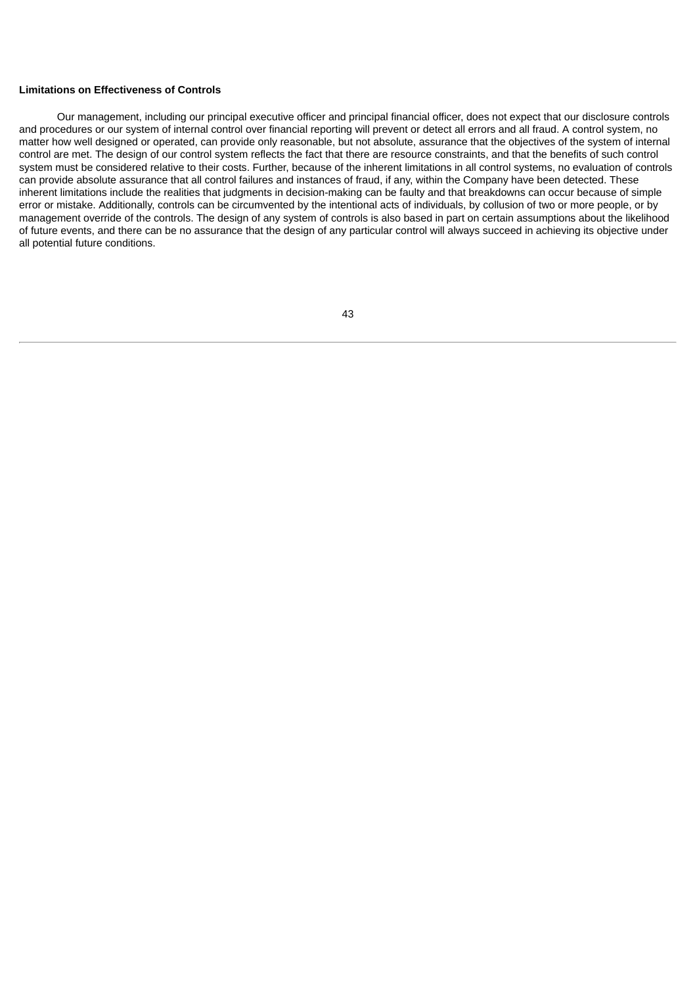## **Limitations on Effectiveness of Controls**

Our management, including our principal executive officer and principal financial officer, does not expect that our disclosure controls and procedures or our system of internal control over financial reporting will prevent or detect all errors and all fraud. A control system, no matter how well designed or operated, can provide only reasonable, but not absolute, assurance that the objectives of the system of internal control are met. The design of our control system reflects the fact that there are resource constraints, and that the benefits of such control system must be considered relative to their costs. Further, because of the inherent limitations in all control systems, no evaluation of controls can provide absolute assurance that all control failures and instances of fraud, if any, within the Company have been detected. These inherent limitations include the realities that judgments in decision-making can be faulty and that breakdowns can occur because of simple error or mistake. Additionally, controls can be circumvented by the intentional acts of individuals, by collusion of two or more people, or by management override of the controls. The design of any system of controls is also based in part on certain assumptions about the likelihood of future events, and there can be no assurance that the design of any particular control will always succeed in achieving its objective under all potential future conditions.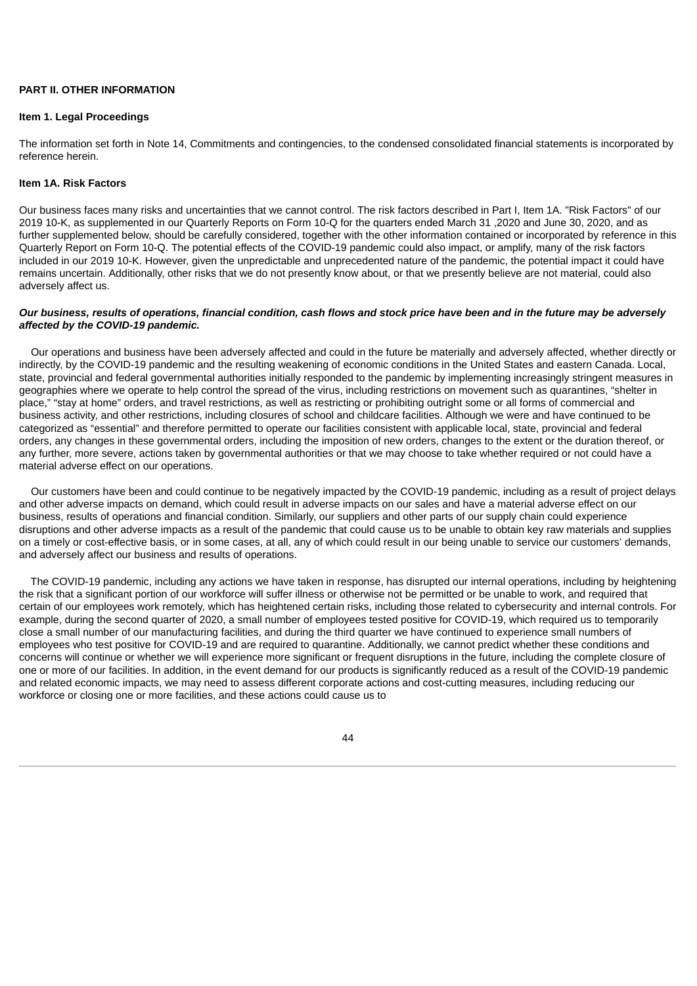### **PART II. OTHER INFORMATION**

#### <span id="page-45-0"></span>**Item 1. Legal Proceedings**

The information set forth in Note 14, Commitments and contingencies, to the condensed consolidated financial statements is incorporated by reference herein.

## <span id="page-45-1"></span>**Item 1A. Risk Factors**

Our business faces many risks and uncertainties that we cannot control. The risk factors described in Part I, Item 1A. "Risk Factors" of our 2019 10-K, as supplemented in our Quarterly Reports on Form 10-Q for the quarters ended March 31 ,2020 and June 30, 2020, and as further supplemented below, should be carefully considered, together with the other information contained or incorporated by reference in this Quarterly Report on Form 10-Q. The potential effects of the COVID-19 pandemic could also impact, or amplify, many of the risk factors included in our 2019 10-K. However, given the unpredictable and unprecedented nature of the pandemic, the potential impact it could have remains uncertain. Additionally, other risks that we do not presently know about, or that we presently believe are not material, could also adversely affect us.

## Our business, results of operations, financial condition, cash flows and stock price have been and in the future may be adversely *affected by the COVID-19 pandemic.*

Our operations and business have been adversely affected and could in the future be materially and adversely affected, whether directly or indirectly, by the COVID-19 pandemic and the resulting weakening of economic conditions in the United States and eastern Canada. Local, state, provincial and federal governmental authorities initially responded to the pandemic by implementing increasingly stringent measures in geographies where we operate to help control the spread of the virus, including restrictions on movement such as quarantines, "shelter in place," "stay at home" orders, and travel restrictions, as well as restricting or prohibiting outright some or all forms of commercial and business activity, and other restrictions, including closures of school and childcare facilities. Although we were and have continued to be categorized as "essential" and therefore permitted to operate our facilities consistent with applicable local, state, provincial and federal orders, any changes in these governmental orders, including the imposition of new orders, changes to the extent or the duration thereof, or any further, more severe, actions taken by governmental authorities or that we may choose to take whether required or not could have a material adverse effect on our operations.

Our customers have been and could continue to be negatively impacted by the COVID-19 pandemic, including as a result of project delays and other adverse impacts on demand, which could result in adverse impacts on our sales and have a material adverse effect on our business, results of operations and financial condition. Similarly, our suppliers and other parts of our supply chain could experience disruptions and other adverse impacts as a result of the pandemic that could cause us to be unable to obtain key raw materials and supplies on a timely or cost-effective basis, or in some cases, at all, any of which could result in our being unable to service our customers' demands, and adversely affect our business and results of operations.

The COVID-19 pandemic, including any actions we have taken in response, has disrupted our internal operations, including by heightening the risk that a significant portion of our workforce will suffer illness or otherwise not be permitted or be unable to work, and required that certain of our employees work remotely, which has heightened certain risks, including those related to cybersecurity and internal controls. For example, during the second quarter of 2020, a small number of employees tested positive for COVID-19, which required us to temporarily close a small number of our manufacturing facilities, and during the third quarter we have continued to experience small numbers of employees who test positive for COVID-19 and are required to quarantine. Additionally, we cannot predict whether these conditions and concerns will continue or whether we will experience more significant or frequent disruptions in the future, including the complete closure of one or more of our facilities. In addition, in the event demand for our products is significantly reduced as a result of the COVID-19 pandemic and related economic impacts, we may need to assess different corporate actions and cost-cutting measures, including reducing our workforce or closing one or more facilities, and these actions could cause us to

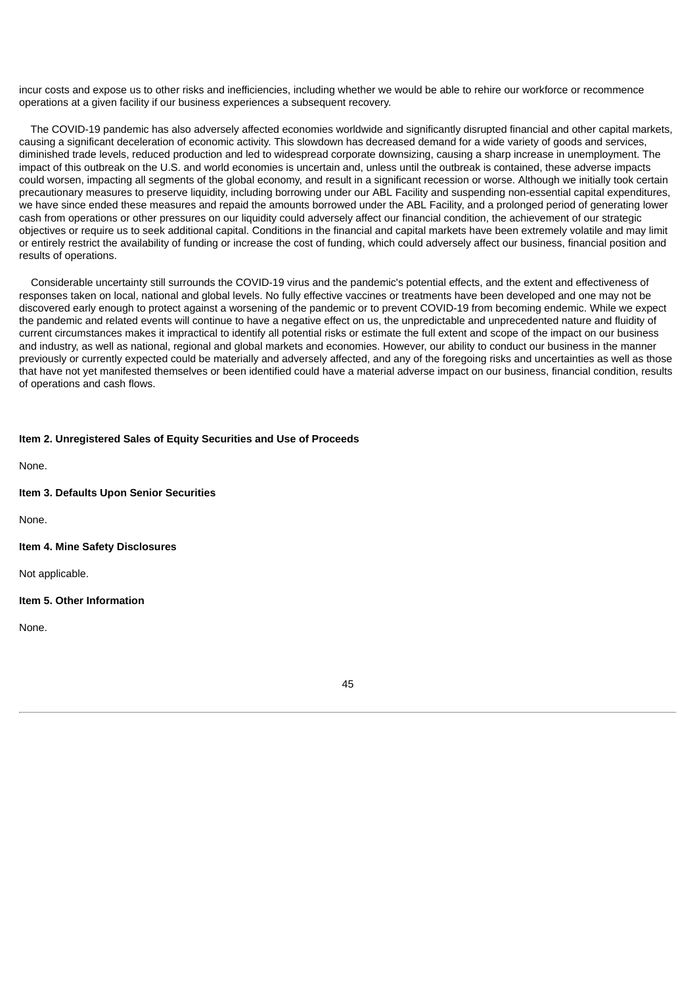incur costs and expose us to other risks and inefficiencies, including whether we would be able to rehire our workforce or recommence operations at a given facility if our business experiences a subsequent recovery.

The COVID-19 pandemic has also adversely affected economies worldwide and significantly disrupted financial and other capital markets, causing a significant deceleration of economic activity. This slowdown has decreased demand for a wide variety of goods and services, diminished trade levels, reduced production and led to widespread corporate downsizing, causing a sharp increase in unemployment. The impact of this outbreak on the U.S. and world economies is uncertain and, unless until the outbreak is contained, these adverse impacts could worsen, impacting all segments of the global economy, and result in a significant recession or worse. Although we initially took certain precautionary measures to preserve liquidity, including borrowing under our ABL Facility and suspending non-essential capital expenditures, we have since ended these measures and repaid the amounts borrowed under the ABL Facility, and a prolonged period of generating lower cash from operations or other pressures on our liquidity could adversely affect our financial condition, the achievement of our strategic objectives or require us to seek additional capital. Conditions in the financial and capital markets have been extremely volatile and may limit or entirely restrict the availability of funding or increase the cost of funding, which could adversely affect our business, financial position and results of operations.

Considerable uncertainty still surrounds the COVID-19 virus and the pandemic's potential effects, and the extent and effectiveness of responses taken on local, national and global levels. No fully effective vaccines or treatments have been developed and one may not be discovered early enough to protect against a worsening of the pandemic or to prevent COVID-19 from becoming endemic. While we expect the pandemic and related events will continue to have a negative effect on us, the unpredictable and unprecedented nature and fluidity of current circumstances makes it impractical to identify all potential risks or estimate the full extent and scope of the impact on our business and industry, as well as national, regional and global markets and economies. However, our ability to conduct our business in the manner previously or currently expected could be materially and adversely affected, and any of the foregoing risks and uncertainties as well as those that have not yet manifested themselves or been identified could have a material adverse impact on our business, financial condition, results of operations and cash flows.

## <span id="page-46-0"></span>**Item 2. Unregistered Sales of Equity Securities and Use of Proceeds**

None.

<span id="page-46-1"></span>**Item 3. Defaults Upon Senior Securities**

None.

<span id="page-46-2"></span>**Item 4. Mine Safety Disclosures**

Not applicable.

## <span id="page-46-3"></span>**Item 5. Other Information**

<span id="page-46-4"></span>None.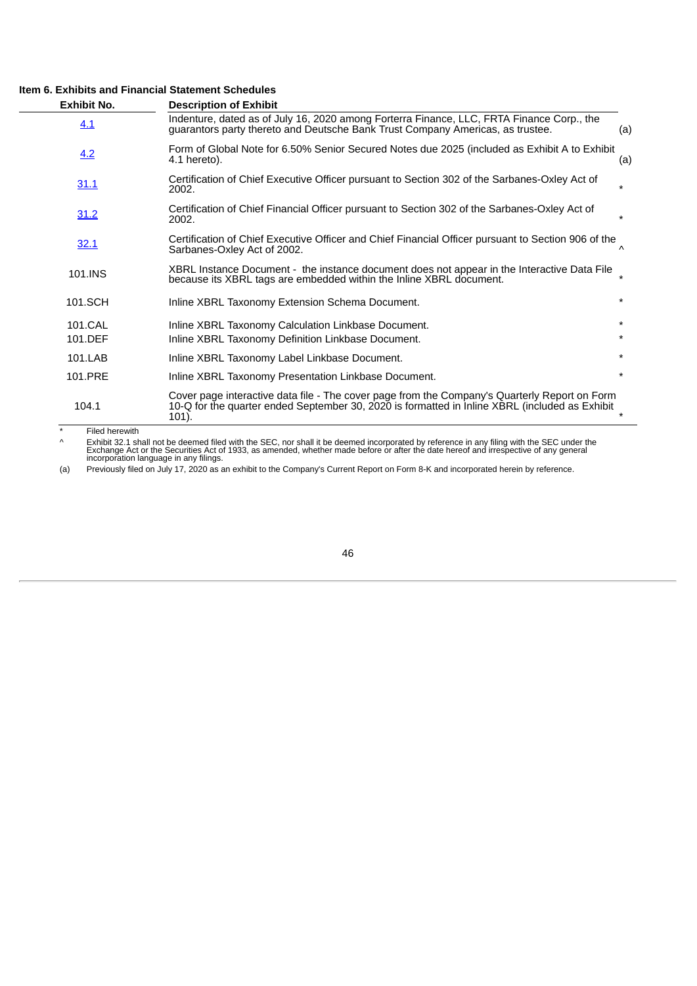## **Item 6. Exhibits and Financial Statement Schedules**

| <b>Exhibit No.</b> | <b>Description of Exhibit</b>                                                                                                                                                                            |          |
|--------------------|----------------------------------------------------------------------------------------------------------------------------------------------------------------------------------------------------------|----------|
| 4.1                | Indenture, dated as of July 16, 2020 among Forterra Finance, LLC, FRTA Finance Corp., the<br>quarantors party thereto and Deutsche Bank Trust Company Americas, as trustee.                              | (a)      |
| 4.2                | Form of Global Note for 6.50% Senior Secured Notes due 2025 (included as Exhibit A to Exhibit<br>4.1 hereto).                                                                                            | (a)      |
| 31.1               | Certification of Chief Executive Officer pursuant to Section 302 of the Sarbanes-Oxley Act of<br>2002.                                                                                                   | $\star$  |
| 31.2               | Certification of Chief Financial Officer pursuant to Section 302 of the Sarbanes-Oxley Act of<br>2002.                                                                                                   | $\star$  |
| 32.1               | Certification of Chief Executive Officer and Chief Financial Officer pursuant to Section 906 of the<br>Sarbanes-Oxley Act of 2002.                                                                       | $\wedge$ |
| 101.INS            | XBRL Instance Document - the instance document does not appear in the Interactive Data File<br>because its XBRL tags are embedded within the Inline XBRL document.                                       | $\star$  |
| 101.SCH            | Inline XBRL Taxonomy Extension Schema Document.                                                                                                                                                          | $\star$  |
| 101.CAL            | Inline XBRL Taxonomy Calculation Linkbase Document.                                                                                                                                                      | $\star$  |
| 101.DEF            | Inline XBRL Taxonomy Definition Linkbase Document.                                                                                                                                                       | $\star$  |
| 101.LAB            | Inline XBRL Taxonomy Label Linkbase Document.                                                                                                                                                            | $\star$  |
| 101.PRE            | Inline XBRL Taxonomy Presentation Linkbase Document.                                                                                                                                                     | $\star$  |
| 104.1              | Cover page interactive data file - The cover page from the Company's Quarterly Report on Form<br>10-Q for the quarter ended September 30, 2020 is formatted in Inline XBRL (included as Exhibit<br>101). | $\star$  |

\* Filed herewith

^ Exhibit 32.1 shall not be deemed filed with the SEC, nor shall it be deemed incorporated by reference in any filing with the SEC under the<br>Exchange Act or the Securities Act of 1933, as amended, whether made before or af

(a) Previously filed on July 17, 2020 as an exhibit to the Company's Current Report on Form 8-K and incorporated herein by reference.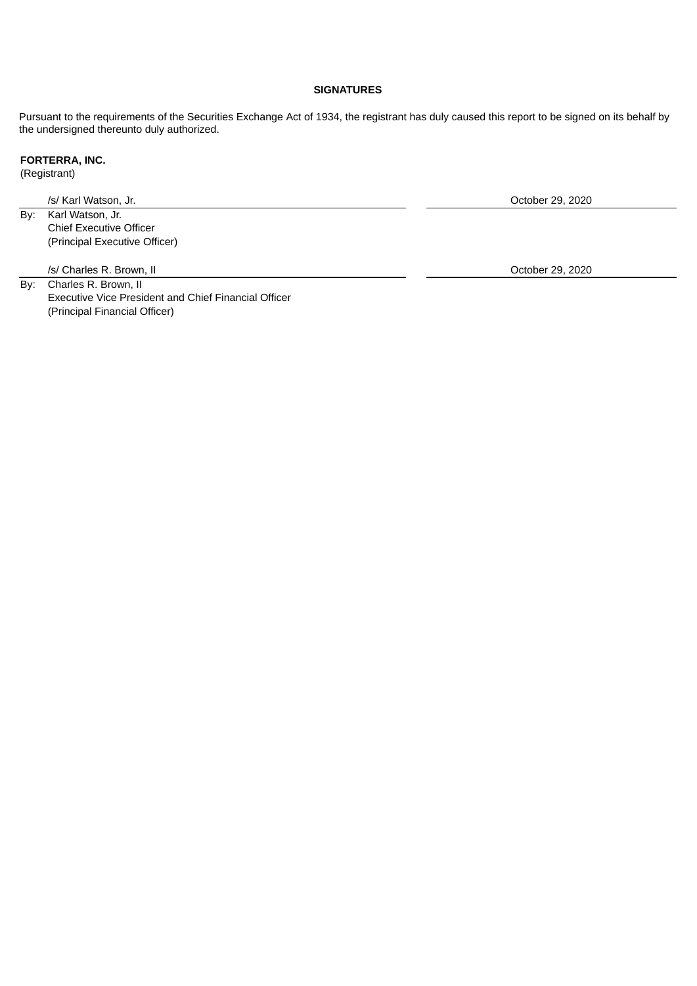# **SIGNATURES**

Pursuant to the requirements of the Securities Exchange Act of 1934, the registrant has duly caused this report to be signed on its behalf by the undersigned thereunto duly authorized.

# **FORTERRA, INC.**

(Registrant)

/s/ Karl Watson, Jr. October 29, 2020

By: Karl Watson, Jr. Chief Executive Officer (Principal Executive Officer)

/s/ Charles R. Brown, II October 29, 2020

By: Charles R. Brown, II Executive Vice President and Chief Financial Officer (Principal Financial Officer)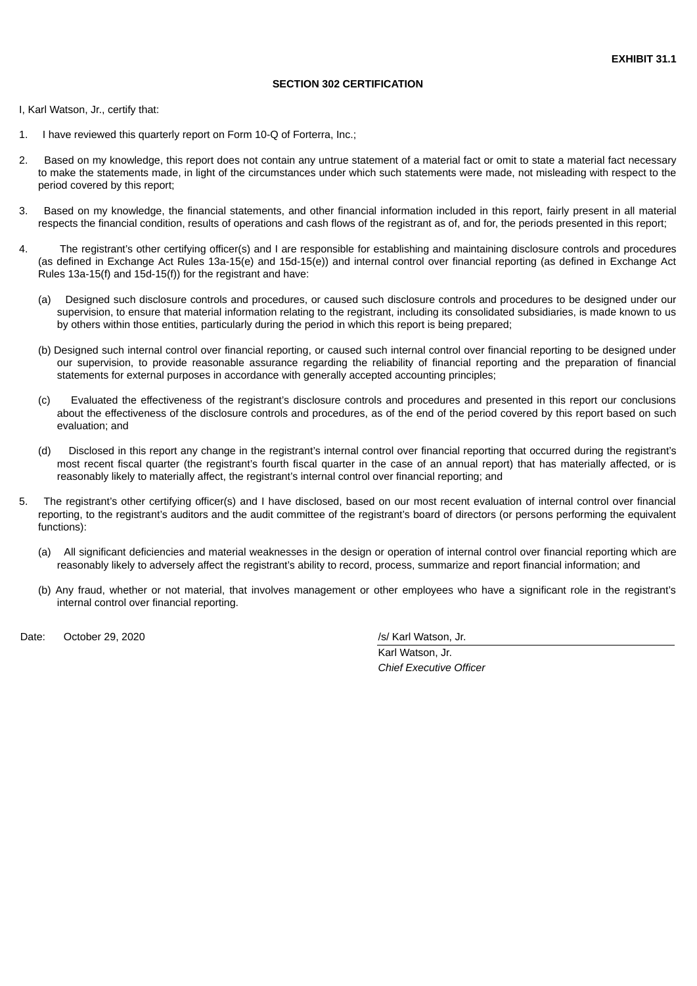## **SECTION 302 CERTIFICATION**

<span id="page-49-0"></span>I, Karl Watson, Jr., certify that:

- 1. I have reviewed this quarterly report on Form 10-Q of Forterra, Inc.;
- 2. Based on my knowledge, this report does not contain any untrue statement of a material fact or omit to state a material fact necessary to make the statements made, in light of the circumstances under which such statements were made, not misleading with respect to the period covered by this report;
- 3. Based on my knowledge, the financial statements, and other financial information included in this report, fairly present in all material respects the financial condition, results of operations and cash flows of the registrant as of, and for, the periods presented in this report;
- 4. The registrant's other certifying officer(s) and I are responsible for establishing and maintaining disclosure controls and procedures (as defined in Exchange Act Rules 13a-15(e) and 15d-15(e)) and internal control over financial reporting (as defined in Exchange Act Rules 13a-15(f) and 15d-15(f)) for the registrant and have:
	- (a) Designed such disclosure controls and procedures, or caused such disclosure controls and procedures to be designed under our supervision, to ensure that material information relating to the registrant, including its consolidated subsidiaries, is made known to us by others within those entities, particularly during the period in which this report is being prepared;
	- (b) Designed such internal control over financial reporting, or caused such internal control over financial reporting to be designed under our supervision, to provide reasonable assurance regarding the reliability of financial reporting and the preparation of financial statements for external purposes in accordance with generally accepted accounting principles;
	- (c) Evaluated the effectiveness of the registrant's disclosure controls and procedures and presented in this report our conclusions about the effectiveness of the disclosure controls and procedures, as of the end of the period covered by this report based on such evaluation; and
	- (d) Disclosed in this report any change in the registrant's internal control over financial reporting that occurred during the registrant's most recent fiscal quarter (the registrant's fourth fiscal quarter in the case of an annual report) that has materially affected, or is reasonably likely to materially affect, the registrant's internal control over financial reporting; and
- 5. The registrant's other certifying officer(s) and I have disclosed, based on our most recent evaluation of internal control over financial reporting, to the registrant's auditors and the audit committee of the registrant's board of directors (or persons performing the equivalent functions):
	- (a) All significant deficiencies and material weaknesses in the design or operation of internal control over financial reporting which are reasonably likely to adversely affect the registrant's ability to record, process, summarize and report financial information; and
	- (b) Any fraud, whether or not material, that involves management or other employees who have a significant role in the registrant's internal control over financial reporting.

Date: October 29, 2020 *Date:* October 29, 2020

Karl Watson, Jr. *Chief Executive Officer*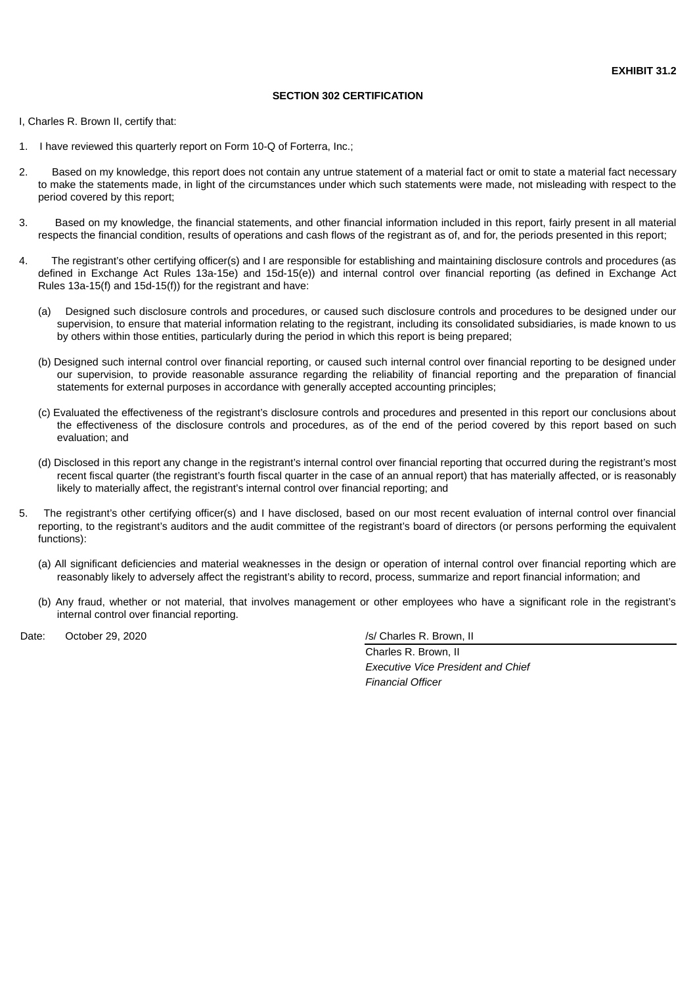## **SECTION 302 CERTIFICATION**

<span id="page-50-0"></span>I, Charles R. Brown II, certify that:

- 1. I have reviewed this quarterly report on Form 10-Q of Forterra, Inc.;
- 2. Based on my knowledge, this report does not contain any untrue statement of a material fact or omit to state a material fact necessary to make the statements made, in light of the circumstances under which such statements were made, not misleading with respect to the period covered by this report;
- 3. Based on my knowledge, the financial statements, and other financial information included in this report, fairly present in all material respects the financial condition, results of operations and cash flows of the registrant as of, and for, the periods presented in this report;
- 4. The registrant's other certifying officer(s) and I are responsible for establishing and maintaining disclosure controls and procedures (as defined in Exchange Act Rules 13a-15e) and 15d-15(e)) and internal control over financial reporting (as defined in Exchange Act Rules 13a-15(f) and 15d-15(f)) for the registrant and have:
	- (a) Designed such disclosure controls and procedures, or caused such disclosure controls and procedures to be designed under our supervision, to ensure that material information relating to the registrant, including its consolidated subsidiaries, is made known to us by others within those entities, particularly during the period in which this report is being prepared;
	- (b) Designed such internal control over financial reporting, or caused such internal control over financial reporting to be designed under our supervision, to provide reasonable assurance regarding the reliability of financial reporting and the preparation of financial statements for external purposes in accordance with generally accepted accounting principles;
	- (c) Evaluated the effectiveness of the registrant's disclosure controls and procedures and presented in this report our conclusions about the effectiveness of the disclosure controls and procedures, as of the end of the period covered by this report based on such evaluation; and
	- (d) Disclosed in this report any change in the registrant's internal control over financial reporting that occurred during the registrant's most recent fiscal quarter (the registrant's fourth fiscal quarter in the case of an annual report) that has materially affected, or is reasonably likely to materially affect, the registrant's internal control over financial reporting; and
- 5. The registrant's other certifying officer(s) and I have disclosed, based on our most recent evaluation of internal control over financial reporting, to the registrant's auditors and the audit committee of the registrant's board of directors (or persons performing the equivalent functions):
	- (a) All significant deficiencies and material weaknesses in the design or operation of internal control over financial reporting which are reasonably likely to adversely affect the registrant's ability to record, process, summarize and report financial information; and
	- (b) Any fraud, whether or not material, that involves management or other employees who have a significant role in the registrant's internal control over financial reporting.

Date: October 29, 2020 **/s/ Charles R. Brown, II** 

Charles R. Brown, II *Executive Vice President and Chief Financial Officer*